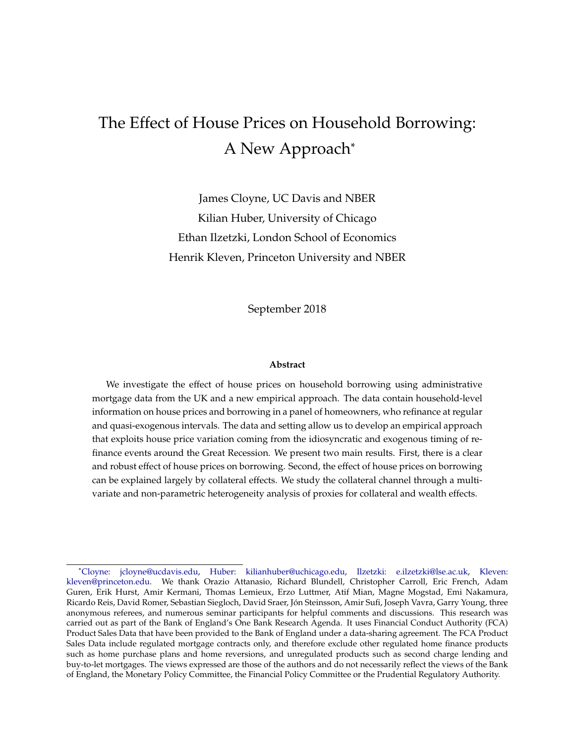## <span id="page-0-0"></span>The Effect of House Prices on Household Borrowing: A New Approach\*

James Cloyne, UC Davis and NBER Kilian Huber, University of Chicago Ethan Ilzetzki, London School of Economics Henrik Kleven, Princeton University and NBER

September 2018

#### **Abstract**

We investigate the effect of house prices on household borrowing using administrative mortgage data from the UK and a new empirical approach. The data contain household-level information on house prices and borrowing in a panel of homeowners, who refinance at regular and quasi-exogenous intervals. The data and setting allow us to develop an empirical approach that exploits house price variation coming from the idiosyncratic and exogenous timing of refinance events around the Great Recession. We present two main results. First, there is a clear and robust effect of house prices on borrowing. Second, the effect of house prices on borrowing can be explained largely by collateral effects. We study the collateral channel through a multivariate and non-parametric heterogeneity analysis of proxies for collateral and wealth effects.

<sup>\*</sup>[Cloyne:](https://sites.google.com/site/jamescloyne/) [jcloyne@ucdavis.edu,](mailto:jcloyne@ucdavis.edu) [Huber:](https://sites.google.com/site/kilianhuberecon/) [kilianhuber@uchicago.edu,](mailto:kilianhuber@uchicago.edu) [Ilzetzki:](http://personal.lse.ac.uk/ilzetzki/index.htm/) [e.ilzetzki@lse.ac.uk,](mailto:e.ilzetzki@lse.ac.uk) [Kleven:](http://www.henrikkleven.com/) [kleven@princeton.edu.](mailto:kleven@princeton.edu) We thank Orazio Attanasio, Richard Blundell, Christopher Carroll, Eric French, Adam Guren, Erik Hurst, Amir Kermani, Thomas Lemieux, Erzo Luttmer, Atif Mian, Magne Mogstad, Emi Nakamura, Ricardo Reis, David Romer, Sebastian Siegloch, David Sraer, Jón Steinsson, Amir Sufi, Joseph Vavra, Garry Young, three anonymous referees, and numerous seminar participants for helpful comments and discussions. This research was carried out as part of the Bank of England's One Bank Research Agenda. It uses Financial Conduct Authority (FCA) Product Sales Data that have been provided to the Bank of England under a data-sharing agreement. The FCA Product Sales Data include regulated mortgage contracts only, and therefore exclude other regulated home finance products such as home purchase plans and home reversions, and unregulated products such as second charge lending and buy-to-let mortgages. The views expressed are those of the authors and do not necessarily reflect the views of the Bank of England, the Monetary Policy Committee, the Financial Policy Committee or the Prudential Regulatory Authority.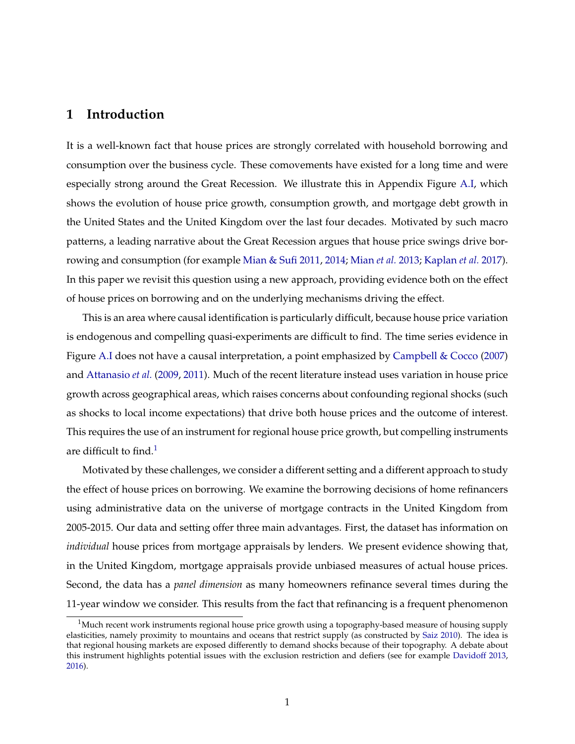## **1 Introduction**

It is a well-known fact that house prices are strongly correlated with household borrowing and consumption over the business cycle. These comovements have existed for a long time and were especially strong around the Great Recession. We illustrate this in Appendix Figure [A.I,](#page-47-0) which shows the evolution of house price growth, consumption growth, and mortgage debt growth in the United States and the United Kingdom over the last four decades. Motivated by such macro patterns, a leading narrative about the Great Recession argues that house price swings drive borrowing and consumption (for example [Mian & Sufi](#page-30-0) [2011,](#page-30-0) [2014;](#page-30-1) [Mian](#page-31-0) *et al.* [2013;](#page-31-0) [Kaplan](#page-30-2) *et al.* [2017\)](#page-30-2). In this paper we revisit this question using a new approach, providing evidence both on the effect of house prices on borrowing and on the underlying mechanisms driving the effect.

This is an area where causal identification is particularly difficult, because house price variation is endogenous and compelling quasi-experiments are difficult to find. The time series evidence in Figure [A.I](#page-47-0) does not have a causal interpretation, a point emphasized by [Campbell & Cocco](#page-28-0) [\(2007\)](#page-28-0) and [Attanasio](#page-27-0) *et al.* [\(2009,](#page-27-0) [2011\)](#page-28-1). Much of the recent literature instead uses variation in house price growth across geographical areas, which raises concerns about confounding regional shocks (such as shocks to local income expectations) that drive both house prices and the outcome of interest. This requires the use of an instrument for regional house price growth, but compelling instruments are difficult to find. $<sup>1</sup>$  $<sup>1</sup>$  $<sup>1</sup>$ </sup>

Motivated by these challenges, we consider a different setting and a different approach to study the effect of house prices on borrowing. We examine the borrowing decisions of home refinancers using administrative data on the universe of mortgage contracts in the United Kingdom from 2005-2015. Our data and setting offer three main advantages. First, the dataset has information on *individual* house prices from mortgage appraisals by lenders. We present evidence showing that, in the United Kingdom, mortgage appraisals provide unbiased measures of actual house prices. Second, the data has a *panel dimension* as many homeowners refinance several times during the 11-year window we consider. This results from the fact that refinancing is a frequent phenomenon

<span id="page-1-0"></span> $1$ Much recent work instruments regional house price growth using a topography-based measure of housing supply elasticities, namely proximity to mountains and oceans that restrict supply (as constructed by [Saiz](#page-31-1) [2010\)](#page-31-1). The idea is that regional housing markets are exposed differently to demand shocks because of their topography. A debate about this instrument highlights potential issues with the exclusion restriction and defiers (see for example [Davidoff](#page-29-0) [2013,](#page-29-0) [2016\)](#page-29-1).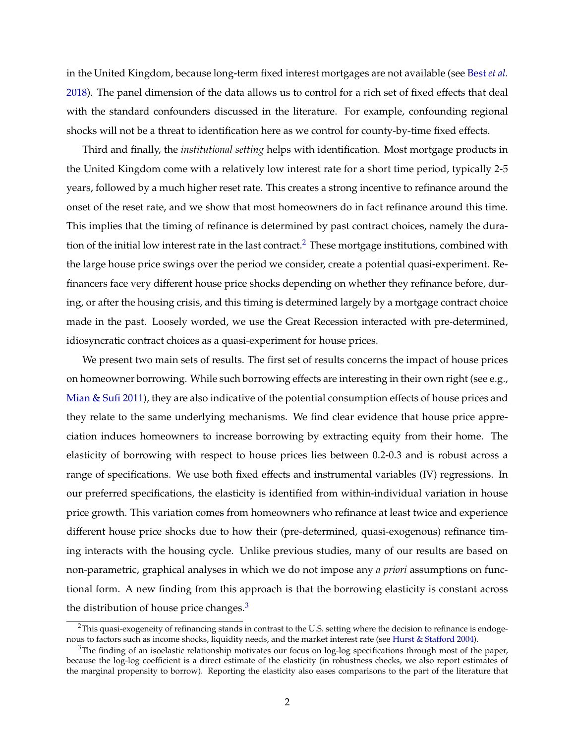<span id="page-2-2"></span>in the United Kingdom, because long-term fixed interest mortgages are not available (see Best *[et al.](#page-28-2)* [2018\)](#page-28-2). The panel dimension of the data allows us to control for a rich set of fixed effects that deal with the standard confounders discussed in the literature. For example, confounding regional shocks will not be a threat to identification here as we control for county-by-time fixed effects.

Third and finally, the *institutional setting* helps with identification. Most mortgage products in the United Kingdom come with a relatively low interest rate for a short time period, typically 2-5 years, followed by a much higher reset rate. This creates a strong incentive to refinance around the onset of the reset rate, and we show that most homeowners do in fact refinance around this time. This implies that the timing of refinance is determined by past contract choices, namely the dura-tion of the initial low interest rate in the last contract.<sup>[2](#page-2-0)</sup> These mortgage institutions, combined with the large house price swings over the period we consider, create a potential quasi-experiment. Refinancers face very different house price shocks depending on whether they refinance before, during, or after the housing crisis, and this timing is determined largely by a mortgage contract choice made in the past. Loosely worded, we use the Great Recession interacted with pre-determined, idiosyncratic contract choices as a quasi-experiment for house prices.

We present two main sets of results. The first set of results concerns the impact of house prices on homeowner borrowing. While such borrowing effects are interesting in their own right (see e.g., [Mian & Sufi](#page-30-0) [2011\)](#page-30-0), they are also indicative of the potential consumption effects of house prices and they relate to the same underlying mechanisms. We find clear evidence that house price appreciation induces homeowners to increase borrowing by extracting equity from their home. The elasticity of borrowing with respect to house prices lies between 0.2-0.3 and is robust across a range of specifications. We use both fixed effects and instrumental variables (IV) regressions. In our preferred specifications, the elasticity is identified from within-individual variation in house price growth. This variation comes from homeowners who refinance at least twice and experience different house price shocks due to how their (pre-determined, quasi-exogenous) refinance timing interacts with the housing cycle. Unlike previous studies, many of our results are based on non-parametric, graphical analyses in which we do not impose any *a priori* assumptions on functional form. A new finding from this approach is that the borrowing elasticity is constant across the distribution of house price changes. $3$ 

<span id="page-2-0"></span> $2$ This quasi-exogeneity of refinancing stands in contrast to the U.S. setting where the decision to refinance is endogenous to factors such as income shocks, liquidity needs, and the market interest rate (see [Hurst & Stafford](#page-30-3) [2004\)](#page-30-3).

<span id="page-2-1"></span> $3$ The finding of an isoelastic relationship motivates our focus on log-log specifications through most of the paper, because the log-log coefficient is a direct estimate of the elasticity (in robustness checks, we also report estimates of the marginal propensity to borrow). Reporting the elasticity also eases comparisons to the part of the literature that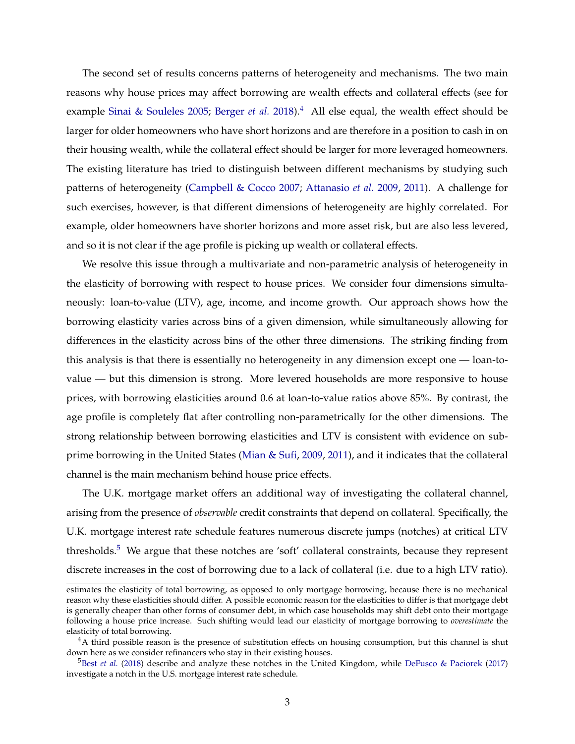<span id="page-3-2"></span>The second set of results concerns patterns of heterogeneity and mechanisms. The two main reasons why house prices may affect borrowing are wealth effects and collateral effects (see for example [Sinai & Souleles](#page-31-2) [2005;](#page-31-2) [Berger](#page-28-3) *et al.* [2018\)](#page-28-3).<sup>[4](#page-3-0)</sup> All else equal, the wealth effect should be larger for older homeowners who have short horizons and are therefore in a position to cash in on their housing wealth, while the collateral effect should be larger for more leveraged homeowners. The existing literature has tried to distinguish between different mechanisms by studying such patterns of heterogeneity [\(Campbell & Cocco](#page-28-0) [2007;](#page-28-0) [Attanasio](#page-27-0) *et al.* [2009,](#page-27-0) [2011\)](#page-28-1). A challenge for such exercises, however, is that different dimensions of heterogeneity are highly correlated. For example, older homeowners have shorter horizons and more asset risk, but are also less levered, and so it is not clear if the age profile is picking up wealth or collateral effects.

We resolve this issue through a multivariate and non-parametric analysis of heterogeneity in the elasticity of borrowing with respect to house prices. We consider four dimensions simultaneously: loan-to-value (LTV), age, income, and income growth. Our approach shows how the borrowing elasticity varies across bins of a given dimension, while simultaneously allowing for differences in the elasticity across bins of the other three dimensions. The striking finding from this analysis is that there is essentially no heterogeneity in any dimension except one — loan-tovalue — but this dimension is strong. More levered households are more responsive to house prices, with borrowing elasticities around 0.6 at loan-to-value ratios above 85%. By contrast, the age profile is completely flat after controlling non-parametrically for the other dimensions. The strong relationship between borrowing elasticities and LTV is consistent with evidence on subprime borrowing in the United States [\(Mian & Sufi,](#page-30-4) [2009,](#page-30-4) [2011\)](#page-30-0), and it indicates that the collateral channel is the main mechanism behind house price effects.

The U.K. mortgage market offers an additional way of investigating the collateral channel, arising from the presence of *observable* credit constraints that depend on collateral. Specifically, the U.K. mortgage interest rate schedule features numerous discrete jumps (notches) at critical LTV thresholds.<sup>[5](#page-3-1)</sup> We argue that these notches are 'soft' collateral constraints, because they represent discrete increases in the cost of borrowing due to a lack of collateral (i.e. due to a high LTV ratio).

estimates the elasticity of total borrowing, as opposed to only mortgage borrowing, because there is no mechanical reason why these elasticities should differ. A possible economic reason for the elasticities to differ is that mortgage debt is generally cheaper than other forms of consumer debt, in which case households may shift debt onto their mortgage following a house price increase. Such shifting would lead our elasticity of mortgage borrowing to *overestimate* the elasticity of total borrowing.

<span id="page-3-0"></span> $4A$  third possible reason is the presence of substitution effects on housing consumption, but this channel is shut down here as we consider refinancers who stay in their existing houses.

<span id="page-3-1"></span><sup>&</sup>lt;sup>5</sup>Best *[et al.](#page-28-2)* [\(2018\)](#page-28-2) describe and analyze these notches in the United Kingdom, while [DeFusco & Paciorek](#page-29-2) [\(2017\)](#page-29-2) investigate a notch in the U.S. mortgage interest rate schedule.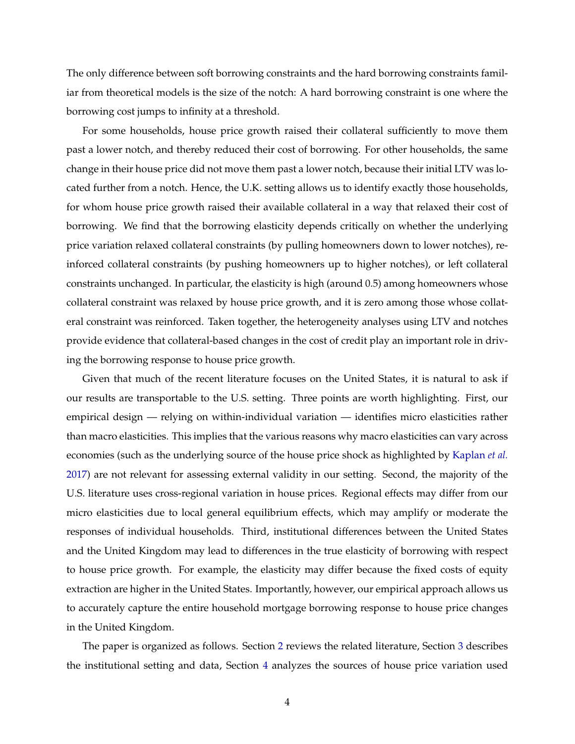<span id="page-4-0"></span>The only difference between soft borrowing constraints and the hard borrowing constraints familiar from theoretical models is the size of the notch: A hard borrowing constraint is one where the borrowing cost jumps to infinity at a threshold.

For some households, house price growth raised their collateral sufficiently to move them past a lower notch, and thereby reduced their cost of borrowing. For other households, the same change in their house price did not move them past a lower notch, because their initial LTV was located further from a notch. Hence, the U.K. setting allows us to identify exactly those households, for whom house price growth raised their available collateral in a way that relaxed their cost of borrowing. We find that the borrowing elasticity depends critically on whether the underlying price variation relaxed collateral constraints (by pulling homeowners down to lower notches), reinforced collateral constraints (by pushing homeowners up to higher notches), or left collateral constraints unchanged. In particular, the elasticity is high (around 0.5) among homeowners whose collateral constraint was relaxed by house price growth, and it is zero among those whose collateral constraint was reinforced. Taken together, the heterogeneity analyses using LTV and notches provide evidence that collateral-based changes in the cost of credit play an important role in driving the borrowing response to house price growth.

Given that much of the recent literature focuses on the United States, it is natural to ask if our results are transportable to the U.S. setting. Three points are worth highlighting. First, our empirical design — relying on within-individual variation — identifies micro elasticities rather than macro elasticities. This implies that the various reasons why macro elasticities can vary across economies (such as the underlying source of the house price shock as highlighted by [Kaplan](#page-30-2) *et al.* [2017\)](#page-30-2) are not relevant for assessing external validity in our setting. Second, the majority of the U.S. literature uses cross-regional variation in house prices. Regional effects may differ from our micro elasticities due to local general equilibrium effects, which may amplify or moderate the responses of individual households. Third, institutional differences between the United States and the United Kingdom may lead to differences in the true elasticity of borrowing with respect to house price growth. For example, the elasticity may differ because the fixed costs of equity extraction are higher in the United States. Importantly, however, our empirical approach allows us to accurately capture the entire household mortgage borrowing response to house price changes in the United Kingdom.

The paper is organized as follows. Section [2](#page-5-0) reviews the related literature, Section [3](#page-7-0) describes the institutional setting and data, Section [4](#page-12-0) analyzes the sources of house price variation used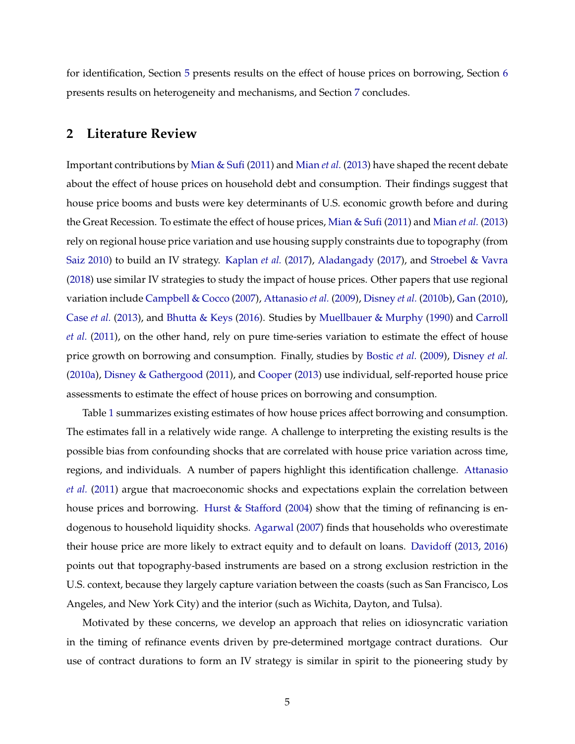<span id="page-5-1"></span>for identification, Section [5](#page-15-0) presents results on the effect of house prices on borrowing, Section [6](#page-20-0) presents results on heterogeneity and mechanisms, and Section [7](#page-26-0) concludes.

## <span id="page-5-0"></span>**2 Literature Review**

Important contributions by [Mian & Sufi](#page-30-0) [\(2011\)](#page-30-0) and [Mian](#page-31-0) *et al.* [\(2013\)](#page-31-0) have shaped the recent debate about the effect of house prices on household debt and consumption. Their findings suggest that house price booms and busts were key determinants of U.S. economic growth before and during the Great Recession. To estimate the effect of house prices, [Mian & Sufi](#page-30-0) [\(2011\)](#page-30-0) and [Mian](#page-31-0) *et al.* [\(2013\)](#page-31-0) rely on regional house price variation and use housing supply constraints due to topography (from [Saiz](#page-31-1) [2010\)](#page-31-1) to build an IV strategy. [Kaplan](#page-30-2) *et al.* [\(2017\)](#page-30-2), [Aladangady](#page-27-1) [\(2017\)](#page-27-1), and [Stroebel & Vavra](#page-31-3) [\(2018\)](#page-31-3) use similar IV strategies to study the impact of house prices. Other papers that use regional variation include [Campbell & Cocco](#page-28-0) [\(2007\)](#page-28-0), [Attanasio](#page-27-0) *et al.* [\(2009\)](#page-27-0), [Disney](#page-29-3) *et al.* [\(2010b\)](#page-29-3), [Gan](#page-29-4) [\(2010\)](#page-29-4), [Case](#page-28-4) *et al.* [\(2013\)](#page-28-4), and [Bhutta & Keys](#page-28-5) [\(2016\)](#page-28-5). Studies by [Muellbauer & Murphy](#page-31-4) [\(1990\)](#page-31-4) and [Carroll](#page-28-6) *[et al.](#page-28-6)* [\(2011\)](#page-28-6), on the other hand, rely on pure time-series variation to estimate the effect of house price growth on borrowing and consumption. Finally, studies by [Bostic](#page-28-7) *et al.* [\(2009\)](#page-28-7), [Disney](#page-29-5) *et al.* [\(2010a\)](#page-29-5), [Disney & Gathergood](#page-29-6) [\(2011\)](#page-29-6), and [Cooper](#page-29-7) [\(2013\)](#page-29-7) use individual, self-reported house price assessments to estimate the effect of house prices on borrowing and consumption.

Table [1](#page-43-0) summarizes existing estimates of how house prices affect borrowing and consumption. The estimates fall in a relatively wide range. A challenge to interpreting the existing results is the possible bias from confounding shocks that are correlated with house price variation across time, regions, and individuals. A number of papers highlight this identification challenge. [Attanasio](#page-28-1) *[et al.](#page-28-1)* [\(2011\)](#page-28-1) argue that macroeconomic shocks and expectations explain the correlation between house prices and borrowing. [Hurst & Stafford](#page-30-3) [\(2004\)](#page-30-3) show that the timing of refinancing is endogenous to household liquidity shocks. [Agarwal](#page-27-2) [\(2007\)](#page-27-2) finds that households who overestimate their house price are more likely to extract equity and to default on loans. [Davidoff](#page-29-0) [\(2013,](#page-29-0) [2016\)](#page-29-1) points out that topography-based instruments are based on a strong exclusion restriction in the U.S. context, because they largely capture variation between the coasts (such as San Francisco, Los Angeles, and New York City) and the interior (such as Wichita, Dayton, and Tulsa).

Motivated by these concerns, we develop an approach that relies on idiosyncratic variation in the timing of refinance events driven by pre-determined mortgage contract durations. Our use of contract durations to form an IV strategy is similar in spirit to the pioneering study by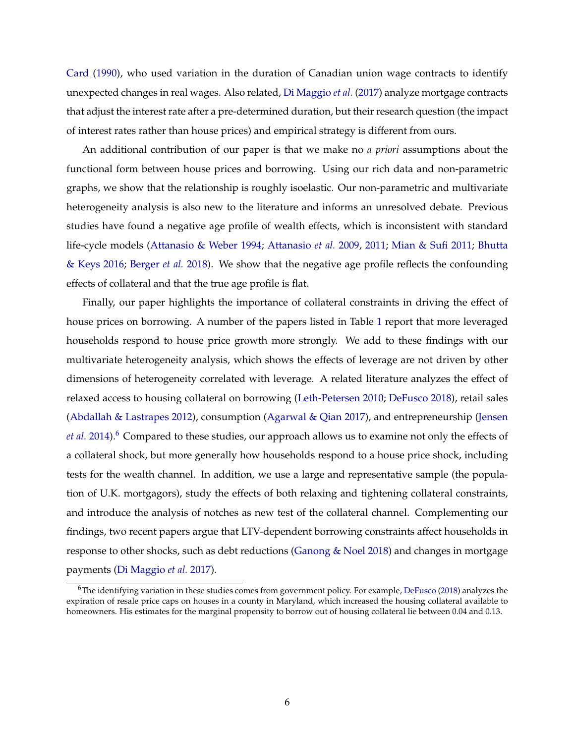<span id="page-6-1"></span>[Card](#page-28-8) [\(1990\)](#page-28-8), who used variation in the duration of Canadian union wage contracts to identify unexpected changes in real wages. Also related, [Di Maggio](#page-29-8) *et al.* [\(2017\)](#page-29-8) analyze mortgage contracts that adjust the interest rate after a pre-determined duration, but their research question (the impact of interest rates rather than house prices) and empirical strategy is different from ours.

An additional contribution of our paper is that we make no *a priori* assumptions about the functional form between house prices and borrowing. Using our rich data and non-parametric graphs, we show that the relationship is roughly isoelastic. Our non-parametric and multivariate heterogeneity analysis is also new to the literature and informs an unresolved debate. Previous studies have found a negative age profile of wealth effects, which is inconsistent with standard life-cycle models [\(Attanasio & Weber](#page-27-3) [1994;](#page-27-3) [Attanasio](#page-27-0) *et al.* [2009,](#page-27-0) [2011;](#page-28-1) [Mian & Sufi](#page-30-0) [2011;](#page-30-0) [Bhutta](#page-28-5) [& Keys](#page-28-5) [2016;](#page-28-5) [Berger](#page-28-3) *et al.* [2018\)](#page-28-3). We show that the negative age profile reflects the confounding effects of collateral and that the true age profile is flat.

Finally, our paper highlights the importance of collateral constraints in driving the effect of house prices on borrowing. A number of the papers listed in Table [1](#page-43-0) report that more leveraged households respond to house price growth more strongly. We add to these findings with our multivariate heterogeneity analysis, which shows the effects of leverage are not driven by other dimensions of heterogeneity correlated with leverage. A related literature analyzes the effect of relaxed access to housing collateral on borrowing [\(Leth-Petersen](#page-30-5) [2010;](#page-30-5) [DeFusco](#page-29-9) [2018\)](#page-29-9), retail sales [\(Abdallah & Lastrapes](#page-27-4) [2012\)](#page-27-4), consumption [\(Agarwal & Qian](#page-27-5) [2017\)](#page-27-5), and entrepreneurship [\(Jensen](#page-30-6) *[et al.](#page-30-6)* [2014\)](#page-30-6).<sup>[6](#page-6-0)</sup> Compared to these studies, our approach allows us to examine not only the effects of a collateral shock, but more generally how households respond to a house price shock, including tests for the wealth channel. In addition, we use a large and representative sample (the population of U.K. mortgagors), study the effects of both relaxing and tightening collateral constraints, and introduce the analysis of notches as new test of the collateral channel. Complementing our findings, two recent papers argue that LTV-dependent borrowing constraints affect households in response to other shocks, such as debt reductions (Ganong  $\&$  Noel [2018\)](#page-30-7) and changes in mortgage payments [\(Di Maggio](#page-29-8) *et al.* [2017\)](#page-29-8).

<span id="page-6-0"></span> $^6$ The identifying variation in these studies comes from government policy. For example, [DeFusco](#page-29-9) [\(2018\)](#page-29-9) analyzes the expiration of resale price caps on houses in a county in Maryland, which increased the housing collateral available to homeowners. His estimates for the marginal propensity to borrow out of housing collateral lie between 0.04 and 0.13.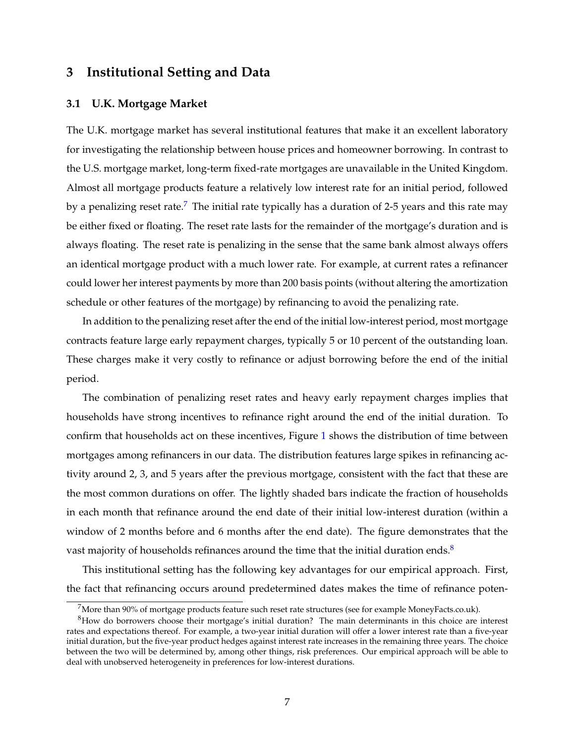## <span id="page-7-0"></span>**3 Institutional Setting and Data**

#### <span id="page-7-3"></span>**3.1 U.K. Mortgage Market**

The U.K. mortgage market has several institutional features that make it an excellent laboratory for investigating the relationship between house prices and homeowner borrowing. In contrast to the U.S. mortgage market, long-term fixed-rate mortgages are unavailable in the United Kingdom. Almost all mortgage products feature a relatively low interest rate for an initial period, followed by a penalizing reset rate.<sup>[7](#page-7-1)</sup> The initial rate typically has a duration of 2-5 years and this rate may be either fixed or floating. The reset rate lasts for the remainder of the mortgage's duration and is always floating. The reset rate is penalizing in the sense that the same bank almost always offers an identical mortgage product with a much lower rate. For example, at current rates a refinancer could lower her interest payments by more than 200 basis points (without altering the amortization schedule or other features of the mortgage) by refinancing to avoid the penalizing rate.

In addition to the penalizing reset after the end of the initial low-interest period, most mortgage contracts feature large early repayment charges, typically 5 or 10 percent of the outstanding loan. These charges make it very costly to refinance or adjust borrowing before the end of the initial period.

The combination of penalizing reset rates and heavy early repayment charges implies that households have strong incentives to refinance right around the end of the initial duration. To confirm that households act on these incentives, Figure [1](#page-32-0) shows the distribution of time between mortgages among refinancers in our data. The distribution features large spikes in refinancing activity around 2, 3, and 5 years after the previous mortgage, consistent with the fact that these are the most common durations on offer. The lightly shaded bars indicate the fraction of households in each month that refinance around the end date of their initial low-interest duration (within a window of 2 months before and 6 months after the end date). The figure demonstrates that the vast majority of households refinances around the time that the initial duration ends. $8$ 

This institutional setting has the following key advantages for our empirical approach. First, the fact that refinancing occurs around predetermined dates makes the time of refinance poten-

<span id="page-7-2"></span><span id="page-7-1"></span> $7$ More than 90% of mortgage products feature such reset rate structures (see for example MoneyFacts.co.uk).

 ${}^{8}$ How do borrowers choose their mortgage's initial duration? The main determinants in this choice are interest rates and expectations thereof. For example, a two-year initial duration will offer a lower interest rate than a five-year initial duration, but the five-year product hedges against interest rate increases in the remaining three years. The choice between the two will be determined by, among other things, risk preferences. Our empirical approach will be able to deal with unobserved heterogeneity in preferences for low-interest durations.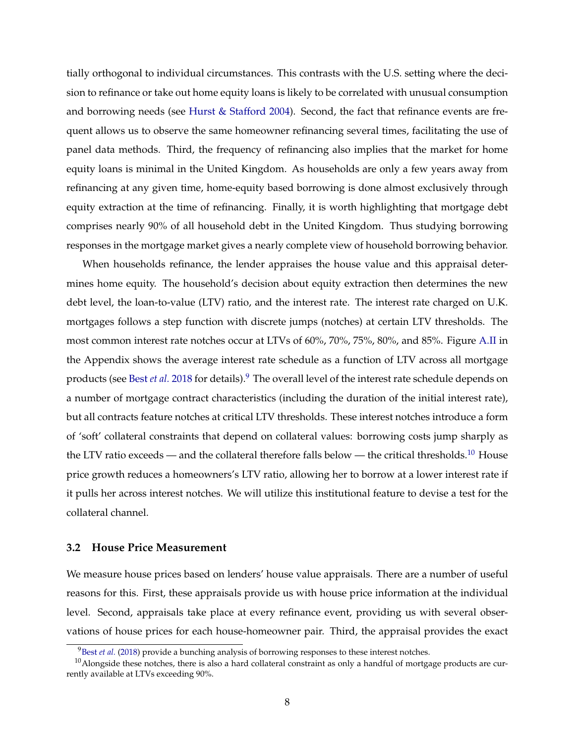<span id="page-8-2"></span>tially orthogonal to individual circumstances. This contrasts with the U.S. setting where the decision to refinance or take out home equity loans is likely to be correlated with unusual consumption and borrowing needs (see [Hurst & Stafford](#page-30-3) [2004\)](#page-30-3). Second, the fact that refinance events are frequent allows us to observe the same homeowner refinancing several times, facilitating the use of panel data methods. Third, the frequency of refinancing also implies that the market for home equity loans is minimal in the United Kingdom. As households are only a few years away from refinancing at any given time, home-equity based borrowing is done almost exclusively through equity extraction at the time of refinancing. Finally, it is worth highlighting that mortgage debt comprises nearly 90% of all household debt in the United Kingdom. Thus studying borrowing responses in the mortgage market gives a nearly complete view of household borrowing behavior.

When households refinance, the lender appraises the house value and this appraisal determines home equity. The household's decision about equity extraction then determines the new debt level, the loan-to-value (LTV) ratio, and the interest rate. The interest rate charged on U.K. mortgages follows a step function with discrete jumps (notches) at certain LTV thresholds. The most common interest rate notches occur at LTVs of 60%, 70%, 75%, 80%, and 85%. Figure [A.II](#page-48-0) in the Appendix shows the average interest rate schedule as a function of LTV across all mortgage products (see Best *[et al.](#page-28-2)* [2018](#page-28-2) for details).[9](#page-8-0) The overall level of the interest rate schedule depends on a number of mortgage contract characteristics (including the duration of the initial interest rate), but all contracts feature notches at critical LTV thresholds. These interest notches introduce a form of 'soft' collateral constraints that depend on collateral values: borrowing costs jump sharply as the LTV ratio exceeds — and the collateral therefore falls below — the critical thresholds.<sup>[10](#page-8-1)</sup> House price growth reduces a homeowners's LTV ratio, allowing her to borrow at a lower interest rate if it pulls her across interest notches. We will utilize this institutional feature to devise a test for the collateral channel.

#### **3.2 House Price Measurement**

We measure house prices based on lenders' house value appraisals. There are a number of useful reasons for this. First, these appraisals provide us with house price information at the individual level. Second, appraisals take place at every refinance event, providing us with several observations of house prices for each house-homeowner pair. Third, the appraisal provides the exact

<span id="page-8-1"></span><span id="page-8-0"></span><sup>&</sup>lt;sup>9</sup>Best *[et al.](#page-28-2)* [\(2018\)](#page-28-2) provide a bunching analysis of borrowing responses to these interest notches.

 $10$ Alongside these notches, there is also a hard collateral constraint as only a handful of mortgage products are currently available at LTVs exceeding 90%.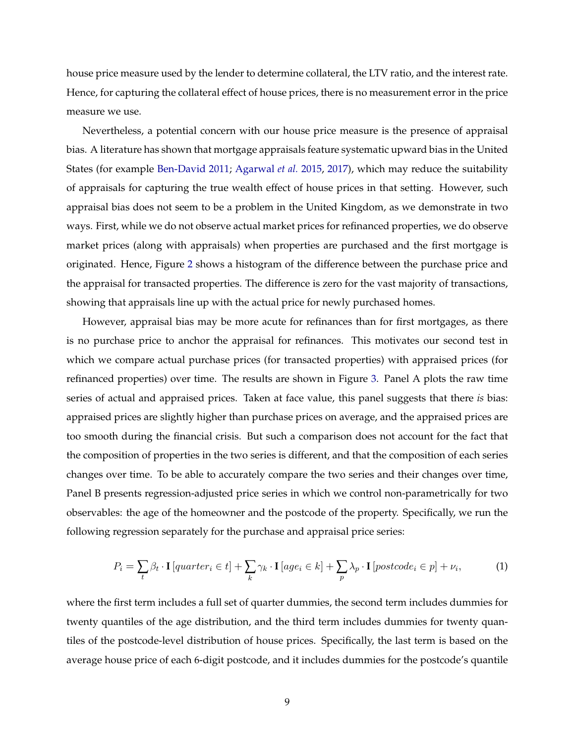<span id="page-9-1"></span>house price measure used by the lender to determine collateral, the LTV ratio, and the interest rate. Hence, for capturing the collateral effect of house prices, there is no measurement error in the price measure we use.

Nevertheless, a potential concern with our house price measure is the presence of appraisal bias. A literature has shown that mortgage appraisals feature systematic upward bias in the United States (for example [Ben-David](#page-28-9) [2011;](#page-28-9) [Agarwal](#page-27-6) *et al.* [2015,](#page-27-6) [2017\)](#page-27-7), which may reduce the suitability of appraisals for capturing the true wealth effect of house prices in that setting. However, such appraisal bias does not seem to be a problem in the United Kingdom, as we demonstrate in two ways. First, while we do not observe actual market prices for refinanced properties, we do observe market prices (along with appraisals) when properties are purchased and the first mortgage is originated. Hence, Figure [2](#page-33-0) shows a histogram of the difference between the purchase price and the appraisal for transacted properties. The difference is zero for the vast majority of transactions, showing that appraisals line up with the actual price for newly purchased homes.

However, appraisal bias may be more acute for refinances than for first mortgages, as there is no purchase price to anchor the appraisal for refinances. This motivates our second test in which we compare actual purchase prices (for transacted properties) with appraised prices (for refinanced properties) over time. The results are shown in Figure [3.](#page-34-0) Panel A plots the raw time series of actual and appraised prices. Taken at face value, this panel suggests that there *is* bias: appraised prices are slightly higher than purchase prices on average, and the appraised prices are too smooth during the financial crisis. But such a comparison does not account for the fact that the composition of properties in the two series is different, and that the composition of each series changes over time. To be able to accurately compare the two series and their changes over time, Panel B presents regression-adjusted price series in which we control non-parametrically for two observables: the age of the homeowner and the postcode of the property. Specifically, we run the following regression separately for the purchase and appraisal price series:

<span id="page-9-0"></span>
$$
P_i = \sum_{t} \beta_t \cdot \mathbf{I} \left[ quarter_i \in t \right] + \sum_{k} \gamma_k \cdot \mathbf{I} \left[ age_i \in k \right] + \sum_{p} \lambda_p \cdot \mathbf{I} \left[ postcode_i \in p \right] + \nu_i,
$$
 (1)

where the first term includes a full set of quarter dummies, the second term includes dummies for twenty quantiles of the age distribution, and the third term includes dummies for twenty quantiles of the postcode-level distribution of house prices. Specifically, the last term is based on the average house price of each 6-digit postcode, and it includes dummies for the postcode's quantile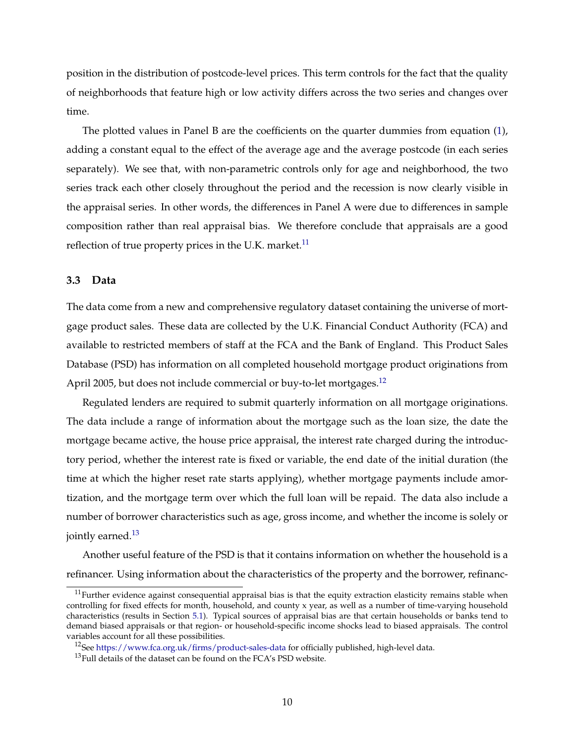position in the distribution of postcode-level prices. This term controls for the fact that the quality of neighborhoods that feature high or low activity differs across the two series and changes over time.

The plotted values in Panel B are the coefficients on the quarter dummies from equation [\(1\)](#page-9-0), adding a constant equal to the effect of the average age and the average postcode (in each series separately). We see that, with non-parametric controls only for age and neighborhood, the two series track each other closely throughout the period and the recession is now clearly visible in the appraisal series. In other words, the differences in Panel A were due to differences in sample composition rather than real appraisal bias. We therefore conclude that appraisals are a good reflection of true property prices in the U.K. market.<sup>[11](#page-10-0)</sup>

#### **3.3 Data**

The data come from a new and comprehensive regulatory dataset containing the universe of mortgage product sales. These data are collected by the U.K. Financial Conduct Authority (FCA) and available to restricted members of staff at the FCA and the Bank of England. This Product Sales Database (PSD) has information on all completed household mortgage product originations from April 2005, but does not include commercial or buy-to-let mortgages.<sup>[12](#page-10-1)</sup>

Regulated lenders are required to submit quarterly information on all mortgage originations. The data include a range of information about the mortgage such as the loan size, the date the mortgage became active, the house price appraisal, the interest rate charged during the introductory period, whether the interest rate is fixed or variable, the end date of the initial duration (the time at which the higher reset rate starts applying), whether mortgage payments include amortization, and the mortgage term over which the full loan will be repaid. The data also include a number of borrower characteristics such as age, gross income, and whether the income is solely or jointly earned.<sup>[13](#page-10-2)</sup>

Another useful feature of the PSD is that it contains information on whether the household is a refinancer. Using information about the characteristics of the property and the borrower, refinanc-

<span id="page-10-0"></span> $11$ Further evidence against consequential appraisal bias is that the equity extraction elasticity remains stable when controlling for fixed effects for month, household, and county x year, as well as a number of time-varying household characteristics (results in Section [5.1\)](#page-15-1). Typical sources of appraisal bias are that certain households or banks tend to demand biased appraisals or that region- or household-specific income shocks lead to biased appraisals. The control variables account for all these possibilities.

<span id="page-10-1"></span><sup>&</sup>lt;sup>12</sup>See <https://www.fca.org.uk/firms/product-sales-data> for officially published, high-level data.

<span id="page-10-2"></span><sup>&</sup>lt;sup>13</sup>Full details of the dataset can be found on the FCA's PSD website.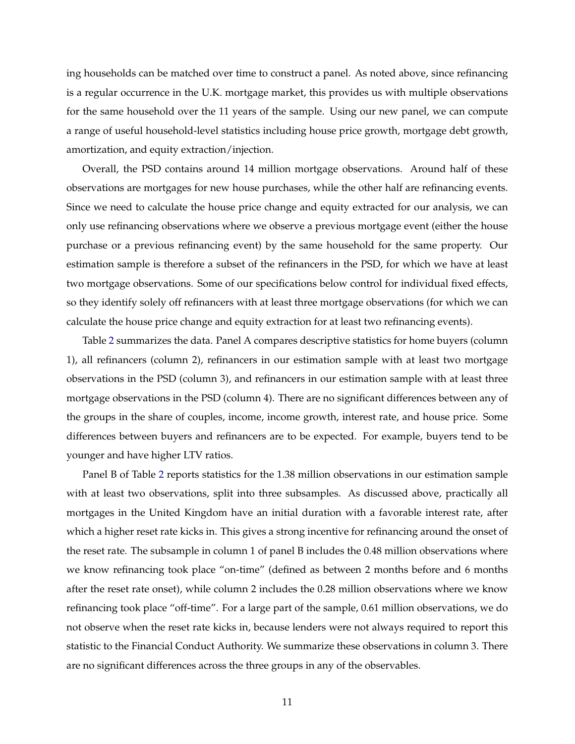ing households can be matched over time to construct a panel. As noted above, since refinancing is a regular occurrence in the U.K. mortgage market, this provides us with multiple observations for the same household over the 11 years of the sample. Using our new panel, we can compute a range of useful household-level statistics including house price growth, mortgage debt growth, amortization, and equity extraction/injection.

Overall, the PSD contains around 14 million mortgage observations. Around half of these observations are mortgages for new house purchases, while the other half are refinancing events. Since we need to calculate the house price change and equity extracted for our analysis, we can only use refinancing observations where we observe a previous mortgage event (either the house purchase or a previous refinancing event) by the same household for the same property. Our estimation sample is therefore a subset of the refinancers in the PSD, for which we have at least two mortgage observations. Some of our specifications below control for individual fixed effects, so they identify solely off refinancers with at least three mortgage observations (for which we can calculate the house price change and equity extraction for at least two refinancing events).

Table [2](#page-44-0) summarizes the data. Panel A compares descriptive statistics for home buyers (column 1), all refinancers (column 2), refinancers in our estimation sample with at least two mortgage observations in the PSD (column 3), and refinancers in our estimation sample with at least three mortgage observations in the PSD (column 4). There are no significant differences between any of the groups in the share of couples, income, income growth, interest rate, and house price. Some differences between buyers and refinancers are to be expected. For example, buyers tend to be younger and have higher LTV ratios.

Panel B of Table [2](#page-44-0) reports statistics for the 1.38 million observations in our estimation sample with at least two observations, split into three subsamples. As discussed above, practically all mortgages in the United Kingdom have an initial duration with a favorable interest rate, after which a higher reset rate kicks in. This gives a strong incentive for refinancing around the onset of the reset rate. The subsample in column 1 of panel B includes the 0.48 million observations where we know refinancing took place "on-time" (defined as between 2 months before and 6 months after the reset rate onset), while column 2 includes the 0.28 million observations where we know refinancing took place "off-time". For a large part of the sample, 0.61 million observations, we do not observe when the reset rate kicks in, because lenders were not always required to report this statistic to the Financial Conduct Authority. We summarize these observations in column 3. There are no significant differences across the three groups in any of the observables.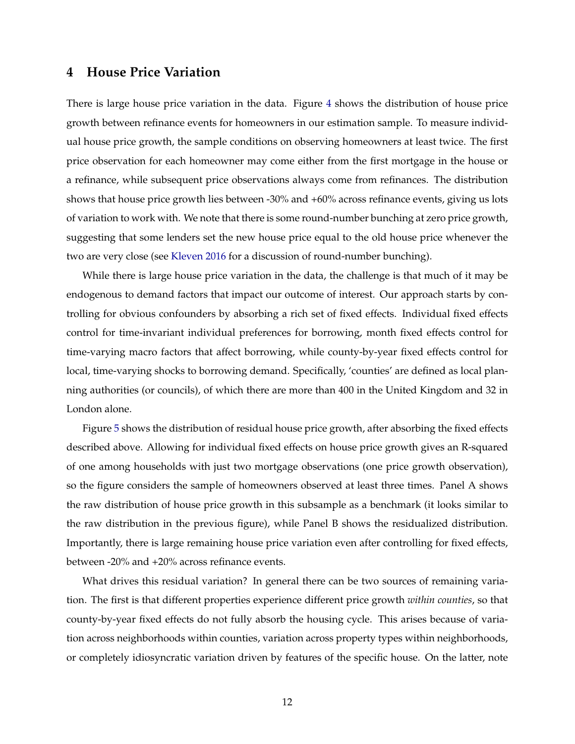## <span id="page-12-1"></span><span id="page-12-0"></span>**4 House Price Variation**

There is large house price variation in the data. Figure [4](#page-35-0) shows the distribution of house price growth between refinance events for homeowners in our estimation sample. To measure individual house price growth, the sample conditions on observing homeowners at least twice. The first price observation for each homeowner may come either from the first mortgage in the house or a refinance, while subsequent price observations always come from refinances. The distribution shows that house price growth lies between -30% and +60% across refinance events, giving us lots of variation to work with. We note that there is some round-number bunching at zero price growth, suggesting that some lenders set the new house price equal to the old house price whenever the two are very close (see [Kleven](#page-30-8) [2016](#page-30-8) for a discussion of round-number bunching).

While there is large house price variation in the data, the challenge is that much of it may be endogenous to demand factors that impact our outcome of interest. Our approach starts by controlling for obvious confounders by absorbing a rich set of fixed effects. Individual fixed effects control for time-invariant individual preferences for borrowing, month fixed effects control for time-varying macro factors that affect borrowing, while county-by-year fixed effects control for local, time-varying shocks to borrowing demand. Specifically, 'counties' are defined as local planning authorities (or councils), of which there are more than 400 in the United Kingdom and 32 in London alone.

Figure [5](#page-36-0) shows the distribution of residual house price growth, after absorbing the fixed effects described above. Allowing for individual fixed effects on house price growth gives an R-squared of one among households with just two mortgage observations (one price growth observation), so the figure considers the sample of homeowners observed at least three times. Panel A shows the raw distribution of house price growth in this subsample as a benchmark (it looks similar to the raw distribution in the previous figure), while Panel B shows the residualized distribution. Importantly, there is large remaining house price variation even after controlling for fixed effects, between -20% and +20% across refinance events.

What drives this residual variation? In general there can be two sources of remaining variation. The first is that different properties experience different price growth *within counties*, so that county-by-year fixed effects do not fully absorb the housing cycle. This arises because of variation across neighborhoods within counties, variation across property types within neighborhoods, or completely idiosyncratic variation driven by features of the specific house. On the latter, note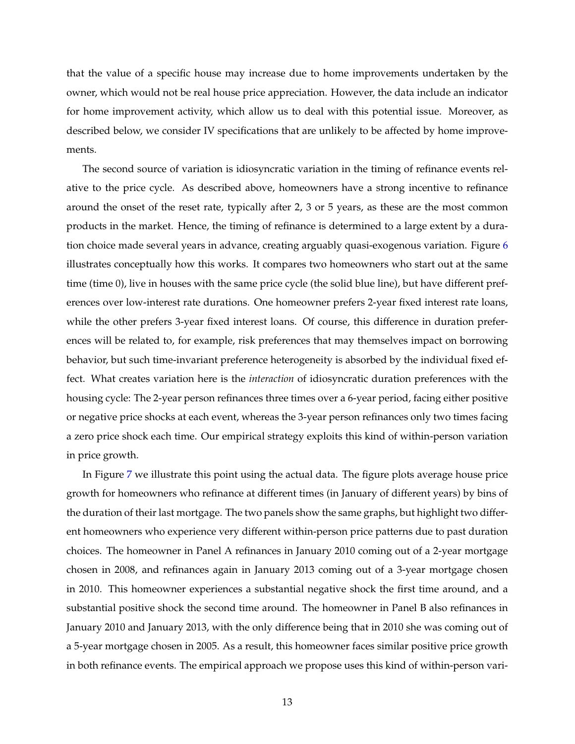that the value of a specific house may increase due to home improvements undertaken by the owner, which would not be real house price appreciation. However, the data include an indicator for home improvement activity, which allow us to deal with this potential issue. Moreover, as described below, we consider IV specifications that are unlikely to be affected by home improvements.

The second source of variation is idiosyncratic variation in the timing of refinance events relative to the price cycle. As described above, homeowners have a strong incentive to refinance around the onset of the reset rate, typically after 2, 3 or 5 years, as these are the most common products in the market. Hence, the timing of refinance is determined to a large extent by a duration choice made several years in advance, creating arguably quasi-exogenous variation. Figure [6](#page-37-0) illustrates conceptually how this works. It compares two homeowners who start out at the same time (time 0), live in houses with the same price cycle (the solid blue line), but have different preferences over low-interest rate durations. One homeowner prefers 2-year fixed interest rate loans, while the other prefers 3-year fixed interest loans. Of course, this difference in duration preferences will be related to, for example, risk preferences that may themselves impact on borrowing behavior, but such time-invariant preference heterogeneity is absorbed by the individual fixed effect. What creates variation here is the *interaction* of idiosyncratic duration preferences with the housing cycle: The 2-year person refinances three times over a 6-year period, facing either positive or negative price shocks at each event, whereas the 3-year person refinances only two times facing a zero price shock each time. Our empirical strategy exploits this kind of within-person variation in price growth.

In Figure [7](#page-38-0) we illustrate this point using the actual data. The figure plots average house price growth for homeowners who refinance at different times (in January of different years) by bins of the duration of their last mortgage. The two panels show the same graphs, but highlight two different homeowners who experience very different within-person price patterns due to past duration choices. The homeowner in Panel A refinances in January 2010 coming out of a 2-year mortgage chosen in 2008, and refinances again in January 2013 coming out of a 3-year mortgage chosen in 2010. This homeowner experiences a substantial negative shock the first time around, and a substantial positive shock the second time around. The homeowner in Panel B also refinances in January 2010 and January 2013, with the only difference being that in 2010 she was coming out of a 5-year mortgage chosen in 2005. As a result, this homeowner faces similar positive price growth in both refinance events. The empirical approach we propose uses this kind of within-person vari-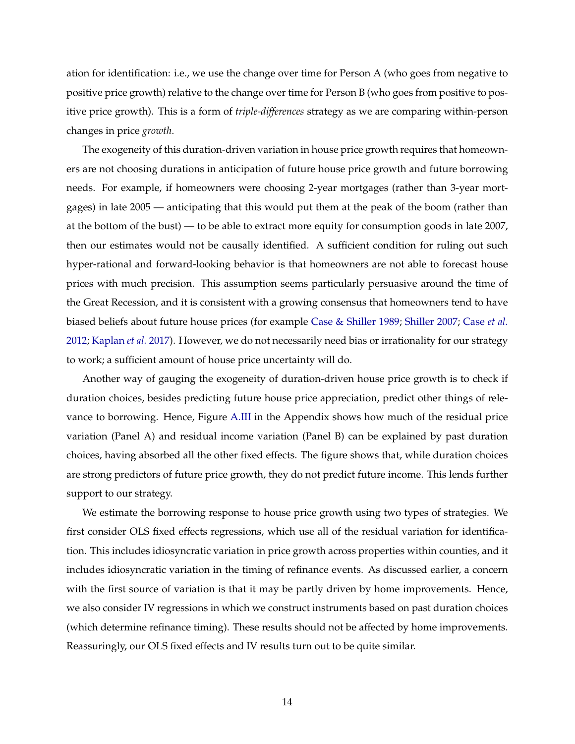<span id="page-14-0"></span>ation for identification: i.e., we use the change over time for Person A (who goes from negative to positive price growth) relative to the change over time for Person B (who goes from positive to positive price growth). This is a form of *triple-differences* strategy as we are comparing within-person changes in price *growth*.

The exogeneity of this duration-driven variation in house price growth requires that homeowners are not choosing durations in anticipation of future house price growth and future borrowing needs. For example, if homeowners were choosing 2-year mortgages (rather than 3-year mortgages) in late 2005 — anticipating that this would put them at the peak of the boom (rather than at the bottom of the bust) — to be able to extract more equity for consumption goods in late 2007, then our estimates would not be causally identified. A sufficient condition for ruling out such hyper-rational and forward-looking behavior is that homeowners are not able to forecast house prices with much precision. This assumption seems particularly persuasive around the time of the Great Recession, and it is consistent with a growing consensus that homeowners tend to have biased beliefs about future house prices (for example [Case & Shiller](#page-28-10) [1989;](#page-28-10) [Shiller](#page-31-5) [2007;](#page-31-5) [Case](#page-28-11) *et al.* [2012;](#page-28-11) [Kaplan](#page-30-2) *et al.* [2017\)](#page-30-2). However, we do not necessarily need bias or irrationality for our strategy to work; a sufficient amount of house price uncertainty will do.

Another way of gauging the exogeneity of duration-driven house price growth is to check if duration choices, besides predicting future house price appreciation, predict other things of relevance to borrowing. Hence, Figure [A.III](#page-49-0) in the Appendix shows how much of the residual price variation (Panel A) and residual income variation (Panel B) can be explained by past duration choices, having absorbed all the other fixed effects. The figure shows that, while duration choices are strong predictors of future price growth, they do not predict future income. This lends further support to our strategy.

We estimate the borrowing response to house price growth using two types of strategies. We first consider OLS fixed effects regressions, which use all of the residual variation for identification. This includes idiosyncratic variation in price growth across properties within counties, and it includes idiosyncratic variation in the timing of refinance events. As discussed earlier, a concern with the first source of variation is that it may be partly driven by home improvements. Hence, we also consider IV regressions in which we construct instruments based on past duration choices (which determine refinance timing). These results should not be affected by home improvements. Reassuringly, our OLS fixed effects and IV results turn out to be quite similar.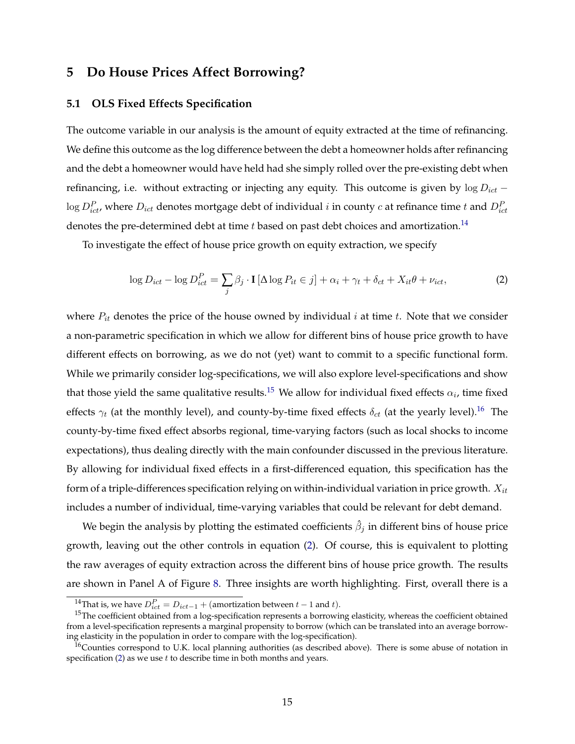## <span id="page-15-0"></span>**5 Do House Prices Affect Borrowing?**

#### <span id="page-15-1"></span>**5.1 OLS Fixed Effects Specification**

The outcome variable in our analysis is the amount of equity extracted at the time of refinancing. We define this outcome as the log difference between the debt a homeowner holds after refinancing and the debt a homeowner would have held had she simply rolled over the pre-existing debt when refinancing, i.e. without extracting or injecting any equity. This outcome is given by  $\log D_{ict}$  −  $\log D_{ict}^P$ , where  $D_{ict}$  denotes mortgage debt of individual  $i$  in county  $c$  at refinance time  $t$  and  $D_{ict}^P$ denotes the pre-determined debt at time  $t$  based on past debt choices and amortization.<sup>[14](#page-15-2)</sup>

To investigate the effect of house price growth on equity extraction, we specify

<span id="page-15-5"></span>
$$
\log D_{ict} - \log D_{ict}^P = \sum_j \beta_j \cdot \mathbf{I} \left[ \Delta \log P_{it} \in j \right] + \alpha_i + \gamma_t + \delta_{ct} + X_{it} \theta + \nu_{ict},\tag{2}
$$

where  $P_{it}$  denotes the price of the house owned by individual i at time t. Note that we consider a non-parametric specification in which we allow for different bins of house price growth to have different effects on borrowing, as we do not (yet) want to commit to a specific functional form. While we primarily consider log-specifications, we will also explore level-specifications and show that those yield the same qualitative results.<sup>[15](#page-15-3)</sup> We allow for individual fixed effects  $\alpha_i$ , time fixed effects  $\gamma_t$  (at the monthly level), and county-by-time fixed effects  $\delta_{ct}$  (at the yearly level).<sup>[16](#page-15-4)</sup> The county-by-time fixed effect absorbs regional, time-varying factors (such as local shocks to income expectations), thus dealing directly with the main confounder discussed in the previous literature. By allowing for individual fixed effects in a first-differenced equation, this specification has the form of a triple-differences specification relying on within-individual variation in price growth.  $X_{it}$ includes a number of individual, time-varying variables that could be relevant for debt demand.

We begin the analysis by plotting the estimated coefficients  $\hat{\beta}_j$  in different bins of house price growth, leaving out the other controls in equation [\(2\)](#page-15-5). Of course, this is equivalent to plotting the raw averages of equity extraction across the different bins of house price growth. The results are shown in Panel A of Figure [8.](#page-39-0) Three insights are worth highlighting. First, overall there is a

<span id="page-15-3"></span><span id="page-15-2"></span><sup>&</sup>lt;sup>14</sup>That is, we have  $D_{ict}^P = D_{ict-1} + ($ amortization between  $t-1$  and  $t$ ).

<sup>&</sup>lt;sup>15</sup>The coefficient obtained from a log-specification represents a borrowing elasticity, whereas the coefficient obtained from a level-specification represents a marginal propensity to borrow (which can be translated into an average borrowing elasticity in the population in order to compare with the log-specification).

<span id="page-15-4"></span> $<sup>16</sup>$ Counties correspond to U.K. local planning authorities (as described above). There is some abuse of notation in</sup> specification  $(2)$  as we use  $t$  to describe time in both months and years.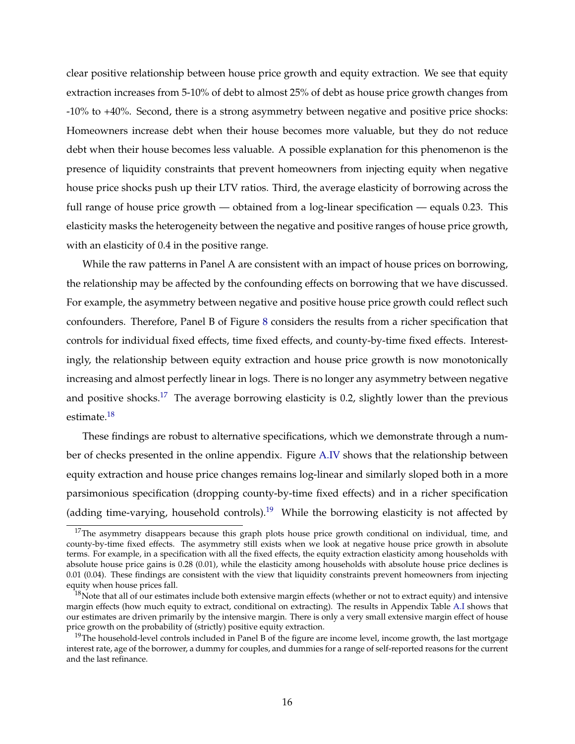clear positive relationship between house price growth and equity extraction. We see that equity extraction increases from 5-10% of debt to almost 25% of debt as house price growth changes from -10% to +40%. Second, there is a strong asymmetry between negative and positive price shocks: Homeowners increase debt when their house becomes more valuable, but they do not reduce debt when their house becomes less valuable. A possible explanation for this phenomenon is the presence of liquidity constraints that prevent homeowners from injecting equity when negative house price shocks push up their LTV ratios. Third, the average elasticity of borrowing across the full range of house price growth — obtained from a log-linear specification — equals 0.23. This elasticity masks the heterogeneity between the negative and positive ranges of house price growth, with an elasticity of 0.4 in the positive range.

While the raw patterns in Panel A are consistent with an impact of house prices on borrowing, the relationship may be affected by the confounding effects on borrowing that we have discussed. For example, the asymmetry between negative and positive house price growth could reflect such confounders. Therefore, Panel B of Figure [8](#page-39-0) considers the results from a richer specification that controls for individual fixed effects, time fixed effects, and county-by-time fixed effects. Interestingly, the relationship between equity extraction and house price growth is now monotonically increasing and almost perfectly linear in logs. There is no longer any asymmetry between negative and positive shocks.<sup>[17](#page-16-0)</sup> The average borrowing elasticity is 0.2, slightly lower than the previous estimate.<sup>[18](#page-16-1)</sup>

These findings are robust to alternative specifications, which we demonstrate through a number of checks presented in the online appendix. Figure [A.IV](#page-50-0) shows that the relationship between equity extraction and house price changes remains log-linear and similarly sloped both in a more parsimonious specification (dropping county-by-time fixed effects) and in a richer specification (adding time-varying, household controls).<sup>[19](#page-16-2)</sup> While the borrowing elasticity is not affected by

<span id="page-16-0"></span> $17$ The asymmetry disappears because this graph plots house price growth conditional on individual, time, and county-by-time fixed effects. The asymmetry still exists when we look at negative house price growth in absolute terms. For example, in a specification with all the fixed effects, the equity extraction elasticity among households with absolute house price gains is 0.28 (0.01), while the elasticity among households with absolute house price declines is 0.01 (0.04). These findings are consistent with the view that liquidity constraints prevent homeowners from injecting equity when house prices fall.

<span id="page-16-1"></span> $18$ Note that all of our estimates include both extensive margin effects (whether or not to extract equity) and intensive margin effects (how much equity to extract, conditional on extracting). The results in Appendix Table [A.I](#page-58-0) shows that our estimates are driven primarily by the intensive margin. There is only a very small extensive margin effect of house price growth on the probability of (strictly) positive equity extraction.

<span id="page-16-2"></span> $19$ The household-level controls included in Panel B of the figure are income level, income growth, the last mortgage interest rate, age of the borrower, a dummy for couples, and dummies for a range of self-reported reasons for the current and the last refinance.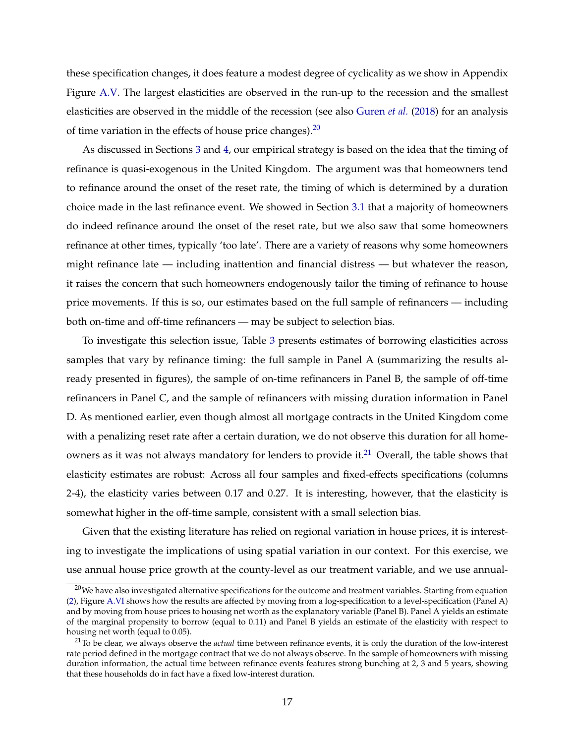<span id="page-17-2"></span>these specification changes, it does feature a modest degree of cyclicality as we show in Appendix Figure [A.V.](#page-51-0) The largest elasticities are observed in the run-up to the recession and the smallest elasticities are observed in the middle of the recession (see also [Guren](#page-30-9) *et al.* [\(2018\)](#page-30-9) for an analysis of time variation in the effects of house price changes).  $20$ 

As discussed in Sections [3](#page-7-0) and [4,](#page-12-0) our empirical strategy is based on the idea that the timing of refinance is quasi-exogenous in the United Kingdom. The argument was that homeowners tend to refinance around the onset of the reset rate, the timing of which is determined by a duration choice made in the last refinance event. We showed in Section [3.1](#page-7-3) that a majority of homeowners do indeed refinance around the onset of the reset rate, but we also saw that some homeowners refinance at other times, typically 'too late'. There are a variety of reasons why some homeowners might refinance late — including inattention and financial distress — but whatever the reason, it raises the concern that such homeowners endogenously tailor the timing of refinance to house price movements. If this is so, our estimates based on the full sample of refinancers — including both on-time and off-time refinancers — may be subject to selection bias.

To investigate this selection issue, Table [3](#page-45-0) presents estimates of borrowing elasticities across samples that vary by refinance timing: the full sample in Panel A (summarizing the results already presented in figures), the sample of on-time refinancers in Panel B, the sample of off-time refinancers in Panel C, and the sample of refinancers with missing duration information in Panel D. As mentioned earlier, even though almost all mortgage contracts in the United Kingdom come with a penalizing reset rate after a certain duration, we do not observe this duration for all home-owners as it was not always mandatory for lenders to provide it.<sup>[21](#page-17-1)</sup> Overall, the table shows that elasticity estimates are robust: Across all four samples and fixed-effects specifications (columns 2-4), the elasticity varies between 0.17 and 0.27. It is interesting, however, that the elasticity is somewhat higher in the off-time sample, consistent with a small selection bias.

Given that the existing literature has relied on regional variation in house prices, it is interesting to investigate the implications of using spatial variation in our context. For this exercise, we use annual house price growth at the county-level as our treatment variable, and we use annual-

<span id="page-17-0"></span> $20$ We have also investigated alternative specifications for the outcome and treatment variables. Starting from equation [\(2\)](#page-15-5), Figure [A.VI](#page-52-0) shows how the results are affected by moving from a log-specification to a level-specification (Panel A) and by moving from house prices to housing net worth as the explanatory variable (Panel B). Panel A yields an estimate of the marginal propensity to borrow (equal to 0.11) and Panel B yields an estimate of the elasticity with respect to housing net worth (equal to 0.05).

<span id="page-17-1"></span><sup>21</sup>To be clear, we always observe the *actual* time between refinance events, it is only the duration of the low-interest rate period defined in the mortgage contract that we do not always observe. In the sample of homeowners with missing duration information, the actual time between refinance events features strong bunching at 2, 3 and 5 years, showing that these households do in fact have a fixed low-interest duration.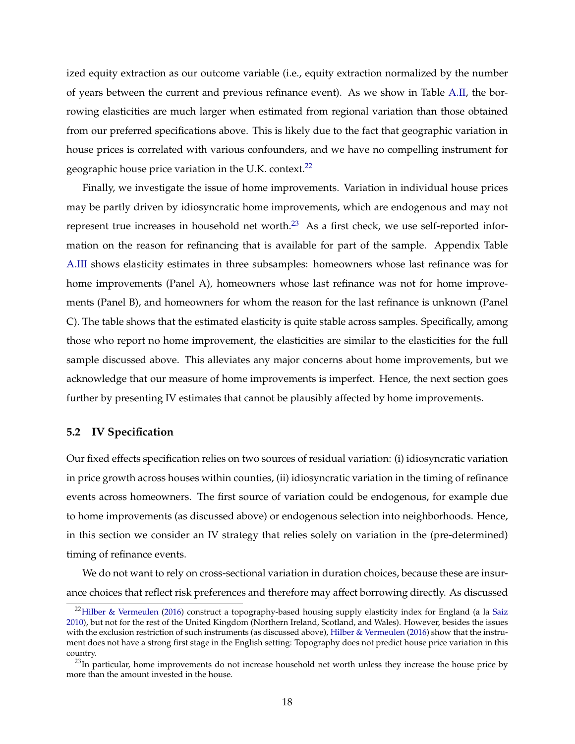<span id="page-18-2"></span>ized equity extraction as our outcome variable (i.e., equity extraction normalized by the number of years between the current and previous refinance event). As we show in Table [A.II,](#page-59-0) the borrowing elasticities are much larger when estimated from regional variation than those obtained from our preferred specifications above. This is likely due to the fact that geographic variation in house prices is correlated with various confounders, and we have no compelling instrument for geographic house price variation in the U.K. context.<sup>[22](#page-18-0)</sup>

Finally, we investigate the issue of home improvements. Variation in individual house prices may be partly driven by idiosyncratic home improvements, which are endogenous and may not represent true increases in household net worth.<sup>[23](#page-18-1)</sup> As a first check, we use self-reported information on the reason for refinancing that is available for part of the sample. Appendix Table [A.III](#page-60-0) shows elasticity estimates in three subsamples: homeowners whose last refinance was for home improvements (Panel A), homeowners whose last refinance was not for home improvements (Panel B), and homeowners for whom the reason for the last refinance is unknown (Panel C). The table shows that the estimated elasticity is quite stable across samples. Specifically, among those who report no home improvement, the elasticities are similar to the elasticities for the full sample discussed above. This alleviates any major concerns about home improvements, but we acknowledge that our measure of home improvements is imperfect. Hence, the next section goes further by presenting IV estimates that cannot be plausibly affected by home improvements.

#### **5.2 IV Specification**

Our fixed effects specification relies on two sources of residual variation: (i) idiosyncratic variation in price growth across houses within counties, (ii) idiosyncratic variation in the timing of refinance events across homeowners. The first source of variation could be endogenous, for example due to home improvements (as discussed above) or endogenous selection into neighborhoods. Hence, in this section we consider an IV strategy that relies solely on variation in the (pre-determined) timing of refinance events.

We do not want to rely on cross-sectional variation in duration choices, because these are insurance choices that reflect risk preferences and therefore may affect borrowing directly. As discussed

<span id="page-18-0"></span> $^{22}$ [Hilber & Vermeulen](#page-30-10) [\(2016\)](#page-30-10) construct a topography-based housing supply elasticity index for England (a la [Saiz](#page-31-1) [2010\)](#page-31-1), but not for the rest of the United Kingdom (Northern Ireland, Scotland, and Wales). However, besides the issues with the exclusion restriction of such instruments (as discussed above), [Hilber & Vermeulen](#page-30-10) [\(2016\)](#page-30-10) show that the instrument does not have a strong first stage in the English setting: Topography does not predict house price variation in this country.

<span id="page-18-1"></span> $^{23}$ In particular, home improvements do not increase household net worth unless they increase the house price by more than the amount invested in the house.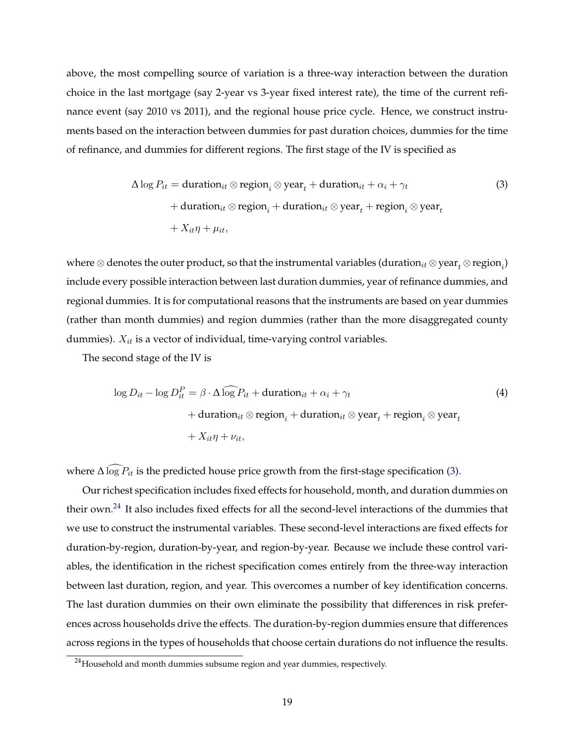above, the most compelling source of variation is a three-way interaction between the duration choice in the last mortgage (say 2-year vs 3-year fixed interest rate), the time of the current refinance event (say 2010 vs 2011), and the regional house price cycle. Hence, we construct instruments based on the interaction between dummies for past duration choices, dummies for the time of refinance, and dummies for different regions. The first stage of the IV is specified as

<span id="page-19-0"></span>
$$
\Delta \log P_{it} = \text{duration}_{it} \otimes \text{region}_{i} \otimes \text{year}_{t} + \text{duration}_{it} + \alpha_{i} + \gamma_{t}
$$
\n
$$
+ \text{duration}_{it} \otimes \text{region}_{i} + \text{duration}_{it} \otimes \text{year}_{t} + \text{region}_{i} \otimes \text{year}_{t}
$$
\n
$$
+ X_{it}\eta + \mu_{it},
$$
\n(3)

where  $\otimes$  denotes the outer product, so that the instrumental variables (duration $_{it}$   $\otimes$  year $_{t}$   $\otimes$  region $_{i}$ ) include every possible interaction between last duration dummies, year of refinance dummies, and regional dummies. It is for computational reasons that the instruments are based on year dummies (rather than month dummies) and region dummies (rather than the more disaggregated county dummies).  $X_{it}$  is a vector of individual, time-varying control variables.

The second stage of the IV is

<span id="page-19-2"></span>
$$
\log D_{it} - \log D_{it}^P = \beta \cdot \Delta \log P_{it} + \text{duration}_{it} + \alpha_i + \gamma_t
$$
  
+ duration<sub>it</sub> ⊗ region<sub>i</sub> + duration<sub>it</sub> ⊗ year<sub>t</sub> + region<sub>i</sub> ⊗ year<sub>t</sub>  
+  $X_{it} \eta + \nu_{it}$ , (4)

where  $\Delta \log P_{it}$  is the predicted house price growth from the first-stage specification [\(3\)](#page-19-0).

Our richest specification includes fixed effects for household, month, and duration dummies on their own.<sup>[24](#page-19-1)</sup> It also includes fixed effects for all the second-level interactions of the dummies that we use to construct the instrumental variables. These second-level interactions are fixed effects for duration-by-region, duration-by-year, and region-by-year. Because we include these control variables, the identification in the richest specification comes entirely from the three-way interaction between last duration, region, and year. This overcomes a number of key identification concerns. The last duration dummies on their own eliminate the possibility that differences in risk preferences across households drive the effects. The duration-by-region dummies ensure that differences across regions in the types of households that choose certain durations do not influence the results.

<span id="page-19-1"></span> $24$ Household and month dummies subsume region and year dummies, respectively.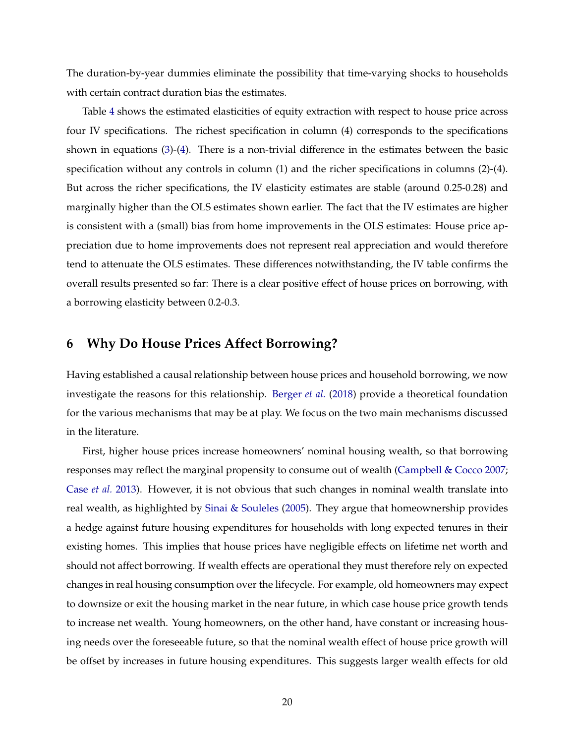<span id="page-20-1"></span>The duration-by-year dummies eliminate the possibility that time-varying shocks to households with certain contract duration bias the estimates.

Table [4](#page-46-0) shows the estimated elasticities of equity extraction with respect to house price across four IV specifications. The richest specification in column (4) corresponds to the specifications shown in equations [\(3\)](#page-19-0)-[\(4\)](#page-19-2). There is a non-trivial difference in the estimates between the basic specification without any controls in column (1) and the richer specifications in columns (2)-(4). But across the richer specifications, the IV elasticity estimates are stable (around 0.25-0.28) and marginally higher than the OLS estimates shown earlier. The fact that the IV estimates are higher is consistent with a (small) bias from home improvements in the OLS estimates: House price appreciation due to home improvements does not represent real appreciation and would therefore tend to attenuate the OLS estimates. These differences notwithstanding, the IV table confirms the overall results presented so far: There is a clear positive effect of house prices on borrowing, with a borrowing elasticity between 0.2-0.3.

## <span id="page-20-0"></span>**6 Why Do House Prices Affect Borrowing?**

Having established a causal relationship between house prices and household borrowing, we now investigate the reasons for this relationship. [Berger](#page-28-3) *et al.* [\(2018\)](#page-28-3) provide a theoretical foundation for the various mechanisms that may be at play. We focus on the two main mechanisms discussed in the literature.

First, higher house prices increase homeowners' nominal housing wealth, so that borrowing responses may reflect the marginal propensity to consume out of wealth [\(Campbell & Cocco](#page-28-0) [2007;](#page-28-0) [Case](#page-28-4) *et al.* [2013\)](#page-28-4). However, it is not obvious that such changes in nominal wealth translate into real wealth, as highlighted by [Sinai & Souleles](#page-31-2) [\(2005\)](#page-31-2). They argue that homeownership provides a hedge against future housing expenditures for households with long expected tenures in their existing homes. This implies that house prices have negligible effects on lifetime net worth and should not affect borrowing. If wealth effects are operational they must therefore rely on expected changes in real housing consumption over the lifecycle. For example, old homeowners may expect to downsize or exit the housing market in the near future, in which case house price growth tends to increase net wealth. Young homeowners, on the other hand, have constant or increasing housing needs over the foreseeable future, so that the nominal wealth effect of house price growth will be offset by increases in future housing expenditures. This suggests larger wealth effects for old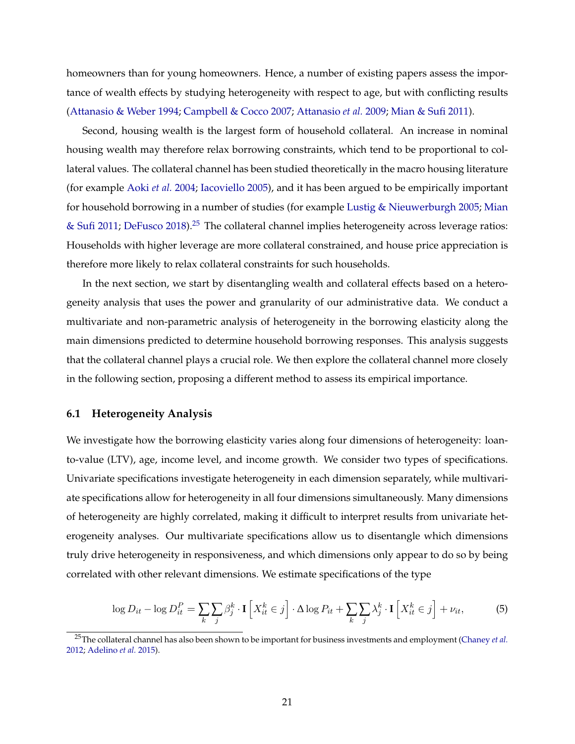<span id="page-21-2"></span>homeowners than for young homeowners. Hence, a number of existing papers assess the importance of wealth effects by studying heterogeneity with respect to age, but with conflicting results [\(Attanasio & Weber](#page-27-3) [1994;](#page-27-3) [Campbell & Cocco](#page-28-0) [2007;](#page-28-0) [Attanasio](#page-27-0) *et al.* [2009;](#page-27-0) [Mian & Sufi](#page-30-0) [2011\)](#page-30-0).

Second, housing wealth is the largest form of household collateral. An increase in nominal housing wealth may therefore relax borrowing constraints, which tend to be proportional to collateral values. The collateral channel has been studied theoretically in the macro housing literature (for example [Aoki](#page-27-8) *et al.* [2004;](#page-27-8) [Iacoviello](#page-30-11) [2005\)](#page-30-11), and it has been argued to be empirically important for household borrowing in a number of studies (for example [Lustig & Nieuwerburgh](#page-30-12) [2005;](#page-30-12) [Mian](#page-30-0) [& Sufi](#page-30-0) [2011;](#page-30-0) [DeFusco](#page-29-9) [2018\)](#page-29-9).<sup>[25](#page-21-0)</sup> The collateral channel implies heterogeneity across leverage ratios: Households with higher leverage are more collateral constrained, and house price appreciation is therefore more likely to relax collateral constraints for such households.

In the next section, we start by disentangling wealth and collateral effects based on a heterogeneity analysis that uses the power and granularity of our administrative data. We conduct a multivariate and non-parametric analysis of heterogeneity in the borrowing elasticity along the main dimensions predicted to determine household borrowing responses. This analysis suggests that the collateral channel plays a crucial role. We then explore the collateral channel more closely in the following section, proposing a different method to assess its empirical importance.

#### **6.1 Heterogeneity Analysis**

We investigate how the borrowing elasticity varies along four dimensions of heterogeneity: loanto-value (LTV), age, income level, and income growth. We consider two types of specifications. Univariate specifications investigate heterogeneity in each dimension separately, while multivariate specifications allow for heterogeneity in all four dimensions simultaneously. Many dimensions of heterogeneity are highly correlated, making it difficult to interpret results from univariate heterogeneity analyses. Our multivariate specifications allow us to disentangle which dimensions truly drive heterogeneity in responsiveness, and which dimensions only appear to do so by being correlated with other relevant dimensions. We estimate specifications of the type

<span id="page-21-1"></span>
$$
\log D_{it} - \log D_{it}^P = \sum_k \sum_j \beta_j^k \cdot \mathbf{I} \left[ X_{it}^k \in j \right] \cdot \Delta \log P_{it} + \sum_k \sum_j \lambda_j^k \cdot \mathbf{I} \left[ X_{it}^k \in j \right] + \nu_{it},\tag{5}
$$

<span id="page-21-0"></span><sup>25</sup>The collateral channel has also been shown to be important for business investments and employment [\(Chaney](#page-29-10) *et al.* [2012;](#page-29-10) [Adelino](#page-27-9) *et al.* [2015\)](#page-27-9).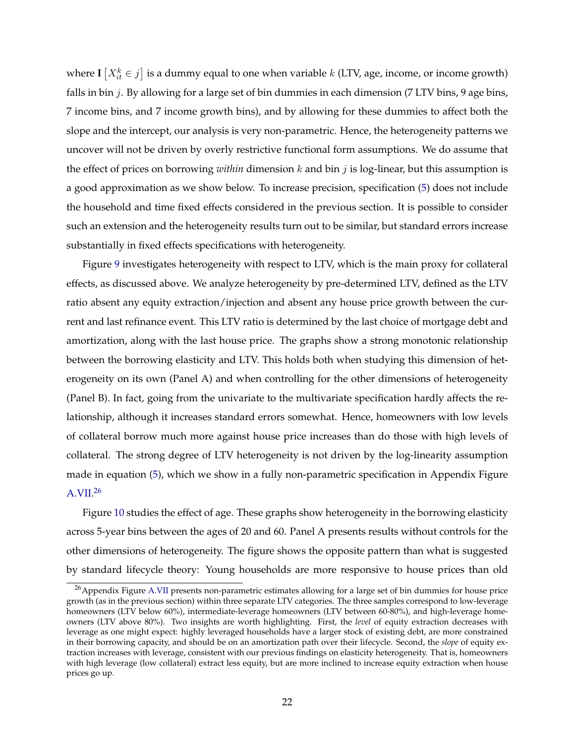where  $\mathbf{I}\left[X_{it}^k \in j\right]$  is a dummy equal to one when variable  $k$  (LTV, age, income, or income growth) falls in bin  $j$ . By allowing for a large set of bin dummies in each dimension (7 LTV bins, 9 age bins, 7 income bins, and 7 income growth bins), and by allowing for these dummies to affect both the slope and the intercept, our analysis is very non-parametric. Hence, the heterogeneity patterns we uncover will not be driven by overly restrictive functional form assumptions. We do assume that the effect of prices on borrowing *within* dimension k and bin j is log-linear, but this assumption is a good approximation as we show below. To increase precision, specification [\(5\)](#page-21-1) does not include the household and time fixed effects considered in the previous section. It is possible to consider such an extension and the heterogeneity results turn out to be similar, but standard errors increase substantially in fixed effects specifications with heterogeneity.

Figure [9](#page-40-0) investigates heterogeneity with respect to LTV, which is the main proxy for collateral effects, as discussed above. We analyze heterogeneity by pre-determined LTV, defined as the LTV ratio absent any equity extraction/injection and absent any house price growth between the current and last refinance event. This LTV ratio is determined by the last choice of mortgage debt and amortization, along with the last house price. The graphs show a strong monotonic relationship between the borrowing elasticity and LTV. This holds both when studying this dimension of heterogeneity on its own (Panel A) and when controlling for the other dimensions of heterogeneity (Panel B). In fact, going from the univariate to the multivariate specification hardly affects the relationship, although it increases standard errors somewhat. Hence, homeowners with low levels of collateral borrow much more against house price increases than do those with high levels of collateral. The strong degree of LTV heterogeneity is not driven by the log-linearity assumption made in equation [\(5\)](#page-21-1), which we show in a fully non-parametric specification in Appendix Figure [A.VII.](#page-53-0) [26](#page-22-0)

Figure [10](#page-41-0) studies the effect of age. These graphs show heterogeneity in the borrowing elasticity across 5-year bins between the ages of 20 and 60. Panel A presents results without controls for the other dimensions of heterogeneity. The figure shows the opposite pattern than what is suggested by standard lifecycle theory: Young households are more responsive to house prices than old

<span id="page-22-0"></span> $^{26}$ Appendix Figure [A.VII](#page-53-0) presents non-parametric estimates allowing for a large set of bin dummies for house price growth (as in the previous section) within three separate LTV categories. The three samples correspond to low-leverage homeowners (LTV below 60%), intermediate-leverage homeowners (LTV between 60-80%), and high-leverage homeowners (LTV above 80%). Two insights are worth highlighting. First, the *level* of equity extraction decreases with leverage as one might expect: highly leveraged households have a larger stock of existing debt, are more constrained in their borrowing capacity, and should be on an amortization path over their lifecycle. Second, the *slope* of equity extraction increases with leverage, consistent with our previous findings on elasticity heterogeneity. That is, homeowners with high leverage (low collateral) extract less equity, but are more inclined to increase equity extraction when house prices go up.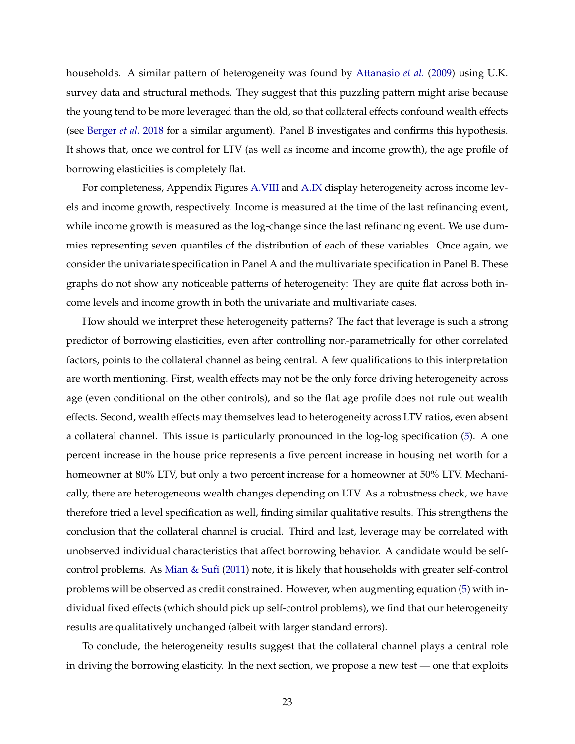<span id="page-23-0"></span>households. A similar pattern of heterogeneity was found by [Attanasio](#page-27-0) *et al.* [\(2009\)](#page-27-0) using U.K. survey data and structural methods. They suggest that this puzzling pattern might arise because the young tend to be more leveraged than the old, so that collateral effects confound wealth effects (see [Berger](#page-28-3) *et al.* [2018](#page-28-3) for a similar argument). Panel B investigates and confirms this hypothesis. It shows that, once we control for LTV (as well as income and income growth), the age profile of borrowing elasticities is completely flat.

For completeness, Appendix Figures [A.VIII](#page-54-0) and [A.IX](#page-55-0) display heterogeneity across income levels and income growth, respectively. Income is measured at the time of the last refinancing event, while income growth is measured as the log-change since the last refinancing event. We use dummies representing seven quantiles of the distribution of each of these variables. Once again, we consider the univariate specification in Panel A and the multivariate specification in Panel B. These graphs do not show any noticeable patterns of heterogeneity: They are quite flat across both income levels and income growth in both the univariate and multivariate cases.

How should we interpret these heterogeneity patterns? The fact that leverage is such a strong predictor of borrowing elasticities, even after controlling non-parametrically for other correlated factors, points to the collateral channel as being central. A few qualifications to this interpretation are worth mentioning. First, wealth effects may not be the only force driving heterogeneity across age (even conditional on the other controls), and so the flat age profile does not rule out wealth effects. Second, wealth effects may themselves lead to heterogeneity across LTV ratios, even absent a collateral channel. This issue is particularly pronounced in the log-log specification [\(5\)](#page-21-1). A one percent increase in the house price represents a five percent increase in housing net worth for a homeowner at 80% LTV, but only a two percent increase for a homeowner at 50% LTV. Mechanically, there are heterogeneous wealth changes depending on LTV. As a robustness check, we have therefore tried a level specification as well, finding similar qualitative results. This strengthens the conclusion that the collateral channel is crucial. Third and last, leverage may be correlated with unobserved individual characteristics that affect borrowing behavior. A candidate would be selfcontrol problems. As [Mian & Sufi](#page-30-0) [\(2011\)](#page-30-0) note, it is likely that households with greater self-control problems will be observed as credit constrained. However, when augmenting equation [\(5\)](#page-21-1) with individual fixed effects (which should pick up self-control problems), we find that our heterogeneity results are qualitatively unchanged (albeit with larger standard errors).

To conclude, the heterogeneity results suggest that the collateral channel plays a central role in driving the borrowing elasticity. In the next section, we propose a new test — one that exploits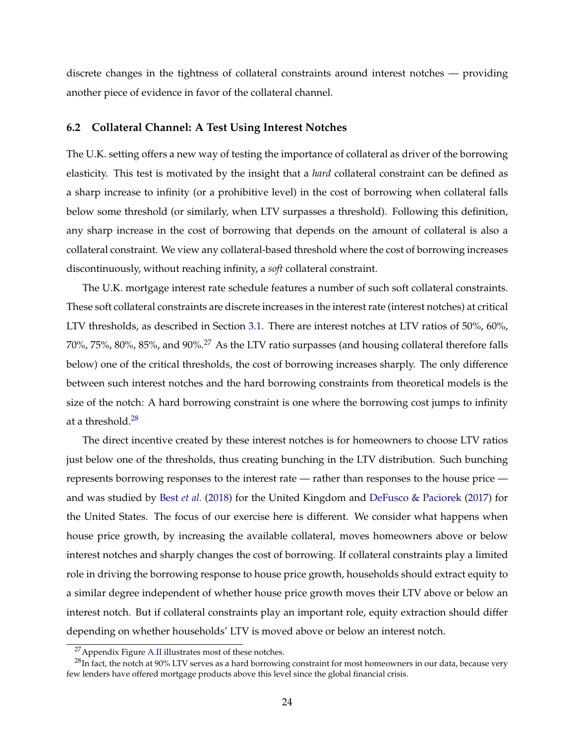<span id="page-24-2"></span>discrete changes in the tightness of collateral constraints around interest notches — providing another piece of evidence in favor of the collateral channel.

#### **6.2 Collateral Channel: A Test Using Interest Notches**

The U.K. setting offers a new way of testing the importance of collateral as driver of the borrowing elasticity. This test is motivated by the insight that a *hard* collateral constraint can be defined as a sharp increase to infinity (or a prohibitive level) in the cost of borrowing when collateral falls below some threshold (or similarly, when LTV surpasses a threshold). Following this definition, any sharp increase in the cost of borrowing that depends on the amount of collateral is also a collateral constraint. We view any collateral-based threshold where the cost of borrowing increases discontinuously, without reaching infinity, a *soft* collateral constraint.

The U.K. mortgage interest rate schedule features a number of such soft collateral constraints. These soft collateral constraints are discrete increases in the interest rate (interest notches) at critical LTV thresholds, as described in Section [3.1.](#page-7-3) There are interest notches at LTV ratios of 50%, 60%, 70%, 75%, 80%, 85%, and 90%.[27](#page-24-0) As the LTV ratio surpasses (and housing collateral therefore falls below) one of the critical thresholds, the cost of borrowing increases sharply. The only difference between such interest notches and the hard borrowing constraints from theoretical models is the size of the notch: A hard borrowing constraint is one where the borrowing cost jumps to infinity at a threshold.<sup>[28](#page-24-1)</sup>

The direct incentive created by these interest notches is for homeowners to choose LTV ratios just below one of the thresholds, thus creating bunching in the LTV distribution. Such bunching represents borrowing responses to the interest rate — rather than responses to the house price and was studied by Best *[et al.](#page-28-2)* [\(2018\)](#page-28-2) for the United Kingdom and [DeFusco & Paciorek](#page-29-2) [\(2017\)](#page-29-2) for the United States. The focus of our exercise here is different. We consider what happens when house price growth, by increasing the available collateral, moves homeowners above or below interest notches and sharply changes the cost of borrowing. If collateral constraints play a limited role in driving the borrowing response to house price growth, households should extract equity to a similar degree independent of whether house price growth moves their LTV above or below an interest notch. But if collateral constraints play an important role, equity extraction should differ depending on whether households' LTV is moved above or below an interest notch.

<span id="page-24-1"></span><span id="page-24-0"></span><sup>27</sup>Appendix Figure [A.II](#page-48-0) illustrates most of these notches.

 $^{28}$ In fact, the notch at 90% LTV serves as a hard borrowing constraint for most homeowners in our data, because very few lenders have offered mortgage products above this level since the global financial crisis.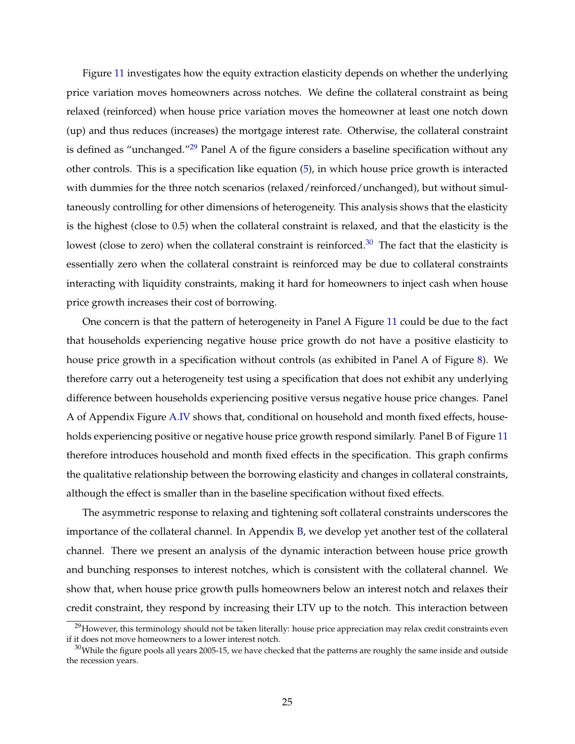Figure [11](#page-42-0) investigates how the equity extraction elasticity depends on whether the underlying price variation moves homeowners across notches. We define the collateral constraint as being relaxed (reinforced) when house price variation moves the homeowner at least one notch down (up) and thus reduces (increases) the mortgage interest rate. Otherwise, the collateral constraint is defined as "unchanged."<sup>[29](#page-25-0)</sup> Panel A of the figure considers a baseline specification without any other controls. This is a specification like equation [\(5\)](#page-21-1), in which house price growth is interacted with dummies for the three notch scenarios (relaxed/reinforced/unchanged), but without simultaneously controlling for other dimensions of heterogeneity. This analysis shows that the elasticity is the highest (close to 0.5) when the collateral constraint is relaxed, and that the elasticity is the lowest (close to zero) when the collateral constraint is reinforced.<sup>[30](#page-25-1)</sup> The fact that the elasticity is essentially zero when the collateral constraint is reinforced may be due to collateral constraints interacting with liquidity constraints, making it hard for homeowners to inject cash when house price growth increases their cost of borrowing.

One concern is that the pattern of heterogeneity in Panel A Figure [11](#page-42-0) could be due to the fact that households experiencing negative house price growth do not have a positive elasticity to house price growth in a specification without controls (as exhibited in Panel A of Figure [8\)](#page-39-0). We therefore carry out a heterogeneity test using a specification that does not exhibit any underlying difference between households experiencing positive versus negative house price changes. Panel A of Appendix Figure [A.IV](#page-50-0) shows that, conditional on household and month fixed effects, households experiencing positive or negative house price growth respond similarly. Panel B of Figure [11](#page-42-0) therefore introduces household and month fixed effects in the specification. This graph confirms the qualitative relationship between the borrowing elasticity and changes in collateral constraints, although the effect is smaller than in the baseline specification without fixed effects.

The asymmetric response to relaxing and tightening soft collateral constraints underscores the importance of the collateral channel. In Appendix [B,](#page-62-0) we develop yet another test of the collateral channel. There we present an analysis of the dynamic interaction between house price growth and bunching responses to interest notches, which is consistent with the collateral channel. We show that, when house price growth pulls homeowners below an interest notch and relaxes their credit constraint, they respond by increasing their LTV up to the notch. This interaction between

<span id="page-25-0"></span> $^{29}$ However, this terminology should not be taken literally: house price appreciation may relax credit constraints even if it does not move homeowners to a lower interest notch.

<span id="page-25-1"></span> $30$ While the figure pools all years 2005-15, we have checked that the patterns are roughly the same inside and outside the recession years.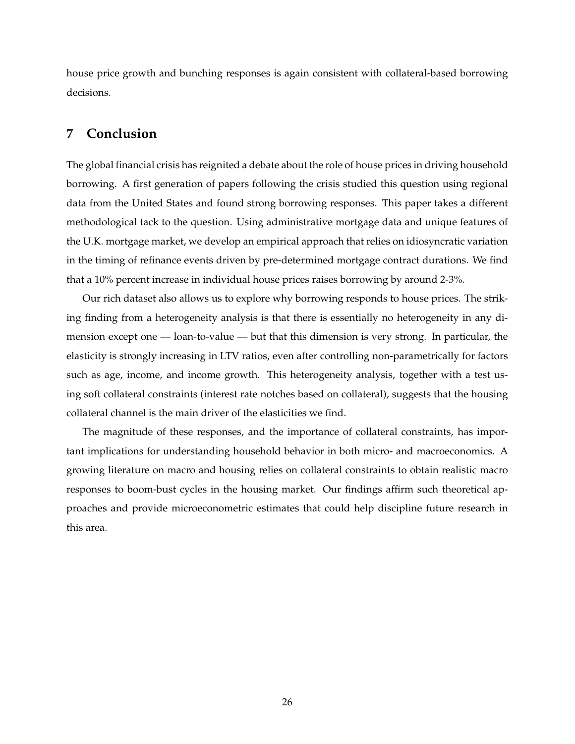house price growth and bunching responses is again consistent with collateral-based borrowing decisions.

## <span id="page-26-0"></span>**7 Conclusion**

The global financial crisis has reignited a debate about the role of house prices in driving household borrowing. A first generation of papers following the crisis studied this question using regional data from the United States and found strong borrowing responses. This paper takes a different methodological tack to the question. Using administrative mortgage data and unique features of the U.K. mortgage market, we develop an empirical approach that relies on idiosyncratic variation in the timing of refinance events driven by pre-determined mortgage contract durations. We find that a 10% percent increase in individual house prices raises borrowing by around 2-3%.

Our rich dataset also allows us to explore why borrowing responds to house prices. The striking finding from a heterogeneity analysis is that there is essentially no heterogeneity in any dimension except one — loan-to-value — but that this dimension is very strong. In particular, the elasticity is strongly increasing in LTV ratios, even after controlling non-parametrically for factors such as age, income, and income growth. This heterogeneity analysis, together with a test using soft collateral constraints (interest rate notches based on collateral), suggests that the housing collateral channel is the main driver of the elasticities we find.

The magnitude of these responses, and the importance of collateral constraints, has important implications for understanding household behavior in both micro- and macroeconomics. A growing literature on macro and housing relies on collateral constraints to obtain realistic macro responses to boom-bust cycles in the housing market. Our findings affirm such theoretical approaches and provide microeconometric estimates that could help discipline future research in this area.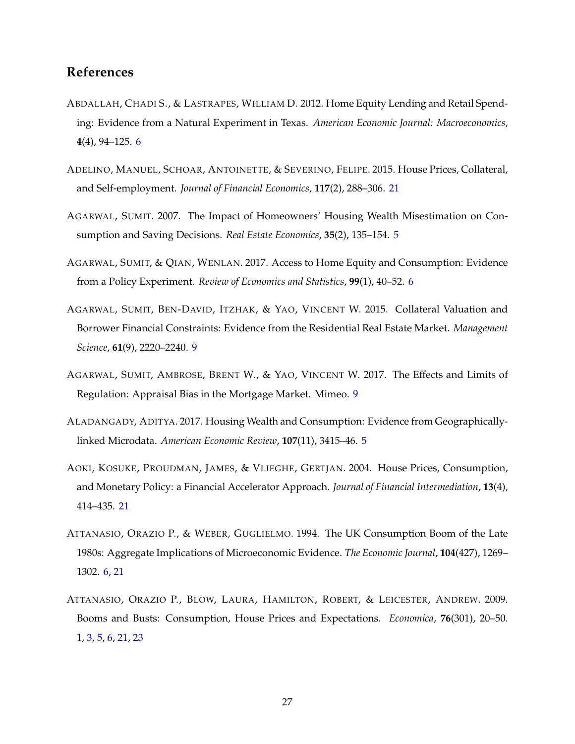## **References**

- <span id="page-27-4"></span>ABDALLAH, CHADI S., & LASTRAPES, WILLIAM D. 2012. Home Equity Lending and Retail Spending: Evidence from a Natural Experiment in Texas. *American Economic Journal: Macroeconomics*, **4**(4), 94–125. [6](#page-6-1)
- <span id="page-27-9"></span>ADELINO, MANUEL, SCHOAR, ANTOINETTE, & SEVERINO, FELIPE. 2015. House Prices, Collateral, and Self-employment. *Journal of Financial Economics*, **117**(2), 288–306. [21](#page-21-2)
- <span id="page-27-2"></span>AGARWAL, SUMIT. 2007. The Impact of Homeowners' Housing Wealth Misestimation on Consumption and Saving Decisions. *Real Estate Economics*, **35**(2), 135–154. [5](#page-5-1)
- <span id="page-27-5"></span>AGARWAL, SUMIT, & QIAN, WENLAN. 2017. Access to Home Equity and Consumption: Evidence from a Policy Experiment. *Review of Economics and Statistics*, **99**(1), 40–52. [6](#page-6-1)
- <span id="page-27-6"></span>AGARWAL, SUMIT, BEN-DAVID, ITZHAK, & YAO, VINCENT W. 2015. Collateral Valuation and Borrower Financial Constraints: Evidence from the Residential Real Estate Market. *Management Science*, **61**(9), 2220–2240. [9](#page-9-1)
- <span id="page-27-7"></span>AGARWAL, SUMIT, AMBROSE, BRENT W., & YAO, VINCENT W. 2017. The Effects and Limits of Regulation: Appraisal Bias in the Mortgage Market. Mimeo. [9](#page-9-1)
- <span id="page-27-1"></span>ALADANGADY, ADITYA. 2017. Housing Wealth and Consumption: Evidence from Geographicallylinked Microdata. *American Economic Review*, **107**(11), 3415–46. [5](#page-5-1)
- <span id="page-27-8"></span>AOKI, KOSUKE, PROUDMAN, JAMES, & VLIEGHE, GERTJAN. 2004. House Prices, Consumption, and Monetary Policy: a Financial Accelerator Approach. *Journal of Financial Intermediation*, **13**(4), 414–435. [21](#page-21-2)
- <span id="page-27-3"></span>ATTANASIO, ORAZIO P., & WEBER, GUGLIELMO. 1994. The UK Consumption Boom of the Late 1980s: Aggregate Implications of Microeconomic Evidence. *The Economic Journal*, **104**(427), 1269– 1302. [6,](#page-6-1) [21](#page-21-2)
- <span id="page-27-0"></span>ATTANASIO, ORAZIO P., BLOW, LAURA, HAMILTON, ROBERT, & LEICESTER, ANDREW. 2009. Booms and Busts: Consumption, House Prices and Expectations. *Economica*, **76**(301), 20–50. [1,](#page-0-0) [3,](#page-3-2) [5,](#page-5-1) [6,](#page-6-1) [21,](#page-21-2) [23](#page-23-0)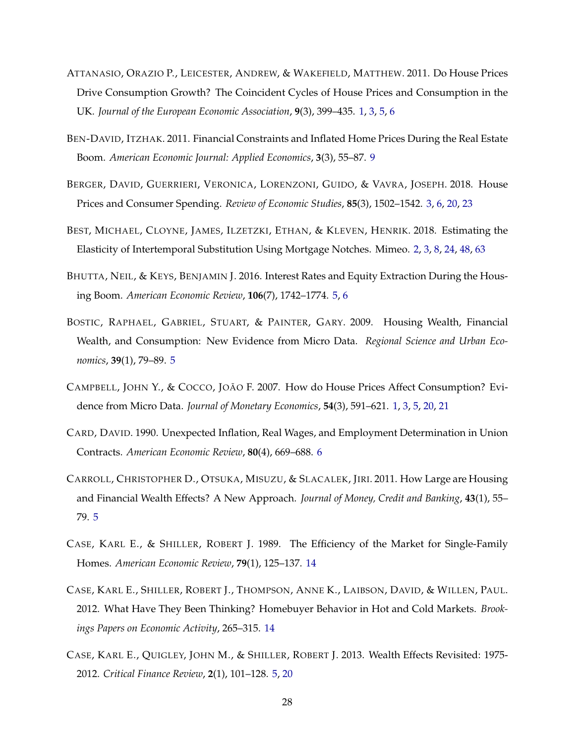- <span id="page-28-1"></span>ATTANASIO, ORAZIO P., LEICESTER, ANDREW, & WAKEFIELD, MATTHEW. 2011. Do House Prices Drive Consumption Growth? The Coincident Cycles of House Prices and Consumption in the UK. *Journal of the European Economic Association*, **9**(3), 399–435. [1,](#page-0-0) [3,](#page-3-2) [5,](#page-5-1) [6](#page-6-1)
- <span id="page-28-9"></span>BEN-DAVID, ITZHAK. 2011. Financial Constraints and Inflated Home Prices During the Real Estate Boom. *American Economic Journal: Applied Economics*, **3**(3), 55–87. [9](#page-9-1)
- <span id="page-28-3"></span>BERGER, DAVID, GUERRIERI, VERONICA, LORENZONI, GUIDO, & VAVRA, JOSEPH. 2018. House Prices and Consumer Spending. *Review of Economic Studies*, **85**(3), 1502–1542. [3,](#page-3-2) [6,](#page-6-1) [20,](#page-20-1) [23](#page-23-0)
- <span id="page-28-2"></span>BEST, MICHAEL, CLOYNE, JAMES, ILZETZKI, ETHAN, & KLEVEN, HENRIK. 2018. Estimating the Elasticity of Intertemporal Substitution Using Mortgage Notches. Mimeo. [2,](#page-2-2) [3,](#page-3-2) [8,](#page-8-2) [24,](#page-24-2) [48,](#page-48-1) [63](#page-63-0)
- <span id="page-28-5"></span>BHUTTA, NEIL, & KEYS, BENJAMIN J. 2016. Interest Rates and Equity Extraction During the Housing Boom. *American Economic Review*, **106**(7), 1742–1774. [5,](#page-5-1) [6](#page-6-1)
- <span id="page-28-7"></span>BOSTIC, RAPHAEL, GABRIEL, STUART, & PAINTER, GARY. 2009. Housing Wealth, Financial Wealth, and Consumption: New Evidence from Micro Data. *Regional Science and Urban Economics*, **39**(1), 79–89. [5](#page-5-1)
- <span id="page-28-0"></span>CAMPBELL, JOHN Y., & COCCO, JOÃO F. 2007. How do House Prices Affect Consumption? Evidence from Micro Data. *Journal of Monetary Economics*, **54**(3), 591–621. [1,](#page-0-0) [3,](#page-3-2) [5,](#page-5-1) [20,](#page-20-1) [21](#page-21-2)
- <span id="page-28-8"></span>CARD, DAVID. 1990. Unexpected Inflation, Real Wages, and Employment Determination in Union Contracts. *American Economic Review*, **80**(4), 669–688. [6](#page-6-1)
- <span id="page-28-6"></span>CARROLL, CHRISTOPHER D., OTSUKA, MISUZU, & SLACALEK, JIRI. 2011. How Large are Housing and Financial Wealth Effects? A New Approach. *Journal of Money, Credit and Banking*, **43**(1), 55– 79. [5](#page-5-1)
- <span id="page-28-10"></span>CASE, KARL E., & SHILLER, ROBERT J. 1989. The Efficiency of the Market for Single-Family Homes. *American Economic Review*, **79**(1), 125–137. [14](#page-14-0)
- <span id="page-28-11"></span>CASE, KARL E., SHILLER, ROBERT J., THOMPSON, ANNE K., LAIBSON, DAVID, & WILLEN, PAUL. 2012. What Have They Been Thinking? Homebuyer Behavior in Hot and Cold Markets. *Brookings Papers on Economic Activity*, 265–315. [14](#page-14-0)
- <span id="page-28-4"></span>CASE, KARL E., QUIGLEY, JOHN M., & SHILLER, ROBERT J. 2013. Wealth Effects Revisited: 1975- 2012. *Critical Finance Review*, **2**(1), 101–128. [5,](#page-5-1) [20](#page-20-1)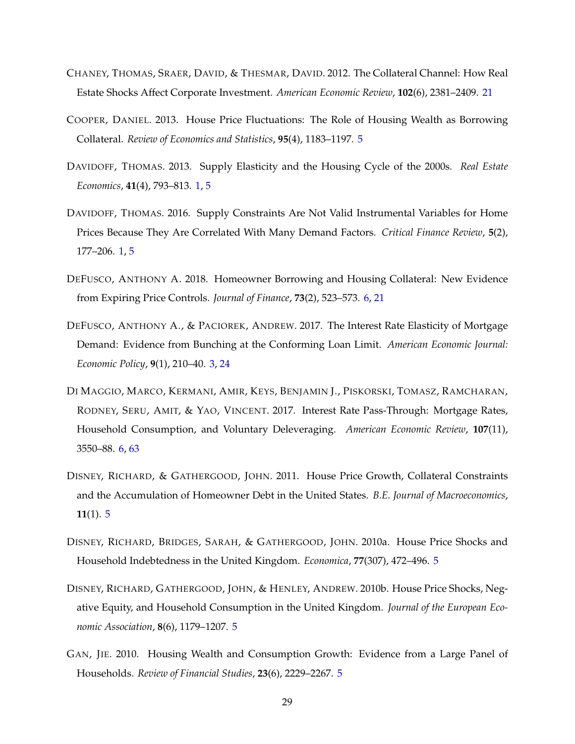- <span id="page-29-10"></span>CHANEY, THOMAS, SRAER, DAVID, & THESMAR, DAVID. 2012. The Collateral Channel: How Real Estate Shocks Affect Corporate Investment. *American Economic Review*, **102**(6), 2381–2409. [21](#page-21-2)
- <span id="page-29-7"></span>COOPER, DANIEL. 2013. House Price Fluctuations: The Role of Housing Wealth as Borrowing Collateral. *Review of Economics and Statistics*, **95**(4), 1183–1197. [5](#page-5-1)
- <span id="page-29-0"></span>DAVIDOFF, THOMAS. 2013. Supply Elasticity and the Housing Cycle of the 2000s. *Real Estate Economics*, **41**(4), 793–813. [1,](#page-0-0) [5](#page-5-1)
- <span id="page-29-1"></span>DAVIDOFF, THOMAS. 2016. Supply Constraints Are Not Valid Instrumental Variables for Home Prices Because They Are Correlated With Many Demand Factors. *Critical Finance Review*, **5**(2), 177–206. [1,](#page-0-0) [5](#page-5-1)
- <span id="page-29-9"></span>DEFUSCO, ANTHONY A. 2018. Homeowner Borrowing and Housing Collateral: New Evidence from Expiring Price Controls. *Journal of Finance*, **73**(2), 523–573. [6,](#page-6-1) [21](#page-21-2)
- <span id="page-29-2"></span>DEFUSCO, ANTHONY A., & PACIOREK, ANDREW. 2017. The Interest Rate Elasticity of Mortgage Demand: Evidence from Bunching at the Conforming Loan Limit. *American Economic Journal: Economic Policy*, **9**(1), 210–40. [3,](#page-3-2) [24](#page-24-2)
- <span id="page-29-8"></span>DI MAGGIO, MARCO, KERMANI, AMIR, KEYS, BENJAMIN J., PISKORSKI, TOMASZ, RAMCHARAN, RODNEY, SERU, AMIT, & YAO, VINCENT. 2017. Interest Rate Pass-Through: Mortgage Rates, Household Consumption, and Voluntary Deleveraging. *American Economic Review*, **107**(11), 3550–88. [6,](#page-6-1) [63](#page-63-0)
- <span id="page-29-6"></span>DISNEY, RICHARD, & GATHERGOOD, JOHN. 2011. House Price Growth, Collateral Constraints and the Accumulation of Homeowner Debt in the United States. *B.E. Journal of Macroeconomics*, **11**(1). [5](#page-5-1)
- <span id="page-29-5"></span>DISNEY, RICHARD, BRIDGES, SARAH, & GATHERGOOD, JOHN. 2010a. House Price Shocks and Household Indebtedness in the United Kingdom. *Economica*, **77**(307), 472–496. [5](#page-5-1)
- <span id="page-29-3"></span>DISNEY, RICHARD, GATHERGOOD, JOHN, & HENLEY, ANDREW. 2010b. House Price Shocks, Negative Equity, and Household Consumption in the United Kingdom. *Journal of the European Economic Association*, **8**(6), 1179–1207. [5](#page-5-1)
- <span id="page-29-4"></span>GAN, JIE. 2010. Housing Wealth and Consumption Growth: Evidence from a Large Panel of Households. *Review of Financial Studies*, **23**(6), 2229–2267. [5](#page-5-1)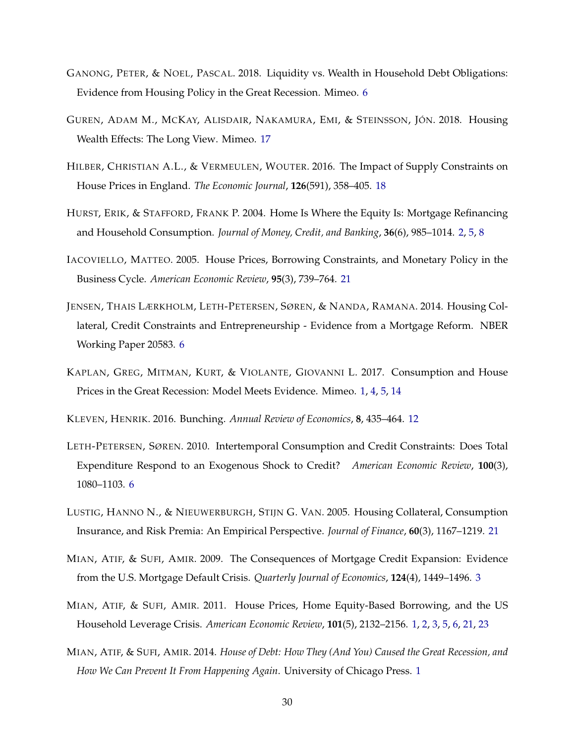- <span id="page-30-7"></span>GANONG, PETER, & NOEL, PASCAL. 2018. Liquidity vs. Wealth in Household Debt Obligations: Evidence from Housing Policy in the Great Recession. Mimeo. [6](#page-6-1)
- <span id="page-30-9"></span>GUREN, ADAM M., MCKAY, ALISDAIR, NAKAMURA, EMI, & STEINSSON, JÓN. 2018. Housing Wealth Effects: The Long View. Mimeo. [17](#page-17-2)
- <span id="page-30-10"></span>HILBER, CHRISTIAN A.L., & VERMEULEN, WOUTER. 2016. The Impact of Supply Constraints on House Prices in England. *The Economic Journal*, **126**(591), 358–405. [18](#page-18-2)
- <span id="page-30-3"></span>HURST, ERIK, & STAFFORD, FRANK P. 2004. Home Is Where the Equity Is: Mortgage Refinancing and Household Consumption. *Journal of Money, Credit, and Banking*, **36**(6), 985–1014. [2,](#page-2-2) [5,](#page-5-1) [8](#page-8-2)
- <span id="page-30-11"></span>IACOVIELLO, MATTEO. 2005. House Prices, Borrowing Constraints, and Monetary Policy in the Business Cycle. *American Economic Review*, **95**(3), 739–764. [21](#page-21-2)
- <span id="page-30-6"></span>JENSEN, THAIS LÆRKHOLM, LETH-PETERSEN, SØREN, & NANDA, RAMANA. 2014. Housing Collateral, Credit Constraints and Entrepreneurship - Evidence from a Mortgage Reform. NBER Working Paper 20583. [6](#page-6-1)
- <span id="page-30-2"></span>KAPLAN, GREG, MITMAN, KURT, & VIOLANTE, GIOVANNI L. 2017. Consumption and House Prices in the Great Recession: Model Meets Evidence. Mimeo. [1,](#page-0-0) [4,](#page-4-0) [5,](#page-5-1) [14](#page-14-0)

<span id="page-30-8"></span>KLEVEN, HENRIK. 2016. Bunching. *Annual Review of Economics*, **8**, 435–464. [12](#page-12-1)

- <span id="page-30-5"></span>LETH-PETERSEN, SØREN. 2010. Intertemporal Consumption and Credit Constraints: Does Total Expenditure Respond to an Exogenous Shock to Credit? *American Economic Review*, **100**(3), 1080–1103. [6](#page-6-1)
- <span id="page-30-12"></span>LUSTIG, HANNO N., & NIEUWERBURGH, STIJN G. VAN. 2005. Housing Collateral, Consumption Insurance, and Risk Premia: An Empirical Perspective. *Journal of Finance*, **60**(3), 1167–1219. [21](#page-21-2)
- <span id="page-30-4"></span>MIAN, ATIF, & SUFI, AMIR. 2009. The Consequences of Mortgage Credit Expansion: Evidence from the U.S. Mortgage Default Crisis. *Quarterly Journal of Economics*, **124**(4), 1449–1496. [3](#page-3-2)
- <span id="page-30-0"></span>MIAN, ATIF, & SUFI, AMIR. 2011. House Prices, Home Equity-Based Borrowing, and the US Household Leverage Crisis. *American Economic Review*, **101**(5), 2132–2156. [1,](#page-0-0) [2,](#page-2-2) [3,](#page-3-2) [5,](#page-5-1) [6,](#page-6-1) [21,](#page-21-2) [23](#page-23-0)
- <span id="page-30-1"></span>MIAN, ATIF, & SUFI, AMIR. 2014. *House of Debt: How They (And You) Caused the Great Recession, and How We Can Prevent It From Happening Again*. University of Chicago Press. [1](#page-0-0)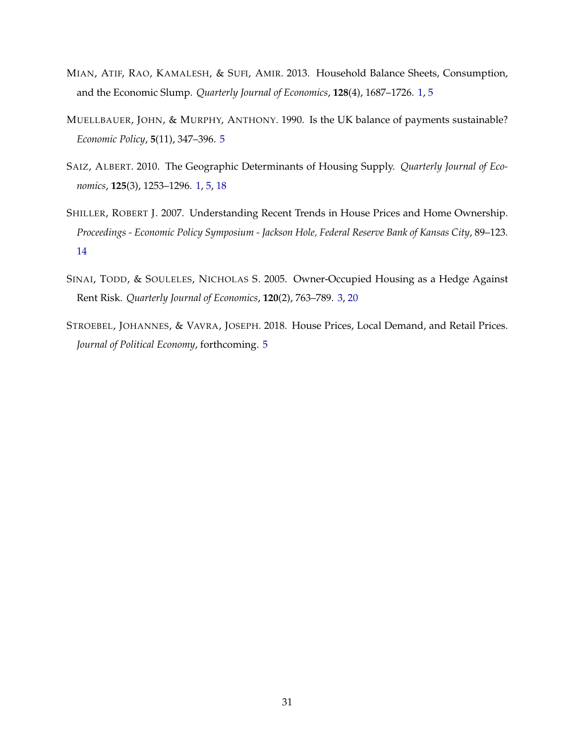- <span id="page-31-0"></span>MIAN, ATIF, RAO, KAMALESH, & SUFI, AMIR. 2013. Household Balance Sheets, Consumption, and the Economic Slump. *Quarterly Journal of Economics*, **128**(4), 1687–1726. [1,](#page-0-0) [5](#page-5-1)
- <span id="page-31-4"></span>MUELLBAUER, JOHN, & MURPHY, ANTHONY. 1990. Is the UK balance of payments sustainable? *Economic Policy*, **5**(11), 347–396. [5](#page-5-1)
- <span id="page-31-1"></span>SAIZ, ALBERT. 2010. The Geographic Determinants of Housing Supply. *Quarterly Journal of Economics*, **125**(3), 1253–1296. [1,](#page-0-0) [5,](#page-5-1) [18](#page-18-2)
- <span id="page-31-5"></span>SHILLER, ROBERT J. 2007. Understanding Recent Trends in House Prices and Home Ownership. *Proceedings - Economic Policy Symposium - Jackson Hole, Federal Reserve Bank of Kansas City*, 89–123. [14](#page-14-0)
- <span id="page-31-2"></span>SINAI, TODD, & SOULELES, NICHOLAS S. 2005. Owner-Occupied Housing as a Hedge Against Rent Risk. *Quarterly Journal of Economics*, **120**(2), 763–789. [3,](#page-3-2) [20](#page-20-1)
- <span id="page-31-3"></span>STROEBEL, JOHANNES, & VAVRA, JOSEPH. 2018. House Prices, Local Demand, and Retail Prices. *Journal of Political Economy*, forthcoming. [5](#page-5-1)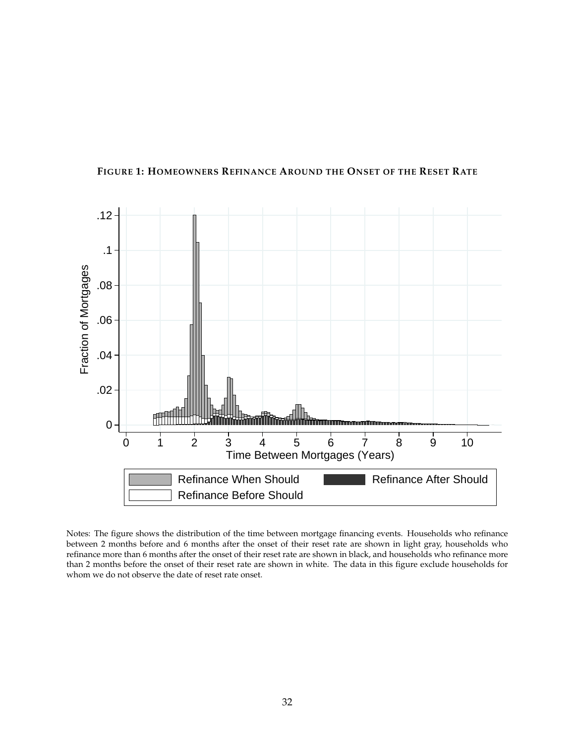

#### <span id="page-32-0"></span>**FIGURE 1: HOMEOWNERS REFINANCE AROUND THE ONSET OF THE RESET RATE**

Notes: The figure shows the distribution of the time between mortgage financing events. Households who refinance between 2 months before and 6 months after the onset of their reset rate are shown in light gray, households who refinance more than 6 months after the onset of their reset rate are shown in black, and households who refinance more than 2 months before the onset of their reset rate are shown in white. The data in this figure exclude households for whom we do not observe the date of reset rate onset.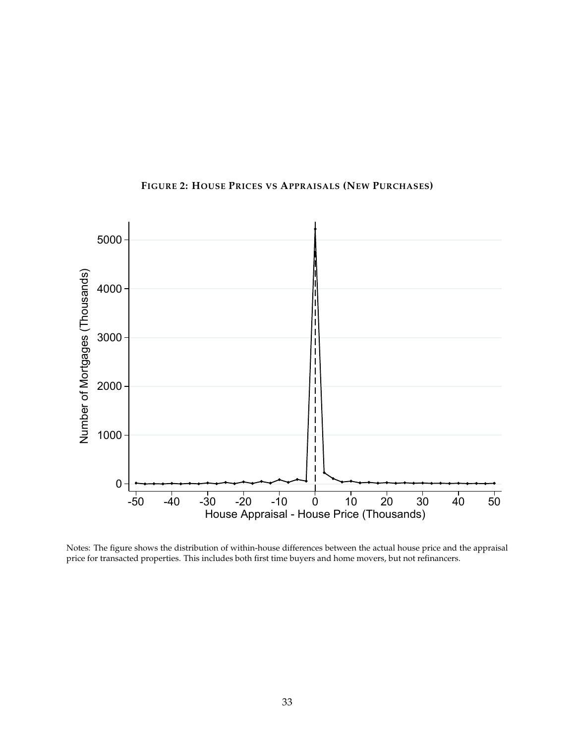<span id="page-33-0"></span>

## **FIGURE 2: HOUSE PRICES VS APPRAISALS (NEW PURCHASES)**

Notes: The figure shows the distribution of within-house differences between the actual house price and the appraisal price for transacted properties. This includes both first time buyers and home movers, but not refinancers.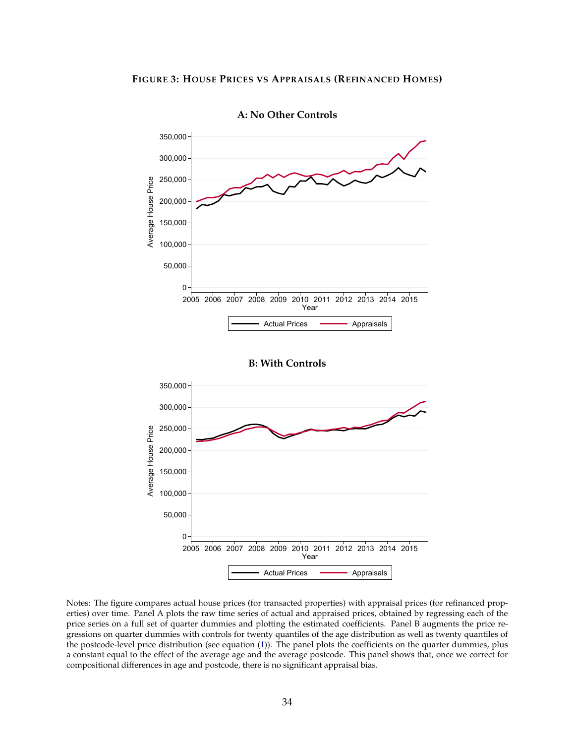<span id="page-34-0"></span>

**A: No Other Controls**

Notes: The figure compares actual house prices (for transacted properties) with appraisal prices (for refinanced properties) over time. Panel A plots the raw time series of actual and appraised prices, obtained by regressing each of the price series on a full set of quarter dummies and plotting the estimated coefficients. Panel B augments the price regressions on quarter dummies with controls for twenty quantiles of the age distribution as well as twenty quantiles of the postcode-level price distribution (see equation [\(1\)](#page-9-0)). The panel plots the coefficients on the quarter dummies, plus a constant equal to the effect of the average age and the average postcode. This panel shows that, once we correct for compositional differences in age and postcode, there is no significant appraisal bias.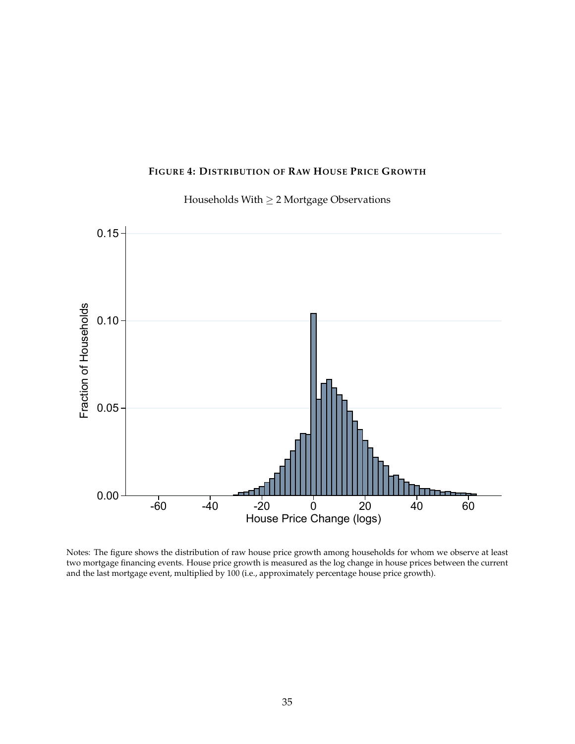#### **FIGURE 4: DISTRIBUTION OF RAW HOUSE PRICE GROWTH**



<span id="page-35-0"></span>

Notes: The figure shows the distribution of raw house price growth among households for whom we observe at least two mortgage financing events. House price growth is measured as the log change in house prices between the current and the last mortgage event, multiplied by 100 (i.e., approximately percentage house price growth).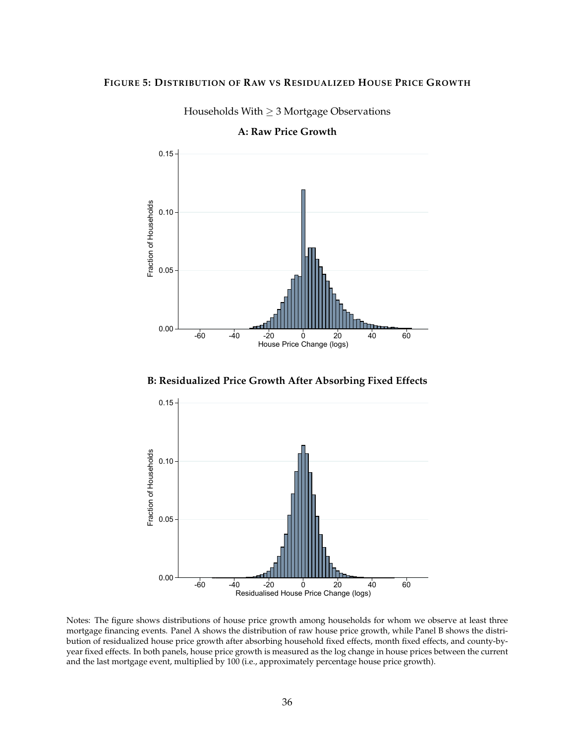#### <span id="page-36-0"></span>**FIGURE 5: DISTRIBUTION OF RAW VS RESIDUALIZED HOUSE PRICE GROWTH**



Households With ≥ 3 Mortgage Observations

**A: Raw Price Growth**

**B: Residualized Price Growth After Absorbing Fixed Effects**



Notes: The figure shows distributions of house price growth among households for whom we observe at least three mortgage financing events. Panel A shows the distribution of raw house price growth, while Panel B shows the distribution of residualized house price growth after absorbing household fixed effects, month fixed effects, and county-byyear fixed effects. In both panels, house price growth is measured as the log change in house prices between the current and the last mortgage event, multiplied by 100 (i.e., approximately percentage house price growth).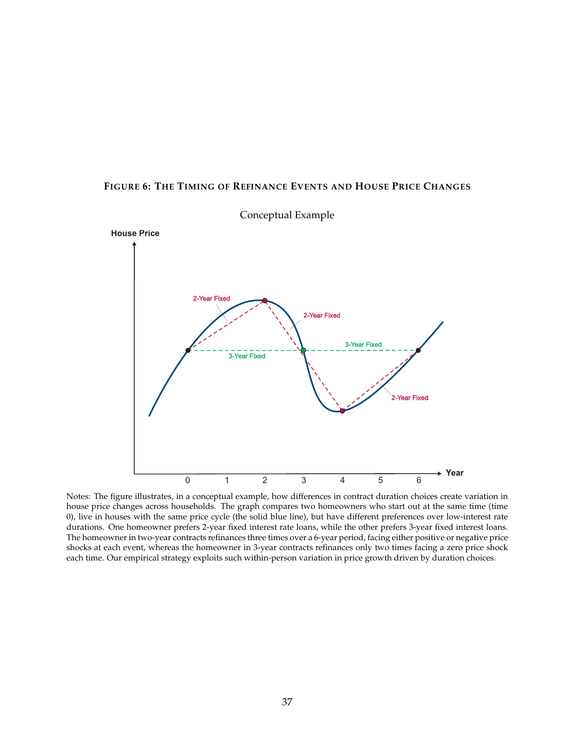#### <span id="page-37-0"></span>**FIGURE 6: THE TIMING OF REFINANCE EVENTS AND HOUSE PRICE CHANGES**



Conceptual Example

Notes: The figure illustrates, in a conceptual example, how differences in contract duration choices create variation in house price changes across households. The graph compares two homeowners who start out at the same time (time 0), live in houses with the same price cycle (the solid blue line), but have different preferences over low-interest rate durations. One homeowner prefers 2-year fixed interest rate loans, while the other prefers 3-year fixed interest loans. The homeowner in two-year contracts refinances three times over a 6-year period, facing either positive or negative price shocks at each event, whereas the homeowner in 3-year contracts refinances only two times facing a zero price shock each time. Our empirical strategy exploits such within-person variation in price growth driven by duration choices.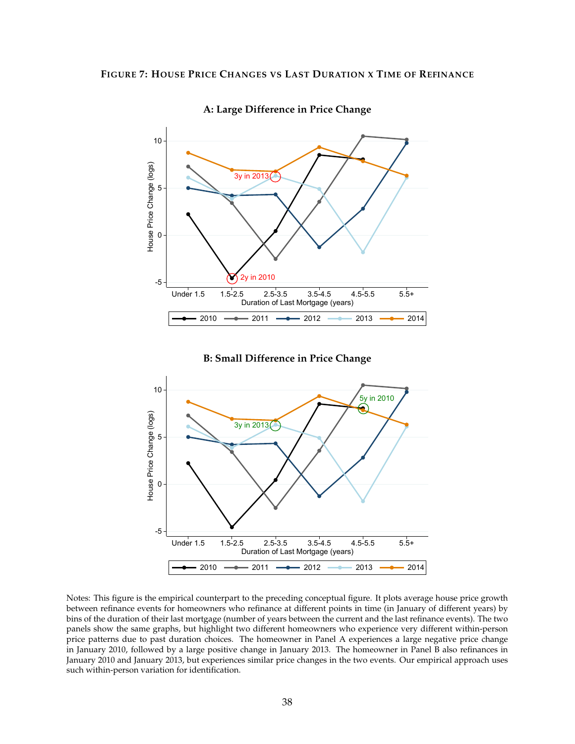<span id="page-38-0"></span>

**A: Large Difference in Price Change**

**B: Small Difference in Price Change**



Notes: This figure is the empirical counterpart to the preceding conceptual figure. It plots average house price growth between refinance events for homeowners who refinance at different points in time (in January of different years) by bins of the duration of their last mortgage (number of years between the current and the last refinance events). The two panels show the same graphs, but highlight two different homeowners who experience very different within-person price patterns due to past duration choices. The homeowner in Panel A experiences a large negative price change in January 2010, followed by a large positive change in January 2013. The homeowner in Panel B also refinances in January 2010 and January 2013, but experiences similar price changes in the two events. Our empirical approach uses such within-person variation for identification.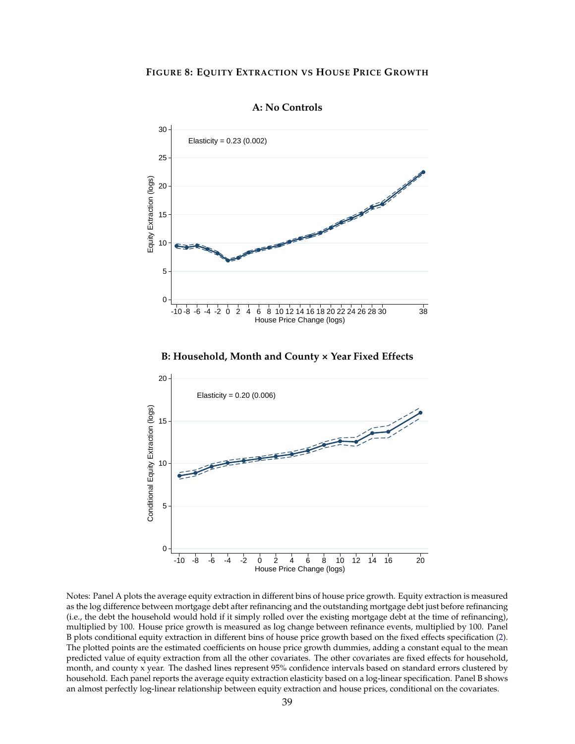#### <span id="page-39-0"></span>**FIGURE 8: EQUITY EXTRACTION VS HOUSE PRICE GROWTH**





**B: Household, Month and County × Year Fixed Effects**



Notes: Panel A plots the average equity extraction in different bins of house price growth. Equity extraction is measured as the log difference between mortgage debt after refinancing and the outstanding mortgage debt just before refinancing (i.e., the debt the household would hold if it simply rolled over the existing mortgage debt at the time of refinancing), multiplied by 100. House price growth is measured as log change between refinance events, multiplied by 100. Panel B plots conditional equity extraction in different bins of house price growth based on the fixed effects specification [\(2\)](#page-15-5). The plotted points are the estimated coefficients on house price growth dummies, adding a constant equal to the mean predicted value of equity extraction from all the other covariates. The other covariates are fixed effects for household, month, and county x year. The dashed lines represent 95% confidence intervals based on standard errors clustered by household. Each panel reports the average equity extraction elasticity based on a log-linear specification. Panel B shows an almost perfectly log-linear relationship between equity extraction and house prices, conditional on the covariates.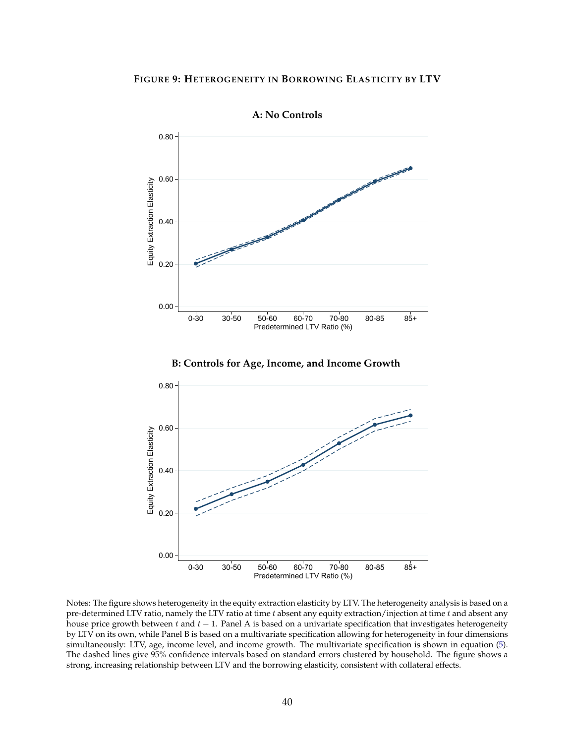<span id="page-40-0"></span>

**A: No Controls**





Notes: The figure shows heterogeneity in the equity extraction elasticity by LTV. The heterogeneity analysis is based on a pre-determined LTV ratio, namely the LTV ratio at time  $t$  absent any equity extraction/injection at time  $t$  and absent any house price growth between t and  $t - 1$ . Panel A is based on a univariate specification that investigates heterogeneity by LTV on its own, while Panel B is based on a multivariate specification allowing for heterogeneity in four dimensions simultaneously: LTV, age, income level, and income growth. The multivariate specification is shown in equation [\(5\)](#page-21-1). The dashed lines give 95% confidence intervals based on standard errors clustered by household. The figure shows a strong, increasing relationship between LTV and the borrowing elasticity, consistent with collateral effects.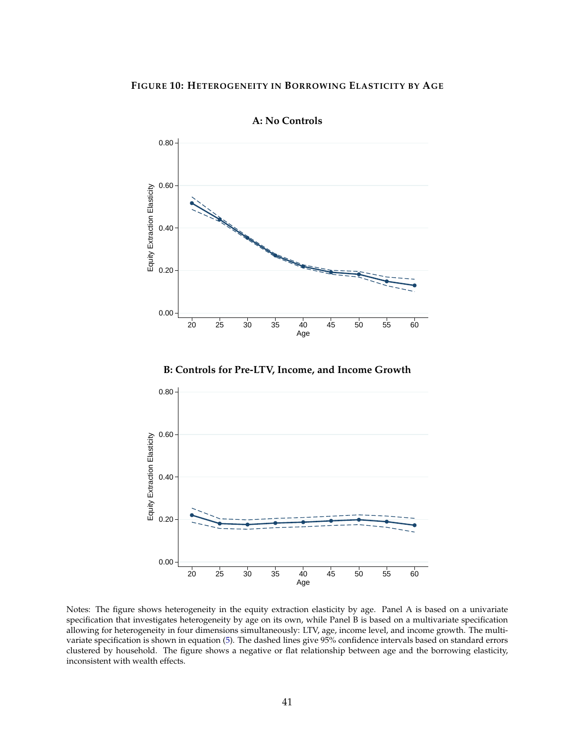<span id="page-41-0"></span>

**A: No Controls**

**B: Controls for Pre-LTV, Income, and Income Growth**



Notes: The figure shows heterogeneity in the equity extraction elasticity by age. Panel A is based on a univariate specification that investigates heterogeneity by age on its own, while Panel B is based on a multivariate specification allowing for heterogeneity in four dimensions simultaneously: LTV, age, income level, and income growth. The multivariate specification is shown in equation [\(5\)](#page-21-1). The dashed lines give 95% confidence intervals based on standard errors clustered by household. The figure shows a negative or flat relationship between age and the borrowing elasticity, inconsistent with wealth effects.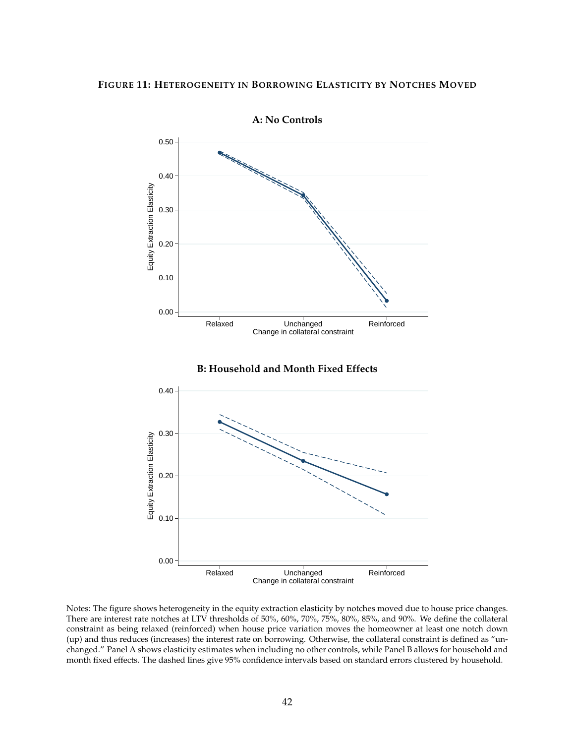#### <span id="page-42-0"></span>**FIGURE 11: HETEROGENEITY IN BORROWING ELASTICITY BY NOTCHES MOVED**



Notes: The figure shows heterogeneity in the equity extraction elasticity by notches moved due to house price changes. There are interest rate notches at LTV thresholds of 50%, 60%, 70%, 75%, 80%, 85%, and 90%. We define the collateral constraint as being relaxed (reinforced) when house price variation moves the homeowner at least one notch down (up) and thus reduces (increases) the interest rate on borrowing. Otherwise, the collateral constraint is defined as "unchanged." Panel A shows elasticity estimates when including no other controls, while Panel B allows for household and month fixed effects. The dashed lines give 95% confidence intervals based on standard errors clustered by household.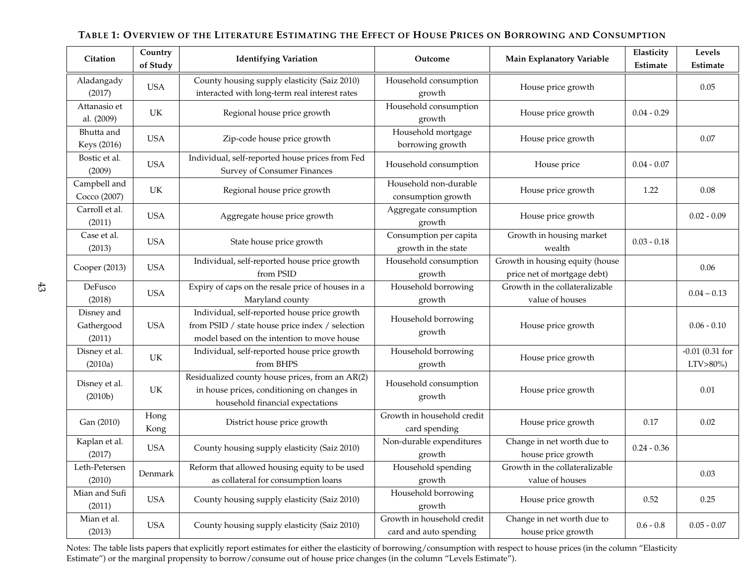| <b>Citation</b>                    | Country<br>of Study | <b>Identifying Variation</b>                                                                                                                  | Outcome                                              | Main Explanatory Variable                                      | Elasticity<br>Estimate | Levels<br>Estimate                 |
|------------------------------------|---------------------|-----------------------------------------------------------------------------------------------------------------------------------------------|------------------------------------------------------|----------------------------------------------------------------|------------------------|------------------------------------|
| Aladangady<br>(2017)               | <b>USA</b>          | County housing supply elasticity (Saiz 2010)<br>interacted with long-term real interest rates                                                 | Household consumption<br>growth                      | House price growth                                             |                        | 0.05                               |
| Attanasio et<br>al. (2009)         | UK                  | Regional house price growth                                                                                                                   | Household consumption<br>growth                      | House price growth                                             | $0.04 - 0.29$          |                                    |
| Bhutta and<br>Keys (2016)          | <b>USA</b>          | Zip-code house price growth                                                                                                                   | Household mortgage<br>borrowing growth               | House price growth                                             |                        | 0.07                               |
| Bostic et al.<br>(2009)            | <b>USA</b>          | Individual, self-reported house prices from Fed<br><b>Survey of Consumer Finances</b>                                                         | Household consumption                                | House price                                                    | $0.04 - 0.07$          |                                    |
| Campbell and<br>Cocco (2007)       | UK                  | Regional house price growth                                                                                                                   | Household non-durable<br>consumption growth          | House price growth                                             | 1.22                   | $0.08\,$                           |
| Carroll et al.<br>(2011)           | <b>USA</b>          | Aggregate house price growth                                                                                                                  | Aggregate consumption<br>growth                      | House price growth                                             |                        | $0.02 - 0.09$                      |
| Case et al.<br>(2013)              | <b>USA</b>          | State house price growth                                                                                                                      | Consumption per capita<br>growth in the state        | Growth in housing market<br>wealth                             | $0.03 - 0.18$          |                                    |
| Cooper (2013)                      | <b>USA</b>          | Individual, self-reported house price growth<br>from PSID                                                                                     | Household consumption<br>growth                      | Growth in housing equity (house<br>price net of mortgage debt) |                        | 0.06                               |
| DeFusco<br>(2018)                  | <b>USA</b>          | Expiry of caps on the resale price of houses in a<br>Maryland county                                                                          | Household borrowing<br>growth                        | Growth in the collateralizable<br>value of houses              |                        | $0.04 - 0.13$                      |
| Disney and<br>Gathergood<br>(2011) | <b>USA</b>          | Individual, self-reported house price growth<br>from PSID / state house price index / selection<br>model based on the intention to move house | Household borrowing<br>growth                        | House price growth                                             |                        | $0.06 - 0.10$                      |
| Disney et al.<br>(2010a)           | UK                  | Individual, self-reported house price growth<br>from BHPS                                                                                     | Household borrowing<br>growth                        | House price growth                                             |                        | $-0.01$ (0.31 for<br>$LTV > 80\%)$ |
| Disney et al.<br>(2010b)           | UK                  | Residualized county house prices, from an AR(2)<br>in house prices, conditioning on changes in<br>household financial expectations            | Household consumption<br>growth                      | House price growth                                             |                        | 0.01                               |
| Gan (2010)                         | Hong<br>Kong        | District house price growth                                                                                                                   | Growth in household credit<br>card spending          | House price growth                                             | 0.17                   | 0.02                               |
| Kaplan et al.<br>(2017)            | <b>USA</b>          | County housing supply elasticity (Saiz 2010)                                                                                                  | Non-durable expenditures<br>growth                   | Change in net worth due to<br>house price growth               | $0.24 - 0.36$          |                                    |
| Leth-Petersen<br>(2010)            | Denmark             | Reform that allowed housing equity to be used<br>as collateral for consumption loans                                                          | Household spending<br>growth                         | Growth in the collateralizable<br>value of houses              |                        | 0.03                               |
| Mian and Sufi<br>(2011)            | USA                 | County housing supply elasticity (Saiz 2010)                                                                                                  | Household borrowing<br>growth                        | House price growth                                             | 0.52                   | 0.25                               |
| Mian et al.<br>(2013)              | USA                 | County housing supply elasticity (Saiz 2010)                                                                                                  | Growth in household credit<br>card and auto spending | Change in net worth due to<br>house price growth               | $0.6 - 0.8$            | $0.05 - 0.07$                      |

## <span id="page-43-0"></span>Table 1: Overview of the Literature Estimating the Effect of House Prices on Borrowing and Consumption

Notes: The table lists papers that explicitly report estimates for either the elasticity of borrowing/consumption with respect to house prices (in the column "Elasticity<br>Estimate") or the marginal propensity to borrow/cons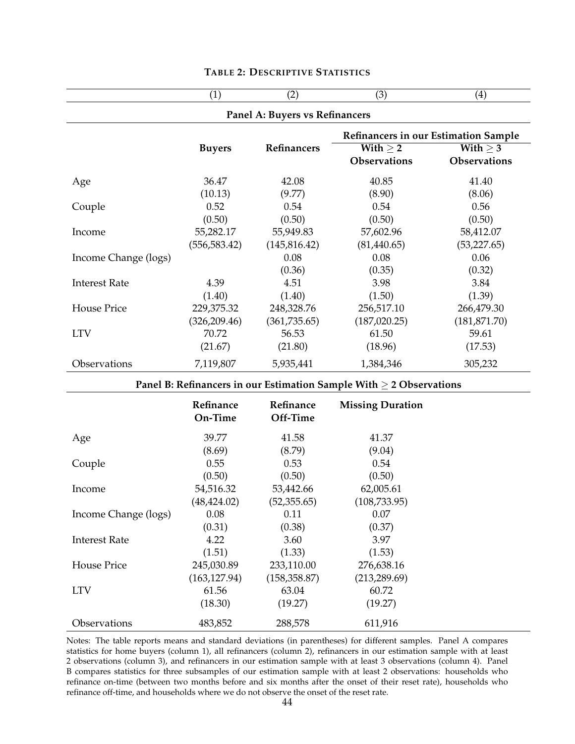<span id="page-44-0"></span>

|                      | (1)                                  | (2)                            | (3)                                                                      | (4)           |  |  |  |  |
|----------------------|--------------------------------------|--------------------------------|--------------------------------------------------------------------------|---------------|--|--|--|--|
|                      |                                      | Panel A: Buyers vs Refinancers |                                                                          |               |  |  |  |  |
|                      | Refinancers in our Estimation Sample |                                |                                                                          |               |  |  |  |  |
|                      | <b>Buyers</b>                        | Refinancers                    | With $\geq 2$                                                            | With $\geq$ 3 |  |  |  |  |
|                      |                                      |                                | <b>Observations</b>                                                      | Observations  |  |  |  |  |
| Age                  | 36.47                                | 42.08                          | 40.85                                                                    | 41.40         |  |  |  |  |
|                      | (10.13)                              | (9.77)                         | (8.90)                                                                   | (8.06)        |  |  |  |  |
| Couple               | 0.52                                 | 0.54                           | 0.54                                                                     | 0.56          |  |  |  |  |
|                      | (0.50)                               | (0.50)                         | (0.50)                                                                   | (0.50)        |  |  |  |  |
| Income               | 55,282.17                            | 55,949.83                      | 57,602.96                                                                | 58,412.07     |  |  |  |  |
|                      | (556, 583.42)                        | (145, 816.42)                  | (81,440.65)                                                              | (53,227.65)   |  |  |  |  |
| Income Change (logs) |                                      | 0.08                           | 0.08                                                                     | 0.06          |  |  |  |  |
|                      |                                      | (0.36)                         | (0.35)                                                                   | (0.32)        |  |  |  |  |
| <b>Interest Rate</b> | 4.39                                 | 4.51                           | 3.98                                                                     | 3.84          |  |  |  |  |
|                      | (1.40)                               | (1.40)                         | (1.50)                                                                   | (1.39)        |  |  |  |  |
| <b>House Price</b>   | 229,375.32                           | 248,328.76                     | 256,517.10                                                               | 266,479.30    |  |  |  |  |
|                      | (326, 209.46)                        | (361, 735.65)                  | (187, 020.25)                                                            | (181, 871.70) |  |  |  |  |
| <b>LTV</b>           | 70.72                                | 56.53                          | 61.50                                                                    | 59.61         |  |  |  |  |
|                      | (21.67)                              | (21.80)                        | (18.96)                                                                  | (17.53)       |  |  |  |  |
| Observations         | 7,119,807                            | 5,935,441                      | 1,384,346                                                                | 305,232       |  |  |  |  |
|                      |                                      |                                | Panel B: Refinancers in our Estimation Sample With $\geq$ 2 Observations |               |  |  |  |  |
|                      | Refinance                            | Refinance                      | <b>Missing Duration</b>                                                  |               |  |  |  |  |
|                      | On-Time                              | Off-Time                       |                                                                          |               |  |  |  |  |
| Age                  | 39.77                                | 41.58                          | 41.37                                                                    |               |  |  |  |  |
|                      | (8.69)                               | (8.79)                         | (9.04)                                                                   |               |  |  |  |  |
| Couple               | 0.55                                 | 0.53                           | 0.54                                                                     |               |  |  |  |  |
|                      | (0.50)                               | (0.50)                         | (0.50)                                                                   |               |  |  |  |  |
| Income               | 54,516.32                            | 53,442.66                      | 62,005.61                                                                |               |  |  |  |  |
|                      | (48, 424.02)                         | (52, 355.65)                   | (108, 733.95)                                                            |               |  |  |  |  |
| Income Change (logs) | 0.08                                 | 0.11                           | 0.07                                                                     |               |  |  |  |  |
|                      | (0.31)                               | (0.38)                         | (0.37)                                                                   |               |  |  |  |  |
| <b>Interest Rate</b> | 4.22                                 | 3.60                           | 3.97                                                                     |               |  |  |  |  |
|                      | (1.51)                               | (1.33)                         | (1.53)                                                                   |               |  |  |  |  |
| House Price          | 245,030.89                           | 233,110.00                     | 276,638.16                                                               |               |  |  |  |  |
|                      | (163, 127.94)                        | (158, 358.87)                  | (213, 289.69)                                                            |               |  |  |  |  |
| <b>LTV</b>           | 61.56                                | 63.04                          | 60.72                                                                    |               |  |  |  |  |
|                      | (18.30)                              | (19.27)                        | (19.27)                                                                  |               |  |  |  |  |
| Observations         |                                      |                                |                                                                          |               |  |  |  |  |
|                      | 483,852                              | 288,578                        | 611,916                                                                  |               |  |  |  |  |

#### **TABLE 2: DESCRIPTIVE STATISTICS**

Notes: The table reports means and standard deviations (in parentheses) for different samples. Panel A compares statistics for home buyers (column 1), all refinancers (column 2), refinancers in our estimation sample with at least 2 observations (column 3), and refinancers in our estimation sample with at least 3 observations (column 4). Panel B compares statistics for three subsamples of our estimation sample with at least 2 observations: households who refinance on-time (between two months before and six months after the onset of their reset rate), households who refinance off-time, and households where we do not observe the onset of the reset rate.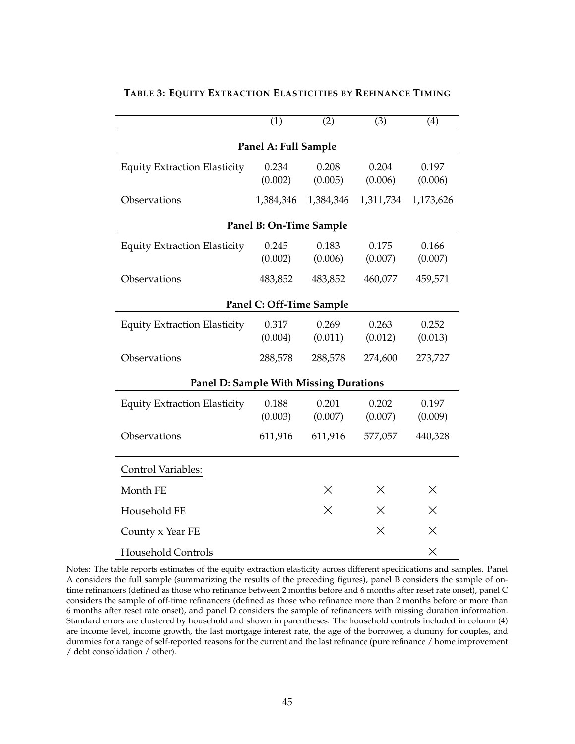|                                               | (1)                      | (2)       | (3)       | (4)       |  |  |  |  |
|-----------------------------------------------|--------------------------|-----------|-----------|-----------|--|--|--|--|
| Panel A: Full Sample                          |                          |           |           |           |  |  |  |  |
| <b>Equity Extraction Elasticity</b>           | 0.234                    | 0.208     | 0.204     | 0.197     |  |  |  |  |
|                                               | (0.002)                  | (0.005)   | (0.006)   | (0.006)   |  |  |  |  |
| Observations                                  | 1,384,346                | 1,384,346 | 1,311,734 | 1,173,626 |  |  |  |  |
|                                               | Panel B: On-Time Sample  |           |           |           |  |  |  |  |
| <b>Equity Extraction Elasticity</b>           | 0.245                    | 0.183     | 0.175     | 0.166     |  |  |  |  |
|                                               | (0.002)                  | (0.006)   | (0.007)   | (0.007)   |  |  |  |  |
| Observations                                  | 483,852                  | 483,852   | 460,077   | 459,571   |  |  |  |  |
|                                               | Panel C: Off-Time Sample |           |           |           |  |  |  |  |
| <b>Equity Extraction Elasticity</b>           | 0.317                    | 0.269     | 0.263     | 0.252     |  |  |  |  |
|                                               | (0.004)                  | (0.011)   | (0.012)   | (0.013)   |  |  |  |  |
| Observations                                  | 288,578                  | 288,578   | 274,600   | 273,727   |  |  |  |  |
| <b>Panel D: Sample With Missing Durations</b> |                          |           |           |           |  |  |  |  |
| <b>Equity Extraction Elasticity</b>           | 0.188                    | 0.201     | 0.202     | 0.197     |  |  |  |  |
|                                               | (0.003)                  | (0.007)   | (0.007)   | (0.009)   |  |  |  |  |
| Observations                                  | 611,916                  | 611,916   | 577,057   | 440,328   |  |  |  |  |
| Control Variables:                            |                          |           |           |           |  |  |  |  |
| Month FE                                      |                          | X         | Х         | ×         |  |  |  |  |
| Household FE                                  |                          | $\times$  | X         | $\times$  |  |  |  |  |
| County x Year FE                              |                          |           | $\times$  | X         |  |  |  |  |
| Household Controls                            |                          |           |           | $\times$  |  |  |  |  |

## <span id="page-45-0"></span>**TABLE 3: EQUITY EXTRACTION ELASTICITIES BY REFINANCE TIMING**

Notes: The table reports estimates of the equity extraction elasticity across different specifications and samples. Panel A considers the full sample (summarizing the results of the preceding figures), panel B considers the sample of ontime refinancers (defined as those who refinance between 2 months before and 6 months after reset rate onset), panel C considers the sample of off-time refinancers (defined as those who refinance more than 2 months before or more than 6 months after reset rate onset), and panel D considers the sample of refinancers with missing duration information. Standard errors are clustered by household and shown in parentheses. The household controls included in column (4) are income level, income growth, the last mortgage interest rate, the age of the borrower, a dummy for couples, and dummies for a range of self-reported reasons for the current and the last refinance (pure refinance / home improvement / debt consolidation / other).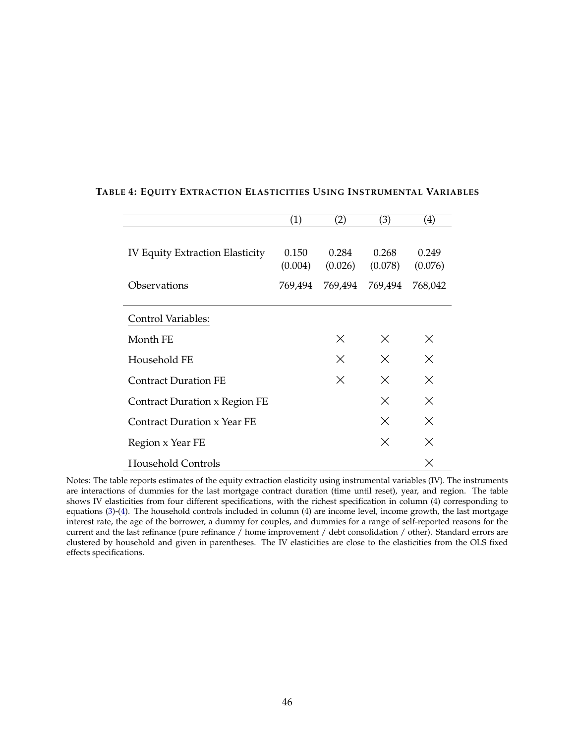|                                      | (1)     | (2)     | (3)      | (4)      |
|--------------------------------------|---------|---------|----------|----------|
|                                      |         |         |          |          |
| IV Equity Extraction Elasticity      | 0.150   | 0.284   | 0.268    | 0.249    |
|                                      | (0.004) | (0.026) | (0.078)  | (0.076)  |
| Observations                         | 769,494 | 769,494 | 769,494  | 768,042  |
|                                      |         |         |          |          |
| <b>Control Variables:</b>            |         |         |          |          |
| Month FE                             |         | X       | $\times$ | $\times$ |
| Household FE                         |         | X       | $\times$ | $\times$ |
| <b>Contract Duration FE</b>          |         | X       | X        | $\times$ |
| <b>Contract Duration x Region FE</b> |         |         | $\times$ | X        |
| <b>Contract Duration x Year FE</b>   |         |         | $\times$ | $\times$ |
| Region x Year FE                     |         |         | $\times$ | $\times$ |
| <b>Household Controls</b>            |         |         |          | $\times$ |

#### <span id="page-46-0"></span>**TABLE 4: EQUITY EXTRACTION ELASTICITIES USING INSTRUMENTAL VARIABLES**

Notes: The table reports estimates of the equity extraction elasticity using instrumental variables (IV). The instruments are interactions of dummies for the last mortgage contract duration (time until reset), year, and region. The table shows IV elasticities from four different specifications, with the richest specification in column (4) corresponding to equations [\(3\)](#page-19-0)-[\(4\)](#page-19-2). The household controls included in column (4) are income level, income growth, the last mortgage interest rate, the age of the borrower, a dummy for couples, and dummies for a range of self-reported reasons for the current and the last refinance (pure refinance / home improvement / debt consolidation / other). Standard errors are clustered by household and given in parentheses. The IV elasticities are close to the elasticities from the OLS fixed effects specifications.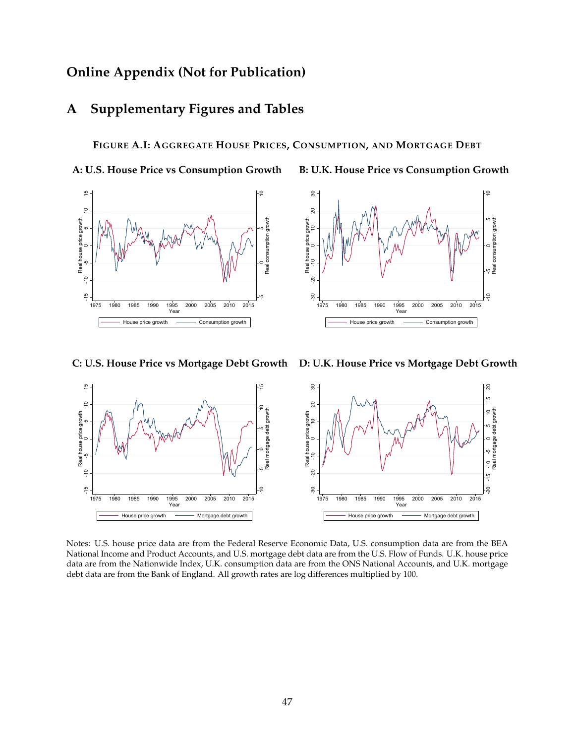## **Online Appendix (Not for Publication)**

## **A Supplementary Figures and Tables**

#### <span id="page-47-0"></span>**FIGURE A.I: AGGREGATE HOUSE PRICES, CONSUMPTION, AND MORTGAGE DEBT**

**A: U.S. House Price vs Consumption Growth B: U.K. House Price vs Consumption Growth**



ທ



ທ

**Year** *New York Structure 1999 <b>Propriet* 

<sup>10</sup> Real consumption growth

1975 1980 1985 1990 1995 2000 2005 2010 2015

House price growth  $\longrightarrow$  Consumption growth  $\mid$ 



Notes: U.S. house price data are from the Federal Reserve Economic Data, U.S. consumption data are from the BEA National Income and Product Accounts, and U.S. mortgage debt data are from the U.S. Flow of Funds. U.K. house price data are from the Nationwide Index, U.K. consumption data are from the ONS National Accounts, and U.K. mortgage debt data are from the Bank of England. All growth rates are log differences multiplied by 100.

# $\frac{3}{2}$ <br> $\frac{3}{2}$ <br> $\frac{3}{2}$ <br> $\frac{3}{2}$ <br> $\frac{3}{2}$ <br> $\frac{3}{2}$ <br> $\frac{3}{2}$ <br> $\frac{3}{2}$ <br> $\frac{3}{2}$ <br> $\frac{3}{2}$ <br> $\frac{3}{2}$ <br> $\frac{3}{2}$ <br> $\frac{3}{2}$ <br> $\frac{3}{2}$ <br> $\frac{3}{2}$ <br> $\frac{3}{2}$ <br> $\frac{3}{2}$ <br> $\frac{3}{2}$ <br> $\frac{3}{2}$ Real house price growth<br>-10<br>0 <sup>10</sup> <sup>20</sup> <sup>30</sup> Real house price growth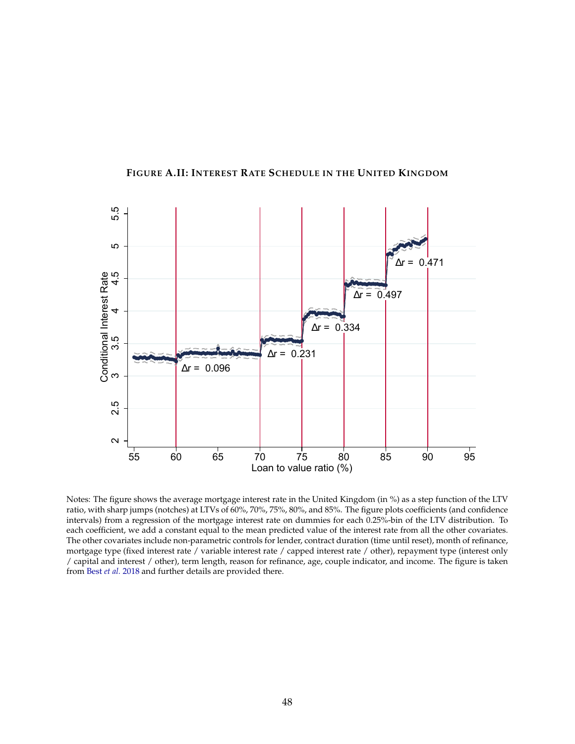<span id="page-48-0"></span>

<span id="page-48-1"></span>**FIGURE A.II: INTEREST RATE SCHEDULE IN THE UNITED KINGDOM**

Notes: The figure shows the average mortgage interest rate in the United Kingdom (in %) as a step function of the LTV ratio, with sharp jumps (notches) at LTVs of 60%, 70%, 75%, 80%, and 85%. The figure plots coefficients (and confidence intervals) from a regression of the mortgage interest rate on dummies for each 0.25%-bin of the LTV distribution. To each coefficient, we add a constant equal to the mean predicted value of the interest rate from all the other covariates. The other covariates include non-parametric controls for lender, contract duration (time until reset), month of refinance, mortgage type (fixed interest rate / variable interest rate / capped interest rate / other), repayment type (interest only / capital and interest / other), term length, reason for refinance, age, couple indicator, and income. The figure is taken from Best *[et al.](#page-28-2)* [2018](#page-28-2) and further details are provided there.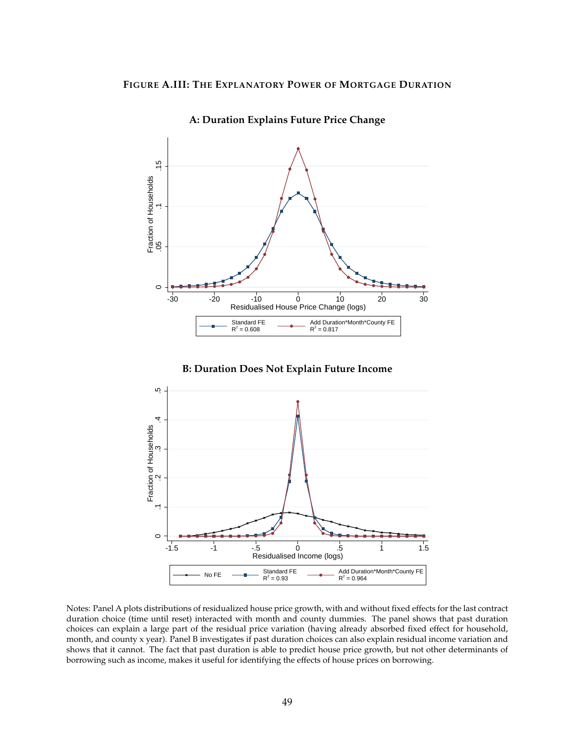<span id="page-49-0"></span>

**A: Duration Explains Future Price Change**





Notes: Panel A plots distributions of residualized house price growth, with and without fixed effects for the last contract duration choice (time until reset) interacted with month and county dummies. The panel shows that past duration choices can explain a large part of the residual price variation (having already absorbed fixed effect for household, month, and county x year). Panel B investigates if past duration choices can also explain residual income variation and shows that it cannot. The fact that past duration is able to predict house price growth, but not other determinants of borrowing such as income, makes it useful for identifying the effects of house prices on borrowing.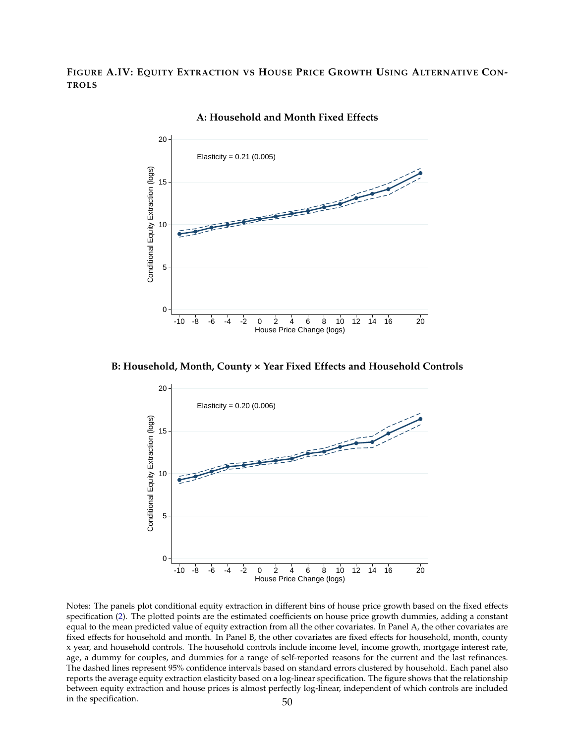<span id="page-50-0"></span>**FIGURE A.IV: EQUITY EXTRACTION VS HOUSE PRICE GROWTH USING ALTERNATIVE CON-TROLS**



**A: Household and Month Fixed Effects**

**B: Household, Month, County × Year Fixed Effects and Household Controls**



Notes: The panels plot conditional equity extraction in different bins of house price growth based on the fixed effects specification [\(2\)](#page-15-5). The plotted points are the estimated coefficients on house price growth dummies, adding a constant equal to the mean predicted value of equity extraction from all the other covariates. In Panel A, the other covariates are fixed effects for household and month. In Panel B, the other covariates are fixed effects for household, month, county x year, and household controls. The household controls include income level, income growth, mortgage interest rate, age, a dummy for couples, and dummies for a range of self-reported reasons for the current and the last refinances. The dashed lines represent 95% confidence intervals based on standard errors clustered by household. Each panel also reports the average equity extraction elasticity based on a log-linear specification. The figure shows that the relationship between equity extraction and house prices is almost perfectly log-linear, independent of which controls are included in the specification. 50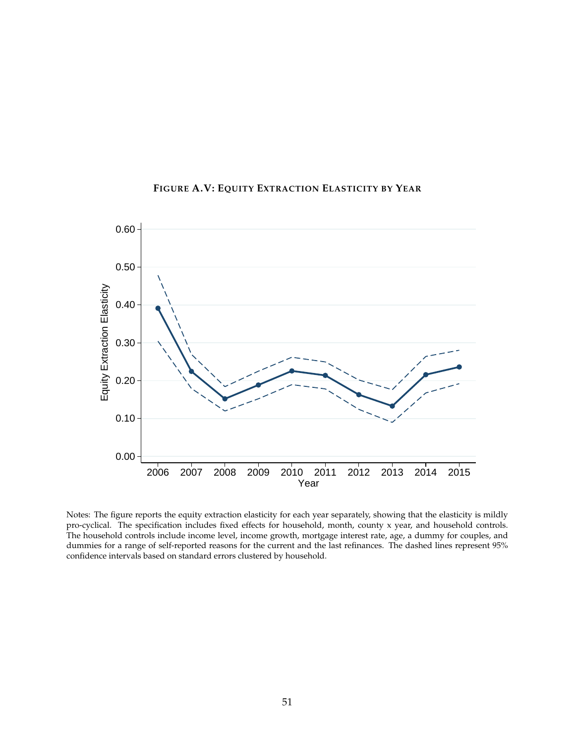<span id="page-51-0"></span>

**FIGURE A.V: EQUITY EXTRACTION ELASTICITY BY YEAR**

Notes: The figure reports the equity extraction elasticity for each year separately, showing that the elasticity is mildly pro-cyclical. The specification includes fixed effects for household, month, county x year, and household controls. The household controls include income level, income growth, mortgage interest rate, age, a dummy for couples, and dummies for a range of self-reported reasons for the current and the last refinances. The dashed lines represent 95% confidence intervals based on standard errors clustered by household.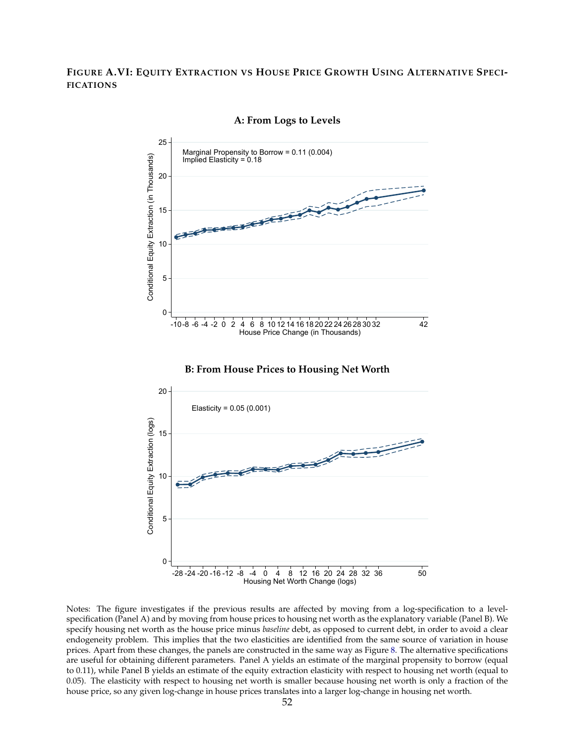#### <span id="page-52-0"></span>**FIGURE A.VI: EQUITY EXTRACTION VS HOUSE PRICE GROWTH USING ALTERNATIVE SPECI-FICATIONS**



**A: From Logs to Levels**

Notes: The figure investigates if the previous results are affected by moving from a log-specification to a levelspecification (Panel A) and by moving from house prices to housing net worth as the explanatory variable (Panel B). We specify housing net worth as the house price minus *baseline* debt, as opposed to current debt, in order to avoid a clear endogeneity problem. This implies that the two elasticities are identified from the same source of variation in house prices. Apart from these changes, the panels are constructed in the same way as Figure [8.](#page-39-0) The alternative specifications are useful for obtaining different parameters. Panel A yields an estimate of the marginal propensity to borrow (equal to 0.11), while Panel B yields an estimate of the equity extraction elasticity with respect to housing net worth (equal to 0.05). The elasticity with respect to housing net worth is smaller because housing net worth is only a fraction of the house price, so any given log-change in house prices translates into a larger log-change in housing net worth.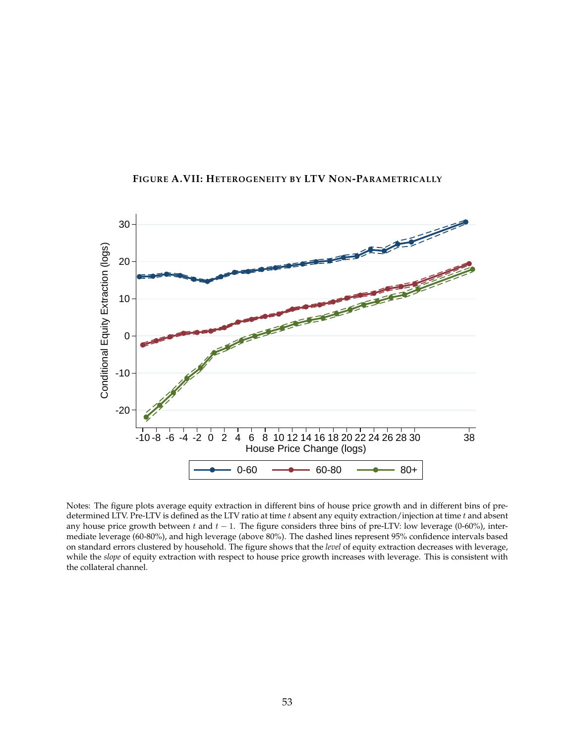<span id="page-53-0"></span>

**FIGURE A.VII: HETEROGENEITY BY LTV NON-PARAMETRICALLY**

Notes: The figure plots average equity extraction in different bins of house price growth and in different bins of predetermined LTV. Pre-LTV is defined as the LTV ratio at time  $t$  absent any equity extraction/injection at time  $t$  and absent any house price growth between t and  $t - 1$ . The figure considers three bins of pre-LTV: low leverage (0-60%), intermediate leverage (60-80%), and high leverage (above 80%). The dashed lines represent 95% confidence intervals based on standard errors clustered by household. The figure shows that the *level* of equity extraction decreases with leverage, while the *slope* of equity extraction with respect to house price growth increases with leverage. This is consistent with the collateral channel.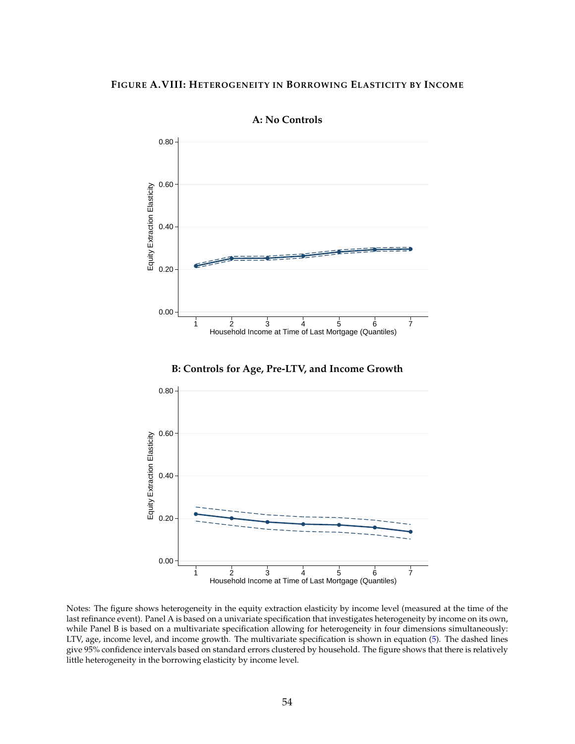#### <span id="page-54-0"></span>**FIGURE A.VIII: HETEROGENEITY IN BORROWING ELASTICITY BY INCOME**



**A: No Controls**





Notes: The figure shows heterogeneity in the equity extraction elasticity by income level (measured at the time of the last refinance event). Panel A is based on a univariate specification that investigates heterogeneity by income on its own, while Panel B is based on a multivariate specification allowing for heterogeneity in four dimensions simultaneously: LTV, age, income level, and income growth. The multivariate specification is shown in equation [\(5\)](#page-21-1). The dashed lines give 95% confidence intervals based on standard errors clustered by household. The figure shows that there is relatively little heterogeneity in the borrowing elasticity by income level.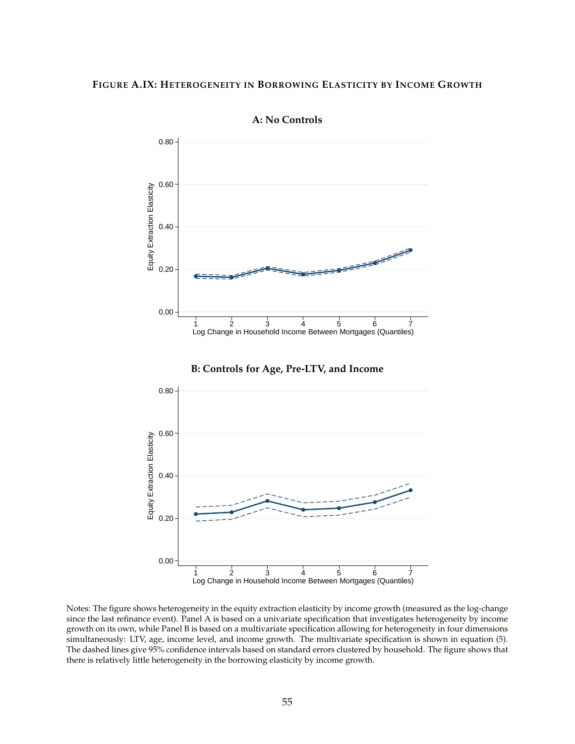#### <span id="page-55-0"></span>**FIGURE A.IX: HETEROGENEITY IN BORROWING ELASTICITY BY INCOME GROWTH**



**A: No Controls**





Notes: The figure shows heterogeneity in the equity extraction elasticity by income growth (measured as the log-change since the last refinance event). Panel A is based on a univariate specification that investigates heterogeneity by income growth on its own, while Panel B is based on a multivariate specification allowing for heterogeneity in four dimensions simultaneously: LTV, age, income level, and income growth. The multivariate specification is shown in equation [\(5\)](#page-21-1). The dashed lines give 95% confidence intervals based on standard errors clustered by household. The figure shows that there is relatively little heterogeneity in the borrowing elasticity by income growth.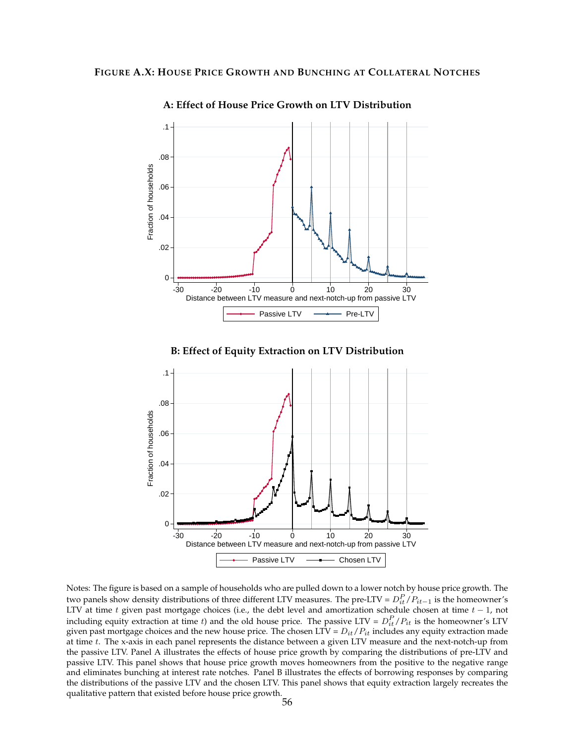<span id="page-56-0"></span>

**A: Effect of House Price Growth on LTV Distribution**

**B: Effect of Equity Extraction on LTV Distribution**



Notes: The figure is based on a sample of households who are pulled down to a lower notch by house price growth. The two panels show density distributions of three different LTV measures. The pre-LTV =  $D_{it}^P/P_{it-1}$  is the homeowner's LTV at time t given past mortgage choices (i.e., the debt level and amortization schedule chosen at time  $t - 1$ , not including equity extraction at time t) and the old house price. The passive LTV =  $D_{it}^P/P_{it}$  is the homeowner's LTV given past mortgage choices and the new house price. The chosen LTV =  $D_{it}/P_{it}$  includes any equity extraction made at time t. The x-axis in each panel represents the distance between a given LTV measure and the next-notch-up from the passive LTV. Panel A illustrates the effects of house price growth by comparing the distributions of pre-LTV and passive LTV. This panel shows that house price growth moves homeowners from the positive to the negative range and eliminates bunching at interest rate notches. Panel B illustrates the effects of borrowing responses by comparing the distributions of the passive LTV and the chosen LTV. This panel shows that equity extraction largely recreates the qualitative pattern that existed before house price growth.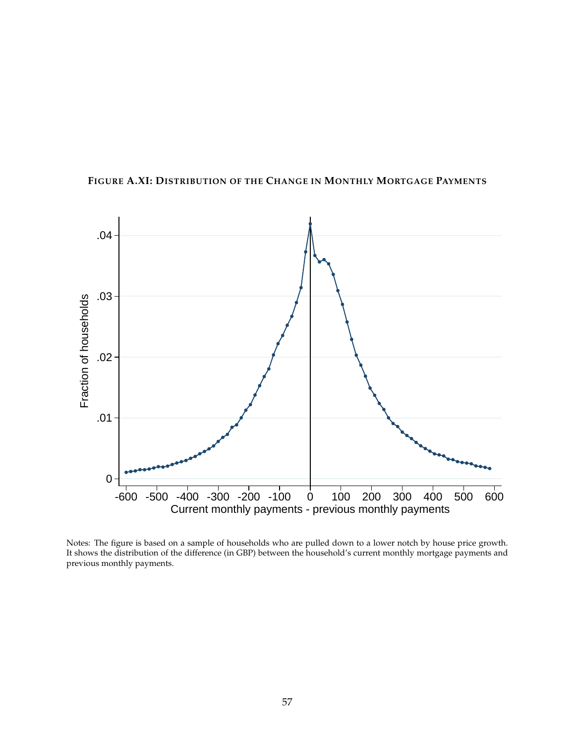

<span id="page-57-0"></span>**FIGURE A.XI: DISTRIBUTION OF THE CHANGE IN MONTHLY MORTGAGE PAYMENTS**

Notes: The figure is based on a sample of households who are pulled down to a lower notch by house price growth. It shows the distribution of the difference (in GBP) between the household's current monthly mortgage payments and previous monthly payments.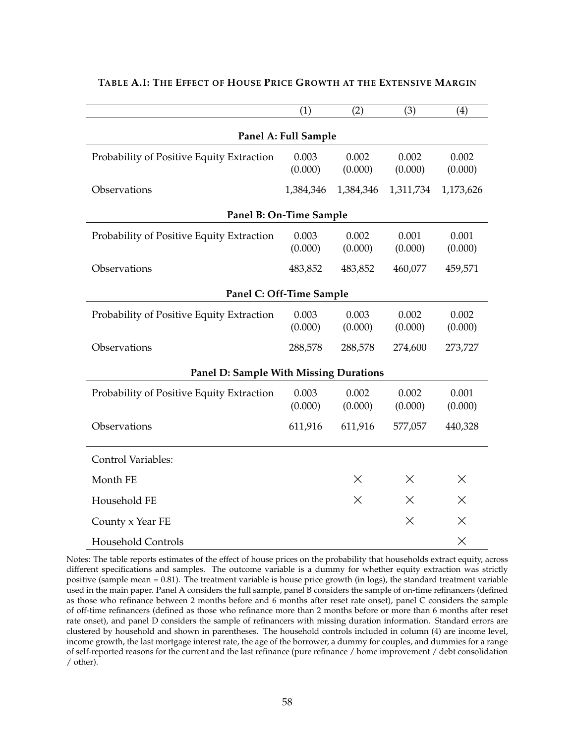|                                           | (1)                     | (2)              | (3)              | (4)              |  |  |  |
|-------------------------------------------|-------------------------|------------------|------------------|------------------|--|--|--|
| Panel A: Full Sample                      |                         |                  |                  |                  |  |  |  |
| Probability of Positive Equity Extraction | 0.003<br>(0.000)        | 0.002<br>(0.000) | 0.002<br>(0.000) | 0.002<br>(0.000) |  |  |  |
| Observations                              | 1,384,346               | 1,384,346        | 1,311,734        | 1,173,626        |  |  |  |
|                                           | Panel B: On-Time Sample |                  |                  |                  |  |  |  |
| Probability of Positive Equity Extraction | 0.003<br>(0.000)        | 0.002<br>(0.000) | 0.001<br>(0.000) | 0.001<br>(0.000) |  |  |  |
| Observations                              | 483,852                 | 483,852          | 460,077          | 459,571          |  |  |  |
| Panel C: Off-Time Sample                  |                         |                  |                  |                  |  |  |  |
| Probability of Positive Equity Extraction | 0.003<br>(0.000)        | 0.003<br>(0.000) | 0.002<br>(0.000) | 0.002<br>(0.000) |  |  |  |
| Observations                              | 288,578                 | 288,578          | 274,600          | 273,727          |  |  |  |
| Panel D: Sample With Missing Durations    |                         |                  |                  |                  |  |  |  |
| Probability of Positive Equity Extraction | 0.003<br>(0.000)        | 0.002<br>(0.000) | 0.002<br>(0.000) | 0.001<br>(0.000) |  |  |  |
| Observations                              | 611,916                 | 611,916          | 577,057          | 440,328          |  |  |  |
| Control Variables:                        |                         |                  |                  |                  |  |  |  |
| Month FE                                  |                         | Χ                | $\times$         | $\times$         |  |  |  |
| Household FE                              |                         | $\times$         | $\times$         | $\times$         |  |  |  |
| County x Year FE                          |                         |                  | X                | $\times$         |  |  |  |
| <b>Household Controls</b>                 |                         |                  |                  | $\times$         |  |  |  |

#### <span id="page-58-0"></span>**TABLE A.I: THE EFFECT OF HOUSE PRICE GROWTH AT THE EXTENSIVE MARGIN**

Notes: The table reports estimates of the effect of house prices on the probability that households extract equity, across different specifications and samples. The outcome variable is a dummy for whether equity extraction was strictly positive (sample mean = 0.81). The treatment variable is house price growth (in logs), the standard treatment variable used in the main paper. Panel A considers the full sample, panel B considers the sample of on-time refinancers (defined as those who refinance between 2 months before and 6 months after reset rate onset), panel C considers the sample of off-time refinancers (defined as those who refinance more than 2 months before or more than 6 months after reset rate onset), and panel D considers the sample of refinancers with missing duration information. Standard errors are clustered by household and shown in parentheses. The household controls included in column (4) are income level, income growth, the last mortgage interest rate, the age of the borrower, a dummy for couples, and dummies for a range of self-reported reasons for the current and the last refinance (pure refinance / home improvement / debt consolidation / other).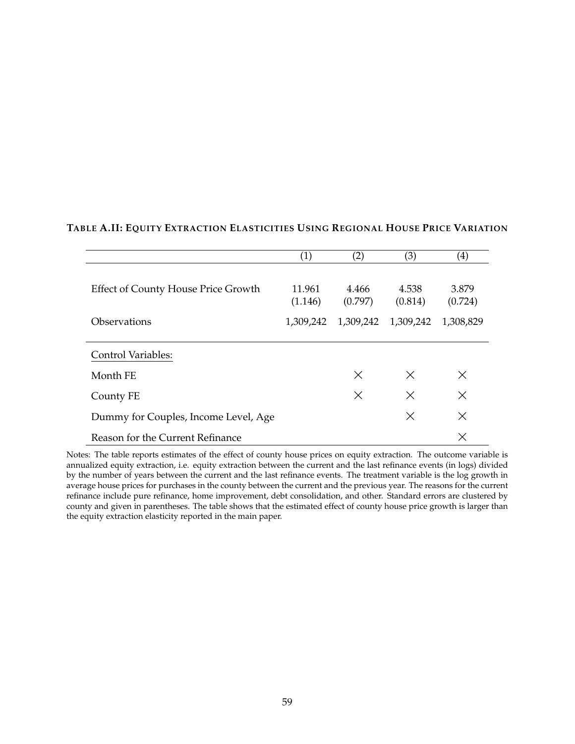|                                            | (1)               | (2)              | (3)              | $\left( 4\right)$ |
|--------------------------------------------|-------------------|------------------|------------------|-------------------|
| <b>Effect of County House Price Growth</b> | 11.961<br>(1.146) | 4.466<br>(0.797) | 4.538<br>(0.814) | 3.879<br>(0.724)  |
| Observations                               | 1,309,242         | 1,309,242        | 1,309,242        | 1,308,829         |
|                                            |                   |                  |                  |                   |
| <b>Control Variables:</b>                  |                   |                  |                  |                   |
| Month FE                                   |                   | $\times$         | $\times$         | $\times$          |
| County FE                                  |                   | X                | $\times$         | $\times$          |
| Dummy for Couples, Income Level, Age       |                   |                  | $\times$         | $\times$          |
| Reason for the Current Refinance           |                   |                  |                  | X                 |

## <span id="page-59-0"></span>**TABLE A.II: EQUITY EXTRACTION ELASTICITIES USING REGIONAL HOUSE PRICE VARIATION**

Notes: The table reports estimates of the effect of county house prices on equity extraction. The outcome variable is annualized equity extraction, i.e. equity extraction between the current and the last refinance events (in logs) divided by the number of years between the current and the last refinance events. The treatment variable is the log growth in average house prices for purchases in the county between the current and the previous year. The reasons for the current refinance include pure refinance, home improvement, debt consolidation, and other. Standard errors are clustered by county and given in parentheses. The table shows that the estimated effect of county house price growth is larger than the equity extraction elasticity reported in the main paper.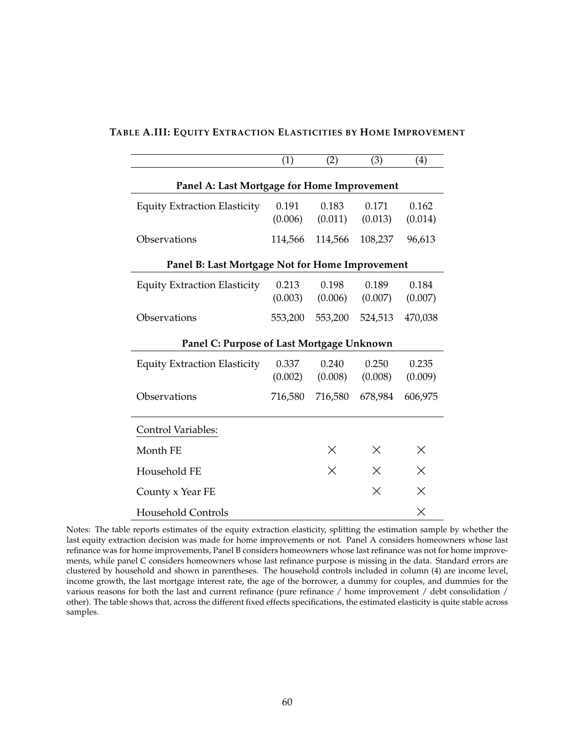|                                                 | (1)     | (2)      | (3)      | (4)      |  |  |  |  |
|-------------------------------------------------|---------|----------|----------|----------|--|--|--|--|
| Panel A: Last Mortgage for Home Improvement     |         |          |          |          |  |  |  |  |
| <b>Equity Extraction Elasticity</b>             | 0.191   | 0.183    | 0.171    | 0.162    |  |  |  |  |
|                                                 | (0.006) | (0.011)  | (0.013)  | (0.014)  |  |  |  |  |
| Observations                                    | 114,566 | 114,566  | 108,237  | 96,613   |  |  |  |  |
| Panel B: Last Mortgage Not for Home Improvement |         |          |          |          |  |  |  |  |
| <b>Equity Extraction Elasticity</b>             | 0.213   | 0.198    | 0.189    | 0.184    |  |  |  |  |
|                                                 | (0.003) | (0.006)  | (0.007)  | (0.007)  |  |  |  |  |
| Observations                                    | 553,200 | 553,200  | 524,513  | 470,038  |  |  |  |  |
| Panel C: Purpose of Last Mortgage Unknown       |         |          |          |          |  |  |  |  |
| <b>Equity Extraction Elasticity</b>             | 0.337   | 0.240    | 0.250    | 0.235    |  |  |  |  |
|                                                 | (0.002) | (0.008)  | (0.008)  | (0.009)  |  |  |  |  |
| Observations                                    | 716,580 | 716,580  | 678,984  | 606,975  |  |  |  |  |
| <b>Control Variables:</b>                       |         |          |          |          |  |  |  |  |
| Month FE                                        |         | $\times$ | X        | X        |  |  |  |  |
| Household FE                                    |         | X        | $\times$ | X        |  |  |  |  |
| County x Year FE                                |         |          | $\times$ | X        |  |  |  |  |
| <b>Household Controls</b>                       |         |          |          | $\times$ |  |  |  |  |

#### <span id="page-60-0"></span>**TABLE A.III: EQUITY EXTRACTION ELASTICITIES BY HOME IMPROVEMENT**

Notes: The table reports estimates of the equity extraction elasticity, splitting the estimation sample by whether the last equity extraction decision was made for home improvements or not. Panel A considers homeowners whose last refinance was for home improvements, Panel B considers homeowners whose last refinance was not for home improvements, while panel C considers homeowners whose last refinance purpose is missing in the data. Standard errors are clustered by household and shown in parentheses. The household controls included in column (4) are income level, income growth, the last mortgage interest rate, the age of the borrower, a dummy for couples, and dummies for the various reasons for both the last and current refinance (pure refinance / home improvement / debt consolidation / other). The table shows that, across the different fixed effects specifications, the estimated elasticity is quite stable across samples.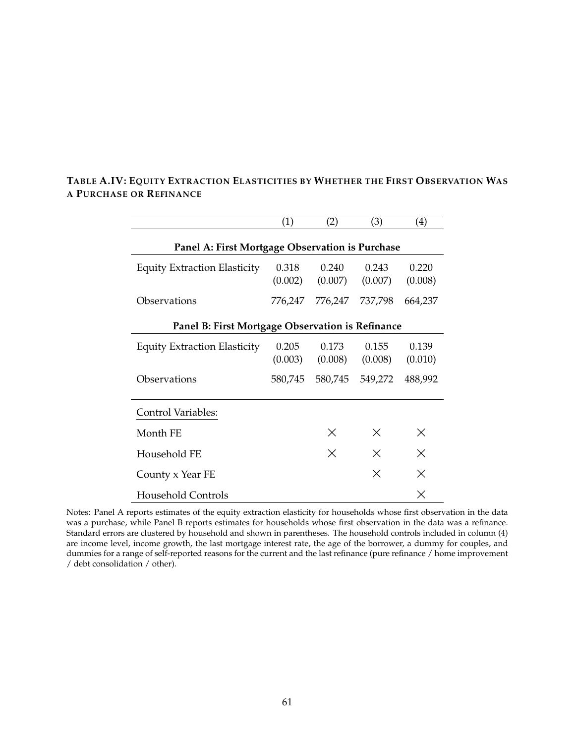|                                                  | (1)              | (2)              | (3)              | (4)              |  |  |  |
|--------------------------------------------------|------------------|------------------|------------------|------------------|--|--|--|
| Panel A: First Mortgage Observation is Purchase  |                  |                  |                  |                  |  |  |  |
| <b>Equity Extraction Elasticity</b>              | 0.318<br>(0.002) | 0.240<br>(0.007) | 0.243<br>(0.007) | 0.220<br>(0.008) |  |  |  |
| Observations                                     | 776,247          | 776,247          | 737,798          | 664,237          |  |  |  |
| Panel B: First Mortgage Observation is Refinance |                  |                  |                  |                  |  |  |  |
| <b>Equity Extraction Elasticity</b>              | 0.205<br>(0.003) | 0.173<br>(0.008) | 0.155<br>(0.008) | 0.139<br>(0.010) |  |  |  |
| Observations                                     | 580,745          | 580,745          | 549,272          | 488,992          |  |  |  |
| Control Variables:                               |                  |                  |                  |                  |  |  |  |
| Month FE                                         |                  | $\times$         | $\times$         | $\times$         |  |  |  |
| Household FE                                     |                  | $\times$         | $\times$         | $\times$         |  |  |  |
| County x Year FE                                 |                  |                  | X                | Χ                |  |  |  |
| Household Controls                               |                  |                  |                  | X                |  |  |  |

## **TABLE A.IV: EQUITY EXTRACTION ELASTICITIES BY WHETHER THE FIRST OBSERVATION WAS A PURCHASE OR REFINANCE**

Notes: Panel A reports estimates of the equity extraction elasticity for households whose first observation in the data was a purchase, while Panel B reports estimates for households whose first observation in the data was a refinance. Standard errors are clustered by household and shown in parentheses. The household controls included in column (4) are income level, income growth, the last mortgage interest rate, the age of the borrower, a dummy for couples, and dummies for a range of self-reported reasons for the current and the last refinance (pure refinance / home improvement / debt consolidation / other).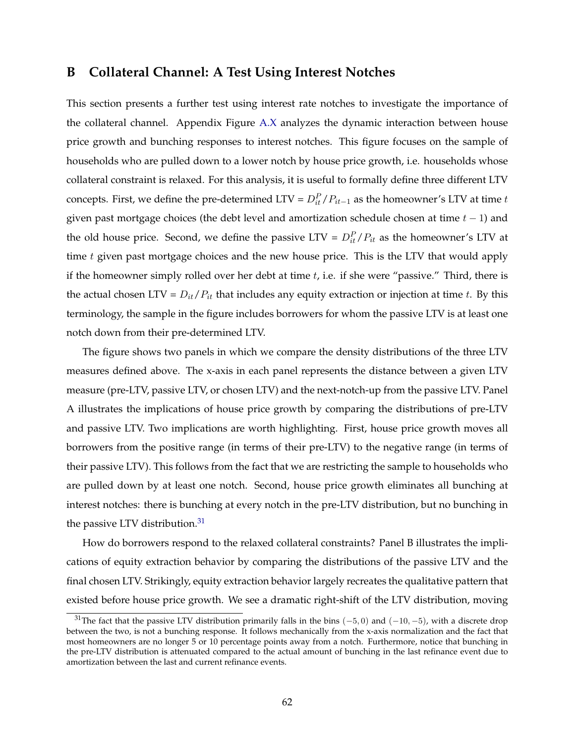## <span id="page-62-0"></span>**B Collateral Channel: A Test Using Interest Notches**

This section presents a further test using interest rate notches to investigate the importance of the collateral channel. Appendix Figure [A.X](#page-56-0) analyzes the dynamic interaction between house price growth and bunching responses to interest notches. This figure focuses on the sample of households who are pulled down to a lower notch by house price growth, i.e. households whose collateral constraint is relaxed. For this analysis, it is useful to formally define three different LTV concepts. First, we define the pre-determined LTV =  $D_{it}^{P}/P_{it-1}$  as the homeowner's LTV at time t given past mortgage choices (the debt level and amortization schedule chosen at time  $t - 1$ ) and the old house price. Second, we define the passive LTV =  $D_{it}^{P}/P_{it}$  as the homeowner's LTV at time  $t$  given past mortgage choices and the new house price. This is the LTV that would apply if the homeowner simply rolled over her debt at time  $t$ , i.e. if she were "passive." Third, there is the actual chosen LTV =  $D_{it}/P_{it}$  that includes any equity extraction or injection at time t. By this terminology, the sample in the figure includes borrowers for whom the passive LTV is at least one notch down from their pre-determined LTV.

The figure shows two panels in which we compare the density distributions of the three LTV measures defined above. The x-axis in each panel represents the distance between a given LTV measure (pre-LTV, passive LTV, or chosen LTV) and the next-notch-up from the passive LTV. Panel A illustrates the implications of house price growth by comparing the distributions of pre-LTV and passive LTV. Two implications are worth highlighting. First, house price growth moves all borrowers from the positive range (in terms of their pre-LTV) to the negative range (in terms of their passive LTV). This follows from the fact that we are restricting the sample to households who are pulled down by at least one notch. Second, house price growth eliminates all bunching at interest notches: there is bunching at every notch in the pre-LTV distribution, but no bunching in the passive LTV distribution.<sup>[31](#page-62-1)</sup>

How do borrowers respond to the relaxed collateral constraints? Panel B illustrates the implications of equity extraction behavior by comparing the distributions of the passive LTV and the final chosen LTV. Strikingly, equity extraction behavior largely recreates the qualitative pattern that existed before house price growth. We see a dramatic right-shift of the LTV distribution, moving

<span id="page-62-1"></span><sup>&</sup>lt;sup>31</sup>The fact that the passive LTV distribution primarily falls in the bins  $(-5, 0)$  and  $(-10, -5)$ , with a discrete drop between the two, is not a bunching response. It follows mechanically from the x-axis normalization and the fact that most homeowners are no longer 5 or 10 percentage points away from a notch. Furthermore, notice that bunching in the pre-LTV distribution is attenuated compared to the actual amount of bunching in the last refinance event due to amortization between the last and current refinance events.